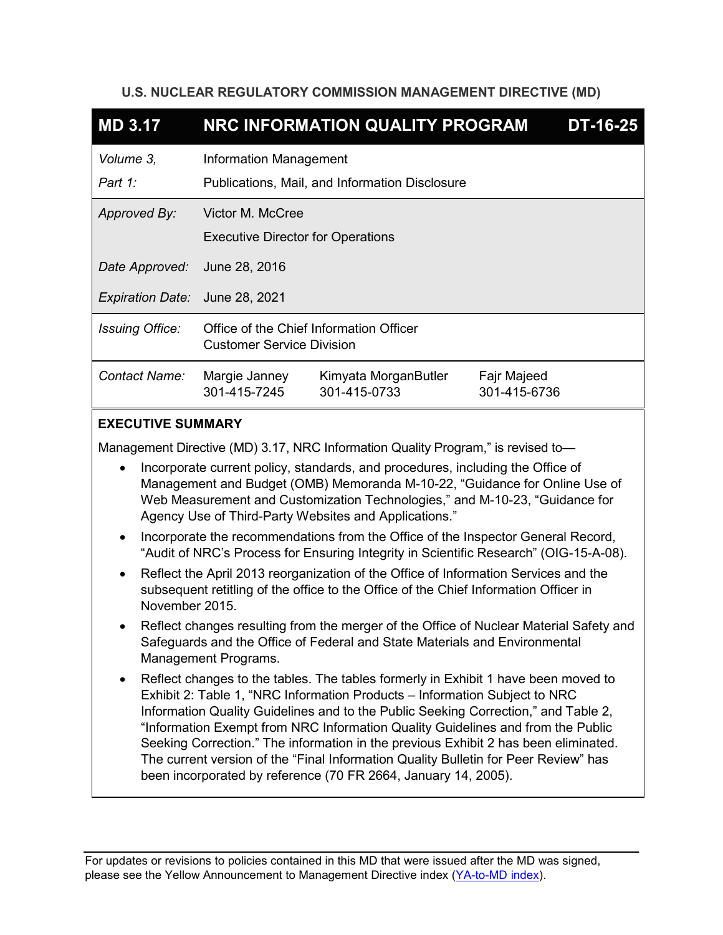# **U.S. NUCLEAR REGULATORY COMMISSION MANAGEMENT DIRECTIVE (MD)**

| <b>MD 3.17</b>                                                                                                                                                                                                                                                                                                                                                                                |                                                                                 | NRC INFORMATION QUALITY PROGRAM         |                             | $DT-16-25$ |
|-----------------------------------------------------------------------------------------------------------------------------------------------------------------------------------------------------------------------------------------------------------------------------------------------------------------------------------------------------------------------------------------------|---------------------------------------------------------------------------------|-----------------------------------------|-----------------------------|------------|
| Volume 3,<br>Part 1:                                                                                                                                                                                                                                                                                                                                                                          | <b>Information Management</b><br>Publications, Mail, and Information Disclosure |                                         |                             |            |
| Approved By:                                                                                                                                                                                                                                                                                                                                                                                  | Victor M. McCree<br><b>Executive Director for Operations</b>                    |                                         |                             |            |
| Date Approved:                                                                                                                                                                                                                                                                                                                                                                                | June 28, 2016                                                                   |                                         |                             |            |
| Expiration Date: June 28, 2021                                                                                                                                                                                                                                                                                                                                                                |                                                                                 |                                         |                             |            |
| <b>Issuing Office:</b>                                                                                                                                                                                                                                                                                                                                                                        | <b>Customer Service Division</b>                                                | Office of the Chief Information Officer |                             |            |
| Contact Name:                                                                                                                                                                                                                                                                                                                                                                                 | Margie Janney<br>301-415-7245                                                   | Kimyata MorganButler<br>301-415-0733    | Fajr Majeed<br>301-415-6736 |            |
| <b>EXECUTIVE SUMMARY</b>                                                                                                                                                                                                                                                                                                                                                                      |                                                                                 |                                         |                             |            |
| Management Directive (MD) 3.17, NRC Information Quality Program," is revised to-<br>Incorporate current policy, standards, and procedures, including the Office of<br>Management and Budget (OMB) Memoranda M-10-22, "Guidance for Online Use of<br>$\mathbf{r}$ and $\mathbf{Q}$ is the starting $\mathbf{T}$ is denoted by the $\mathbf{y}$ and $\mathbf{M}$ 40,00,000 $\mathbf{Q}$ defined |                                                                                 |                                         |                             |            |

- Web Measurement and Customization Technologies," and M-10-23, "Guidance for Agency Use of Third-Party Websites and Applications."
- Incorporate the recommendations from the Office of the Inspector General Record, "Audit of NRC's Process for Ensuring Integrity in Scientific Research" (OIG-15-A-08).
- Reflect the April 2013 reorganization of the Office of Information Services and the subsequent retitling of the office to the Office of the Chief Information Officer in November 2015.
- Reflect changes resulting from the merger of the Office of Nuclear Material Safety and Safeguards and the Office of Federal and State Materials and Environmental Management Programs.
- Reflect changes to the tables. The tables formerly in Exhibit 1 have been moved to Exhibit 2: Table 1, "NRC Information Products – Information Subject to NRC Information Quality Guidelines and to the Public Seeking Correction," and Table 2, "Information Exempt from NRC Information Quality Guidelines and from the Public Seeking Correction." The information in the previous Exhibit 2 has been eliminated. The current version of the "Final Information Quality Bulletin for Peer Review" has been incorporated by reference (70 FR 2664, January 14, 2005).

For updates or revisions to policies contained in this MD that were issued after the MD was signed, please see the Yellow Announcement to Management Directive index [\(YA-to-MD index\)](http://fusion.nrc.gov/adm/team/DAS/RADB/MD/Lists/yellowtoMD_index/AllItems.aspx).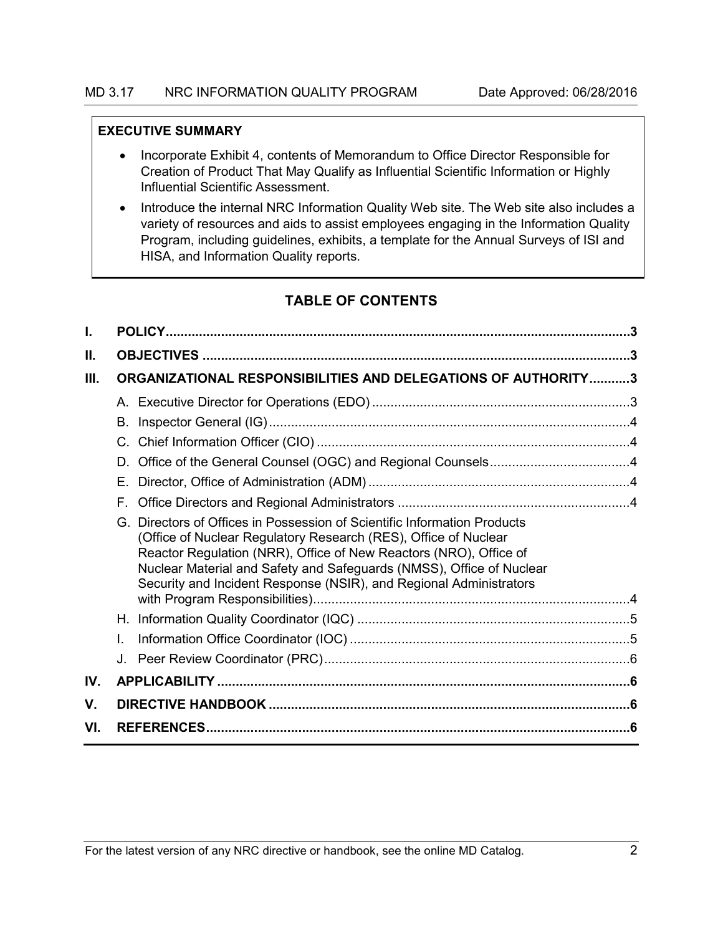## **EXECUTIVE SUMMARY**

- Incorporate Exhibit 4, contents of Memorandum to Office Director Responsible for Creation of Product That May Qualify as Influential Scientific Information or Highly Influential Scientific Assessment.
- Introduce the internal NRC Information Quality Web site. The Web site also includes a variety of resources and aids to assist employees engaging in the Information Quality Program, including guidelines, exhibits, a template for the Annual Surveys of ISI and HISA, and Information Quality reports.

# **TABLE OF CONTENTS**

| I.  |                                                                                                                                                                                                                                                                                                                                                                   |  |
|-----|-------------------------------------------------------------------------------------------------------------------------------------------------------------------------------------------------------------------------------------------------------------------------------------------------------------------------------------------------------------------|--|
| II. |                                                                                                                                                                                                                                                                                                                                                                   |  |
| Ш.  | ORGANIZATIONAL RESPONSIBILITIES AND DELEGATIONS OF AUTHORITY3                                                                                                                                                                                                                                                                                                     |  |
|     |                                                                                                                                                                                                                                                                                                                                                                   |  |
|     | В.                                                                                                                                                                                                                                                                                                                                                                |  |
|     | C.                                                                                                                                                                                                                                                                                                                                                                |  |
|     | D.                                                                                                                                                                                                                                                                                                                                                                |  |
|     | Е.                                                                                                                                                                                                                                                                                                                                                                |  |
|     | F.                                                                                                                                                                                                                                                                                                                                                                |  |
|     | Directors of Offices in Possession of Scientific Information Products<br>G.<br>(Office of Nuclear Regulatory Research (RES), Office of Nuclear<br>Reactor Regulation (NRR), Office of New Reactors (NRO), Office of<br>Nuclear Material and Safety and Safeguards (NMSS), Office of Nuclear<br>Security and Incident Response (NSIR), and Regional Administrators |  |
|     |                                                                                                                                                                                                                                                                                                                                                                   |  |
|     | L.                                                                                                                                                                                                                                                                                                                                                                |  |
|     |                                                                                                                                                                                                                                                                                                                                                                   |  |
| IV. |                                                                                                                                                                                                                                                                                                                                                                   |  |
| V.  |                                                                                                                                                                                                                                                                                                                                                                   |  |
| VI. |                                                                                                                                                                                                                                                                                                                                                                   |  |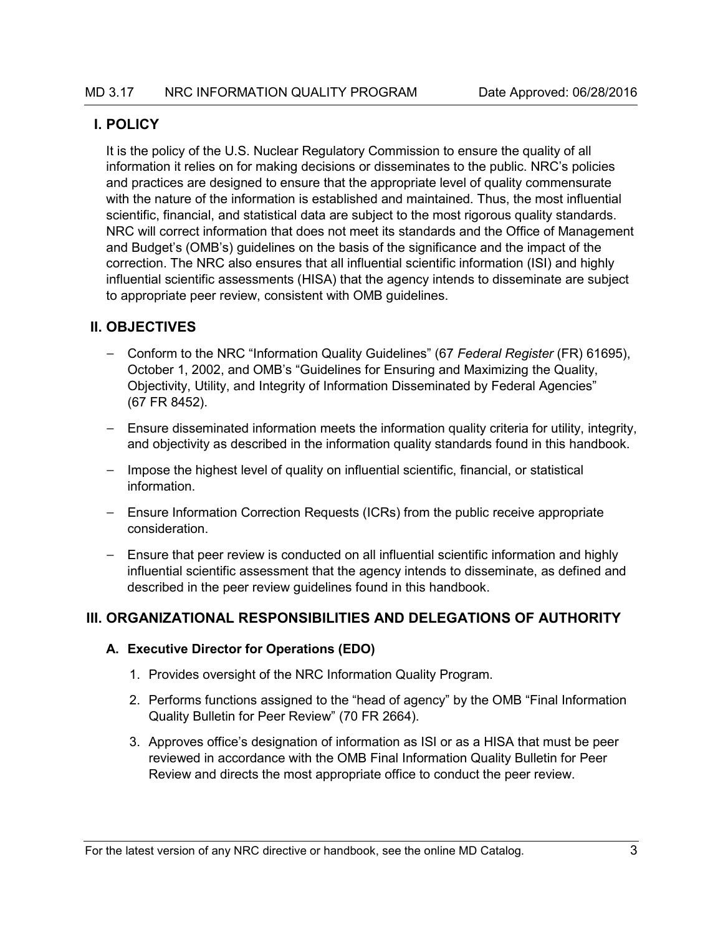# <span id="page-2-0"></span>**I. POLICY**

It is the policy of the U.S. Nuclear Regulatory Commission to ensure the quality of all information it relies on for making decisions or disseminates to the public. NRC's policies and practices are designed to ensure that the appropriate level of quality commensurate with the nature of the information is established and maintained. Thus, the most influential scientific, financial, and statistical data are subject to the most rigorous quality standards. NRC will correct information that does not meet its standards and the Office of Management and Budget's (OMB's) guidelines on the basis of the significance and the impact of the correction. The NRC also ensures that all influential scientific information (ISI) and highly influential scientific assessments (HISA) that the agency intends to disseminate are subject to appropriate peer review, consistent with OMB guidelines.

# <span id="page-2-1"></span>**II. OBJECTIVES**

- Conform to the NRC "Information Quality Guidelines" (67 *Federal Register* (FR) 61695), October 1, 2002, and OMB's "Guidelines for Ensuring and Maximizing the Quality, Objectivity, Utility, and Integrity of Information Disseminated by Federal Agencies" (67 FR 8452).
- Ensure disseminated information meets the information quality criteria for utility, integrity, and objectivity as described in the information quality standards found in this handbook.
- Impose the highest level of quality on influential scientific, financial, or statistical information.
- Ensure Information Correction Requests (ICRs) from the public receive appropriate consideration.
- Ensure that peer review is conducted on all influential scientific information and highly influential scientific assessment that the agency intends to disseminate, as defined and described in the peer review guidelines found in this handbook.

# <span id="page-2-2"></span>**III. ORGANIZATIONAL RESPONSIBILITIES AND DELEGATIONS OF AUTHORITY**

# <span id="page-2-3"></span>**A. Executive Director for Operations (EDO)**

- 1. Provides oversight of the NRC Information Quality Program.
- 2. Performs functions assigned to the "head of agency" by the OMB "Final Information Quality Bulletin for Peer Review" (70 FR 2664).
- 3. Approves office's designation of information as ISI or as a HISA that must be peer reviewed in accordance with the OMB Final Information Quality Bulletin for Peer Review and directs the most appropriate office to conduct the peer review.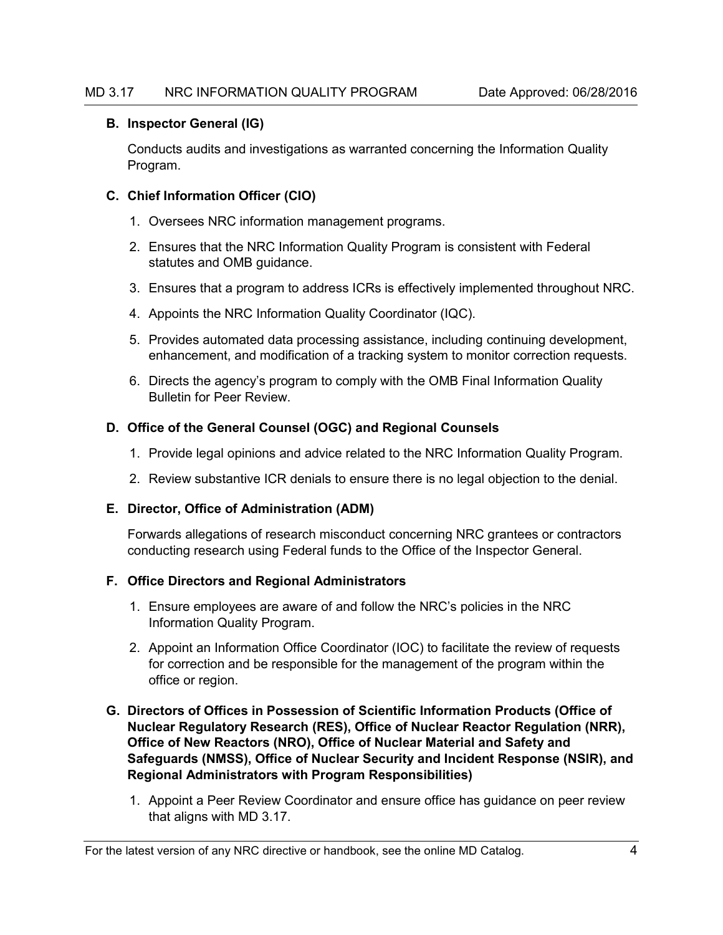#### <span id="page-3-0"></span>**B. Inspector General (IG)**

Conducts audits and investigations as warranted concerning the Information Quality Program.

## <span id="page-3-1"></span>**C. Chief Information Officer (CIO)**

- 1. Oversees NRC information management programs.
- 2. Ensures that the NRC Information Quality Program is consistent with Federal statutes and OMB guidance.
- 3. Ensures that a program to address ICRs is effectively implemented throughout NRC.
- 4. Appoints the NRC Information Quality Coordinator (IQC).
- 5. Provides automated data processing assistance, including continuing development, enhancement, and modification of a tracking system to monitor correction requests.
- 6. Directs the agency's program to comply with the OMB Final Information Quality Bulletin for Peer Review.

## <span id="page-3-2"></span>**D. Office of the General Counsel (OGC) and Regional Counsels**

- 1. Provide legal opinions and advice related to the NRC Information Quality Program.
- 2. Review substantive ICR denials to ensure there is no legal objection to the denial.

#### <span id="page-3-3"></span>**E. Director, Office of Administration (ADM)**

Forwards allegations of research misconduct concerning NRC grantees or contractors conducting research using Federal funds to the Office of the Inspector General.

#### <span id="page-3-4"></span>**F. Office Directors and Regional Administrators**

- 1. Ensure employees are aware of and follow the NRC's policies in the NRC Information Quality Program.
- 2. Appoint an Information Office Coordinator (IOC) to facilitate the review of requests for correction and be responsible for the management of the program within the office or region.

## <span id="page-3-5"></span>**G. Directors of Offices in Possession of Scientific Information Products (Office of Nuclear Regulatory Research (RES), Office of Nuclear Reactor Regulation (NRR), Office of New Reactors (NRO), Office of Nuclear Material and Safety and Safeguards (NMSS), Office of Nuclear Security and Incident Response (NSIR), and Regional Administrators with Program Responsibilities)**

1. Appoint a Peer Review Coordinator and ensure office has guidance on peer review that aligns with MD 3.17.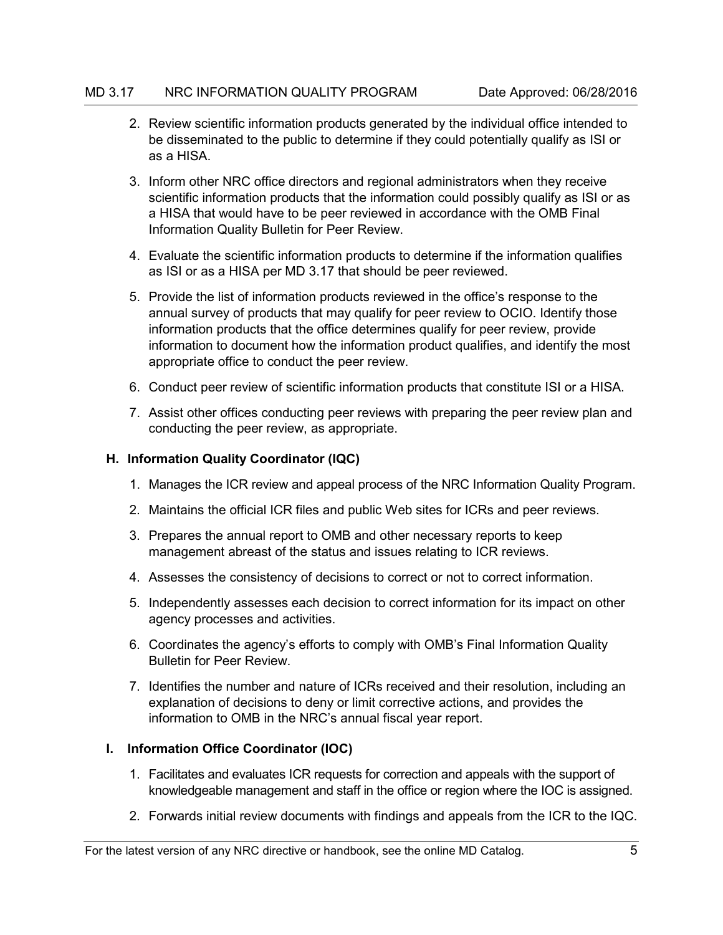- 2. Review scientific information products generated by the individual office intended to be disseminated to the public to determine if they could potentially qualify as ISI or as a HISA.
- 3. Inform other NRC office directors and regional administrators when they receive scientific information products that the information could possibly qualify as ISI or as a HISA that would have to be peer reviewed in accordance with the OMB Final Information Quality Bulletin for Peer Review.
- 4. Evaluate the scientific information products to determine if the information qualifies as ISI or as a HISA per MD 3.17 that should be peer reviewed.
- 5. Provide the list of information products reviewed in the office's response to the annual survey of products that may qualify for peer review to OCIO. Identify those information products that the office determines qualify for peer review, provide information to document how the information product qualifies, and identify the most appropriate office to conduct the peer review.
- 6. Conduct peer review of scientific information products that constitute ISI or a HISA.
- 7. Assist other offices conducting peer reviews with preparing the peer review plan and conducting the peer review, as appropriate.

#### <span id="page-4-0"></span>**H. Information Quality Coordinator (IQC)**

- 1. Manages the ICR review and appeal process of the NRC Information Quality Program.
- 2. Maintains the official ICR files and public Web sites for ICRs and peer reviews.
- 3. Prepares the annual report to OMB and other necessary reports to keep management abreast of the status and issues relating to ICR reviews.
- 4. Assesses the consistency of decisions to correct or not to correct information.
- 5. Independently assesses each decision to correct information for its impact on other agency processes and activities.
- 6. Coordinates the agency's efforts to comply with OMB's Final Information Quality Bulletin for Peer Review.
- 7. Identifies the number and nature of ICRs received and their resolution, including an explanation of decisions to deny or limit corrective actions, and provides the information to OMB in the NRC's annual fiscal year report.

#### <span id="page-4-1"></span>**I. Information Office Coordinator (IOC)**

- 1. Facilitates and evaluates ICR requests for correction and appeals with the support of knowledgeable management and staff in the office or region where the IOC is assigned.
- 2. Forwards initial review documents with findings and appeals from the ICR to the IQC.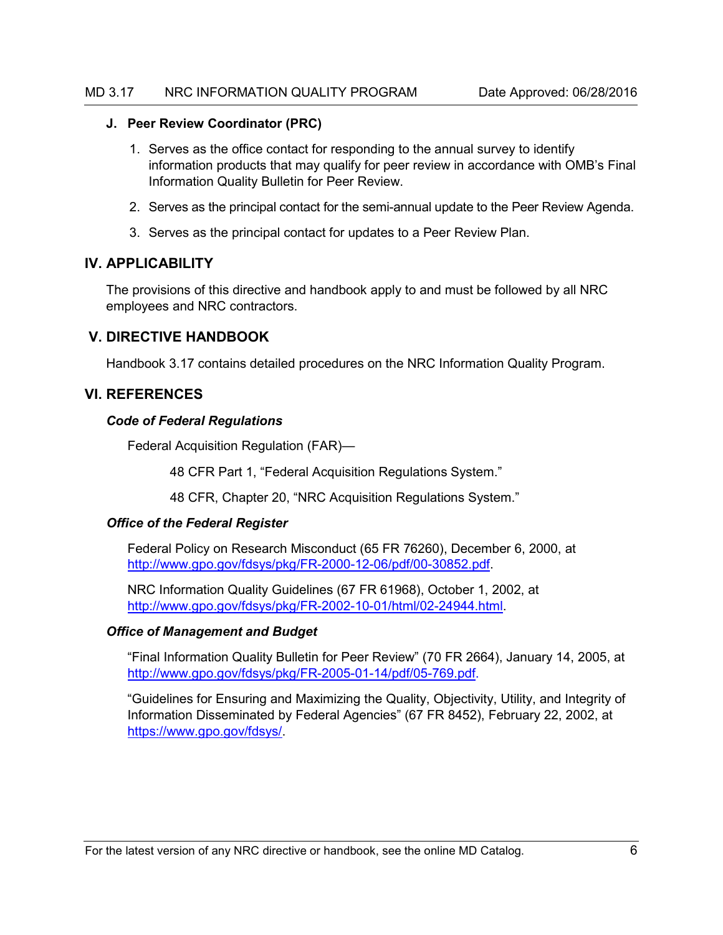## <span id="page-5-0"></span>**J. Peer Review Coordinator (PRC)**

- 1. Serves as the office contact for responding to the annual survey to identify information products that may qualify for peer review in accordance with OMB's Final Information Quality Bulletin for Peer Review.
- 2. Serves as the principal contact for the semi-annual update to the Peer Review Agenda.
- 3. Serves as the principal contact for updates to a Peer Review Plan.

# <span id="page-5-1"></span>**IV. APPLICABILITY**

The provisions of this directive and handbook apply to and must be followed by all NRC employees and NRC contractors.

# <span id="page-5-2"></span>**V. DIRECTIVE HANDBOOK**

Handbook 3.17 contains detailed procedures on the NRC Information Quality Program.

# <span id="page-5-3"></span>**VI. REFERENCES**

#### *Code of Federal Regulations*

Federal Acquisition Regulation (FAR)—

48 CFR Part 1, "Federal Acquisition Regulations System."

48 CFR, Chapter 20, "NRC Acquisition Regulations System."

## *Office of the Federal Register*

Federal Policy on Research Misconduct (65 FR 76260), December 6, 2000, at [http://www.gpo.gov/fdsys/pkg/FR-2000-12-06/pdf/00-30852.pdf.](http://www.gpo.gov/fdsys/pkg/FR-2000-12-06/pdf/00-30852.pdf)

NRC Information Quality Guidelines (67 FR 61968), October 1, 2002, at [http://www.gpo.gov/fdsys/pkg/FR-2002-10-01/html/02-24944.html.](http://www.gpo.gov/fdsys/pkg/FR-2002-10-01/html/02-24944.htm)

## *Office of Management and Budget*

"Final Information Quality Bulletin for Peer Review" (70 FR 2664), January 14, 2005, at [http://www.gpo.gov/fdsys/pkg/FR-2005-01-14/pdf/05-769.pdf.](http://www.gpo.gov/fdsys/pkg/FR-2005-01-14/pdf/05-769.pdf)

"Guidelines for Ensuring and Maximizing the Quality, Objectivity, Utility, and Integrity of Information Disseminated by Federal Agencies" (67 FR 8452), February 22, 2002, at [https://www.gpo.gov/fdsys/.](https://www.gpo.gov/fdsys/)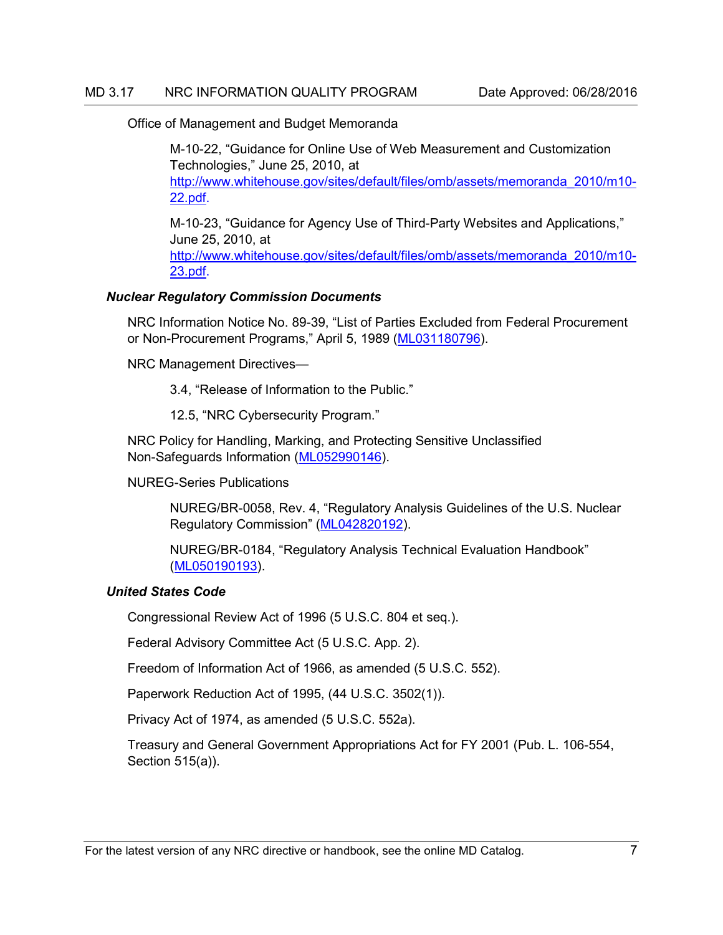Office of Management and Budget Memoranda

M-10-22, "Guidance for Online Use of Web Measurement and Customization Technologies," June 25, 2010, at [http://www.whitehouse.gov/sites/default/files/omb/assets/memoranda\\_2010/m10-](http://www.whitehouse.gov/sites/default/files/omb/assets/memoranda_2010/m10-22.pdf) [22.pdf.](http://www.whitehouse.gov/sites/default/files/omb/assets/memoranda_2010/m10-22.pdf)

M-10-23, "Guidance for Agency Use of Third-Party Websites and Applications," June 25, 2010, at [http://www.whitehouse.gov/sites/default/files/omb/assets/memoranda\\_2010/m10-](http://www.whitehouse.gov/sites/default/files/omb/assets/memoranda_2010/m10-23.pdf) [23.pdf.](http://www.whitehouse.gov/sites/default/files/omb/assets/memoranda_2010/m10-23.pdf)

## *Nuclear Regulatory Commission Documents*

NRC Information Notice No. 89-39, "List of Parties Excluded from Federal Procurement or Non-Procurement Programs," April 5, 1989 [\(ML031180796\)](https://adamsxt.nrc.gov/WorkplaceXT/getContent?id=release&vsId=%7B0C79EA34-C515-4F71-B0F0-9F1FA9AD6AA4%7D&objectStoreName=Main.__.Library&objectType=document).

NRC Management Directives—

3.4, "Release of Information to the Public."

12.5, "NRC Cybersecurity Program."

NRC Policy for Handling, Marking, and Protecting Sensitive Unclassified Non-Safeguards Information [\(ML052990146\)](https://adamsxt.nrc.gov/WorkplaceXT/getContent?id=release&vsId=%7BF6EB6722-0D08-4047-ACD5-EDEE33E8EA4D%7D&objectStoreName=Main.__.Library&objectType=document).

NUREG-Series Publications

NUREG/BR-0058, Rev. 4, "Regulatory Analysis Guidelines of the U.S. Nuclear Regulatory Commission" [\(ML042820192\)](https://adamsxt.nrc.gov/WorkplaceXT/getContent?id=release&vsId=%7B5D19E2C9-2267-42AA-9060-A88E77806BB5%7D&objectStoreName=Main.__.Library&objectType=document).

NUREG/BR-0184, "Regulatory Analysis Technical Evaluation Handbook" [\(ML050190193\)](https://adamsxt.nrc.gov/WorkplaceXT/getContent?id=release&vsId=%7BD9464A69-2B04-41DE-9224-E4786841FCBF%7D&objectStoreName=Main.__.Library&objectType=document).

## *United States Code*

Congressional Review Act of 1996 (5 U.S.C. 804 et seq.).

Federal Advisory Committee Act (5 U.S.C. App. 2).

Freedom of Information Act of 1966, as amended (5 U.S.C. 552).

Paperwork Reduction Act of 1995, (44 U.S.C. 3502(1)).

Privacy Act of 1974, as amended (5 U.S.C. 552a).

Treasury and General Government Appropriations Act for FY 2001 (Pub. L. 106-554, Section 515(a)).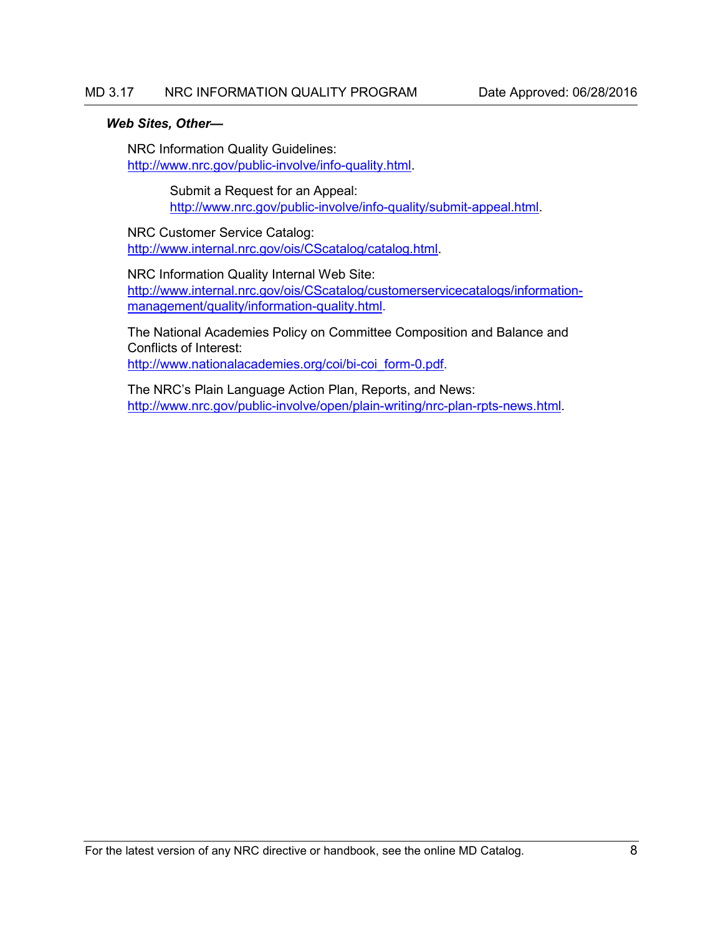#### *Web Sites, Other—*

NRC Information Quality Guidelines: [http://www.nrc.gov/public-involve/info-quality.html.](http://www.nrc.gov/public-involve/info-quality.html)

> Submit a Request for an Appeal: [http://www.nrc.gov/public-involve/info-quality/submit-appeal.html.](http://www.nrc.gov/public-involve/info-quality/submit-appeal.html)

NRC Customer Service Catalog: [http://www.internal.nrc.gov/ois/CScatalog/catalog.html.](http://www.internal.nrc.gov/ois/CScatalog/catalog.html)

NRC Information Quality Internal Web Site: [http://www.internal.nrc.gov/ois/CScatalog/customerservicecatalogs/information](http://www.internal.nrc.gov/ois/CScatalog/customerservicecatalogs/information-management/quality/information-quality.html)[management/quality/information-quality.html.](http://www.internal.nrc.gov/ois/CScatalog/customerservicecatalogs/information-management/quality/information-quality.html)

The National Academies Policy on Committee Composition and Balance and Conflicts of Interest: [http://www.nationalacademies.org/coi/bi-coi\\_form-0.pdf.](http://www.nationalacademies.org/coi/bi-coi_form-0.pdf)

The NRC's Plain Language Action Plan, Reports, and News: [http://www.nrc.gov/public-involve/open/plain-writing/nrc-plan-rpts-news.html.](http://www.nrc.gov/public-involve/open/plain-writing/nrc-plan-rpts-news.html)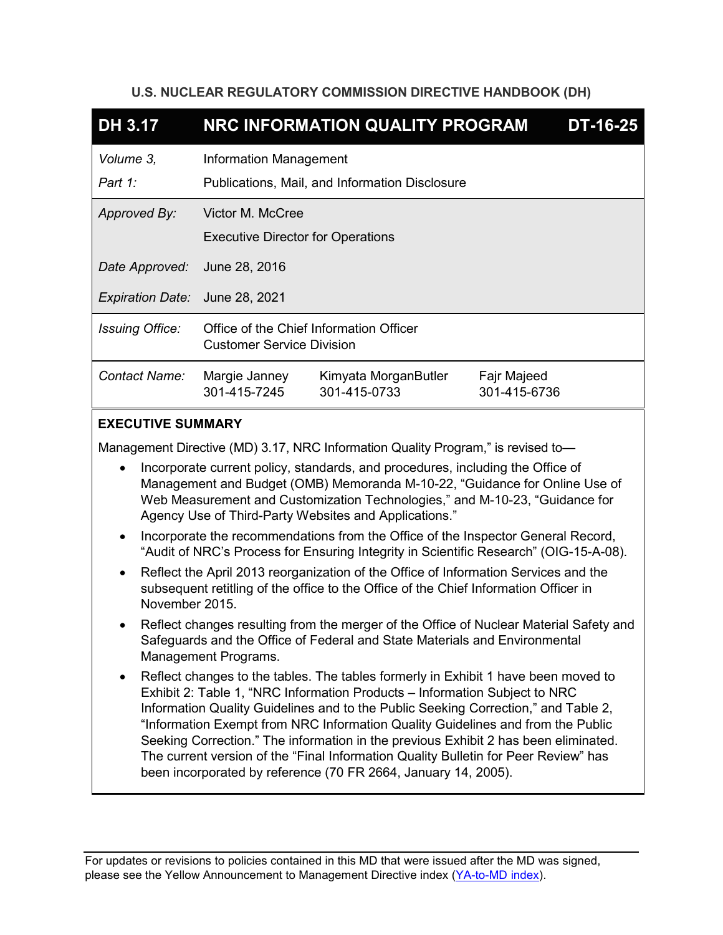# **U.S. NUCLEAR REGULATORY COMMISSION DIRECTIVE HANDBOOK (DH)**

| <b>DH 3.17</b>                                                                   | NRC INFORMATION QUALITY PROGRAM          |                                                |              | <b>DT-16-25</b> |
|----------------------------------------------------------------------------------|------------------------------------------|------------------------------------------------|--------------|-----------------|
| Volume 3,                                                                        | Information Management                   |                                                |              |                 |
| Part 1:                                                                          |                                          | Publications, Mail, and Information Disclosure |              |                 |
| Approved By:                                                                     | Victor M. McCree                         |                                                |              |                 |
|                                                                                  | <b>Executive Director for Operations</b> |                                                |              |                 |
| Date Approved:                                                                   | June 28, 2016                            |                                                |              |                 |
| Expiration Date: June 28, 2021                                                   |                                          |                                                |              |                 |
| <b>Issuing Office:</b>                                                           | <b>Customer Service Division</b>         | Office of the Chief Information Officer        |              |                 |
| Contact Name:                                                                    | Margie Janney                            | Kimyata MorganButler                           | Fajr Majeed  |                 |
|                                                                                  | 301-415-7245                             | 301-415-0733                                   | 301-415-6736 |                 |
| <b>EXECUTIVE SUMMARY</b>                                                         |                                          |                                                |              |                 |
| Management Directive (MD) 3.17, NRC Information Quality Program," is revised to- |                                          |                                                |              |                 |
| Incorporate current policy, standards, and procedures, including the Office of   |                                          |                                                |              |                 |

- Management and Budget (OMB) Memoranda M-10-22, "Guidance for Online Use of Web Measurement and Customization Technologies," and M-10-23, "Guidance for Agency Use of Third-Party Websites and Applications."
- Incorporate the recommendations from the Office of the Inspector General Record, "Audit of NRC's Process for Ensuring Integrity in Scientific Research" (OIG-15-A-08).
- Reflect the April 2013 reorganization of the Office of Information Services and the subsequent retitling of the office to the Office of the Chief Information Officer in November 2015.
- Reflect changes resulting from the merger of the Office of Nuclear Material Safety and Safeguards and the Office of Federal and State Materials and Environmental Management Programs.
- Reflect changes to the tables. The tables formerly in Exhibit 1 have been moved to Exhibit 2: Table 1, "NRC Information Products – Information Subject to NRC Information Quality Guidelines and to the Public Seeking Correction," and Table 2, "Information Exempt from NRC Information Quality Guidelines and from the Public Seeking Correction." The information in the previous Exhibit 2 has been eliminated. The current version of the "Final Information Quality Bulletin for Peer Review" has been incorporated by reference (70 FR 2664, January 14, 2005).

For updates or revisions to policies contained in this MD that were issued after the MD was signed, please see the Yellow Announcement to Management Directive index [\(YA-to-MD index\)](http://fusion.nrc.gov/adm/team/DAS/RADB/MD/Lists/yellowtoMD_index/AllItems.aspx).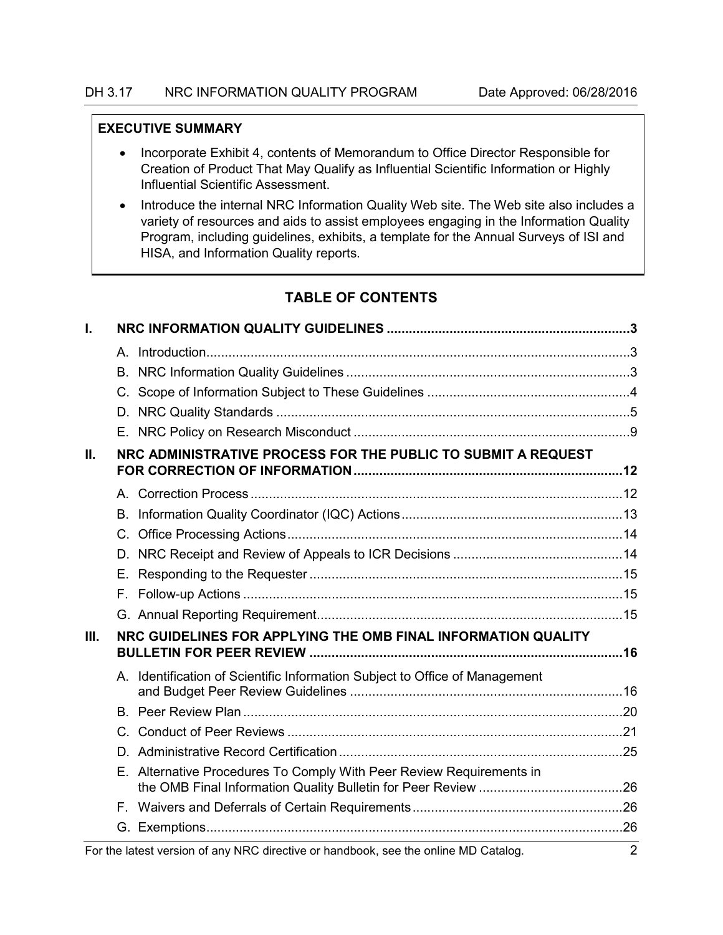#### **EXECUTIVE SUMMARY**

- Incorporate Exhibit 4, contents of Memorandum to Office Director Responsible for Creation of Product That May Qualify as Influential Scientific Information or Highly Influential Scientific Assessment.
- Introduce the internal NRC Information Quality Web site. The Web site also includes a variety of resources and aids to assist employees engaging in the Information Quality Program, including guidelines, exhibits, a template for the Annual Surveys of ISI and HISA, and Information Quality reports.

# **TABLE OF CONTENTS**

| I.   |    |                                                                                     |                |
|------|----|-------------------------------------------------------------------------------------|----------------|
|      |    |                                                                                     |                |
|      |    |                                                                                     |                |
|      |    |                                                                                     |                |
|      |    |                                                                                     |                |
|      |    |                                                                                     |                |
| II.  |    | NRC ADMINISTRATIVE PROCESS FOR THE PUBLIC TO SUBMIT A REQUEST                       |                |
|      |    |                                                                                     |                |
|      | В. |                                                                                     |                |
|      |    |                                                                                     |                |
|      | D. |                                                                                     |                |
|      | Е. |                                                                                     |                |
|      | F. |                                                                                     |                |
|      |    |                                                                                     |                |
| III. |    | NRC GUIDELINES FOR APPLYING THE OMB FINAL INFORMATION QUALITY                       |                |
|      |    | A. Identification of Scientific Information Subject to Office of Management         |                |
|      |    |                                                                                     |                |
|      |    |                                                                                     |                |
|      |    |                                                                                     |                |
|      | Е. | Alternative Procedures To Comply With Peer Review Requirements in                   |                |
|      |    |                                                                                     |                |
|      |    |                                                                                     |                |
|      |    | For the latest version of any NRC directive or handbook, see the online MD Catalog. | $\overline{2}$ |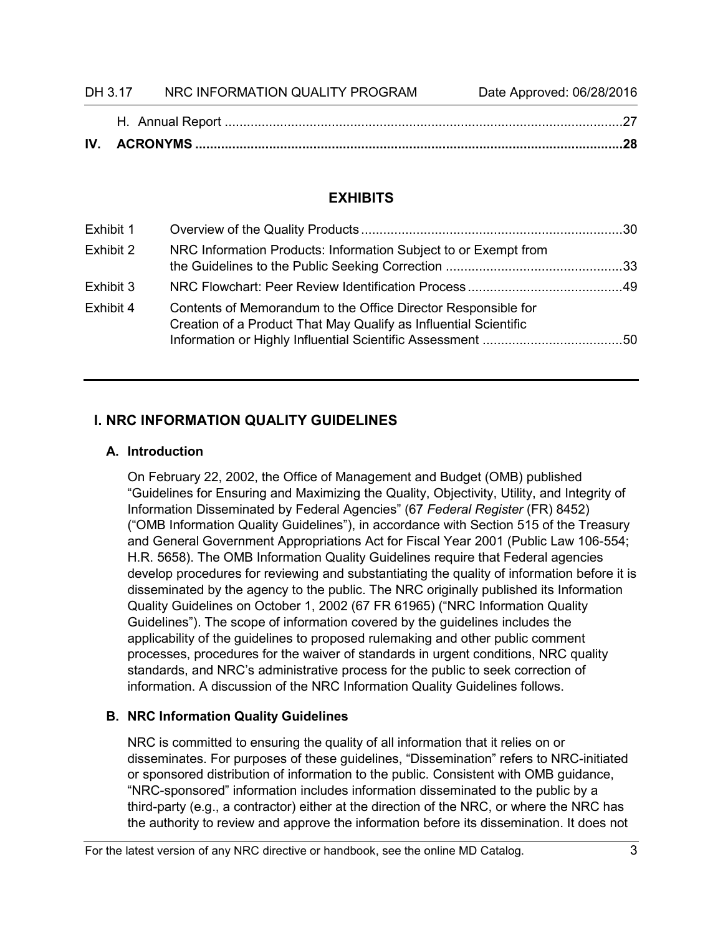| DH 3.17 | NRC INFORMATION QUALITY PROGRAM | Date Approved: 06/28/2016 |
|---------|---------------------------------|---------------------------|

# **EXHIBITS**

| Exhibit 1 |                                                                                                                                   |  |
|-----------|-----------------------------------------------------------------------------------------------------------------------------------|--|
| Exhibit 2 | NRC Information Products: Information Subject to or Exempt from                                                                   |  |
| Exhibit 3 |                                                                                                                                   |  |
| Exhibit 4 | Contents of Memorandum to the Office Director Responsible for<br>Creation of a Product That May Qualify as Influential Scientific |  |

# <span id="page-10-0"></span>**I. NRC INFORMATION QUALITY GUIDELINES**

# <span id="page-10-1"></span>**A. Introduction**

On February 22, 2002, the Office of Management and Budget (OMB) published "Guidelines for Ensuring and Maximizing the Quality, Objectivity, Utility, and Integrity of Information Disseminated by Federal Agencies" (67 *Federal Register* (FR) 8452) ("OMB Information Quality Guidelines"), in accordance with Section 515 of the Treasury and General Government Appropriations Act for Fiscal Year 2001 (Public Law 106-554; H.R. 5658). The OMB Information Quality Guidelines require that Federal agencies develop procedures for reviewing and substantiating the quality of information before it is disseminated by the agency to the public. The NRC originally published its Information Quality Guidelines on October 1, 2002 (67 FR 61965) ("NRC Information Quality Guidelines"). The scope of information covered by the guidelines includes the applicability of the guidelines to proposed rulemaking and other public comment processes, procedures for the waiver of standards in urgent conditions, NRC quality standards, and NRC's administrative process for the public to seek correction of information. A discussion of the NRC Information Quality Guidelines follows.

# <span id="page-10-2"></span>**B. NRC Information Quality Guidelines**

NRC is committed to ensuring the quality of all information that it relies on or disseminates. For purposes of these guidelines, "Dissemination" refers to NRC-initiated or sponsored distribution of information to the public. Consistent with OMB guidance, "NRC-sponsored" information includes information disseminated to the public by a third-party (e.g., a contractor) either at the direction of the NRC, or where the NRC has the authority to review and approve the information before its dissemination. It does not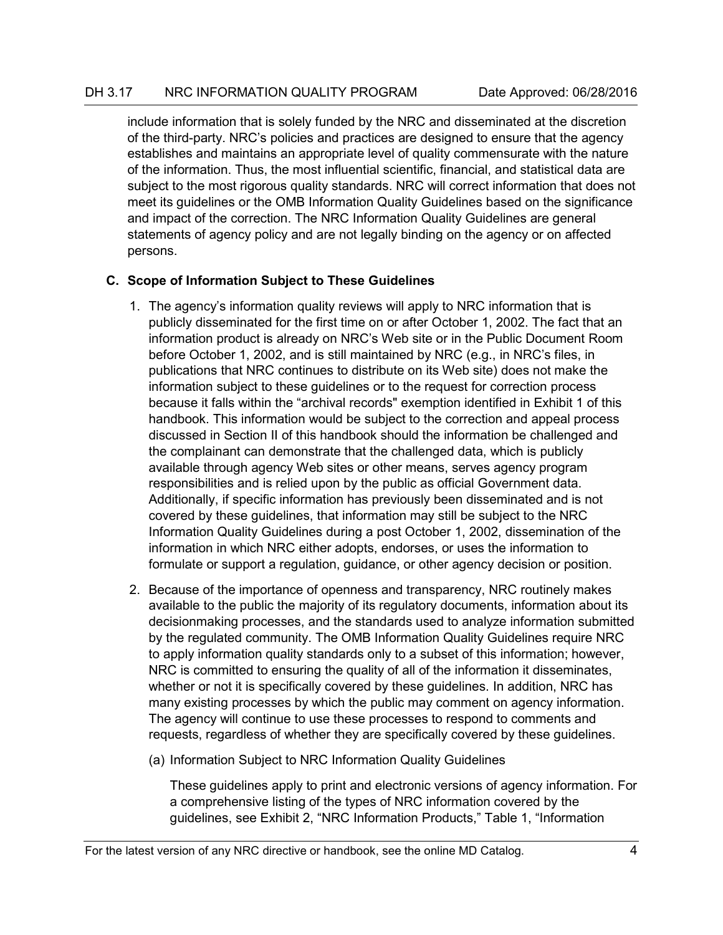include information that is solely funded by the NRC and disseminated at the discretion of the third-party. NRC's policies and practices are designed to ensure that the agency establishes and maintains an appropriate level of quality commensurate with the nature of the information. Thus, the most influential scientific, financial, and statistical data are subject to the most rigorous quality standards. NRC will correct information that does not meet its guidelines or the OMB Information Quality Guidelines based on the significance and impact of the correction. The NRC Information Quality Guidelines are general statements of agency policy and are not legally binding on the agency or on affected persons.

# <span id="page-11-0"></span>**C. Scope of Information Subject to These Guidelines**

- 1. The agency's information quality reviews will apply to NRC information that is publicly disseminated for the first time on or after October 1, 2002. The fact that an information product is already on NRC's Web site or in the Public Document Room before October 1, 2002, and is still maintained by NRC (e.g., in NRC's files, in publications that NRC continues to distribute on its Web site) does not make the information subject to these guidelines or to the request for correction process because it falls within the "archival records" exemption identified in Exhibit 1 of this handbook. This information would be subject to the correction and appeal process discussed in Section II of this handbook should the information be challenged and the complainant can demonstrate that the challenged data, which is publicly available through agency Web sites or other means, serves agency program responsibilities and is relied upon by the public as official Government data. Additionally, if specific information has previously been disseminated and is not covered by these guidelines, that information may still be subject to the NRC Information Quality Guidelines during a post October 1, 2002, dissemination of the information in which NRC either adopts, endorses, or uses the information to formulate or support a regulation, guidance, or other agency decision or position.
- 2. Because of the importance of openness and transparency, NRC routinely makes available to the public the majority of its regulatory documents, information about its decisionmaking processes, and the standards used to analyze information submitted by the regulated community. The OMB Information Quality Guidelines require NRC to apply information quality standards only to a subset of this information; however, NRC is committed to ensuring the quality of all of the information it disseminates, whether or not it is specifically covered by these guidelines. In addition, NRC has many existing processes by which the public may comment on agency information. The agency will continue to use these processes to respond to comments and requests, regardless of whether they are specifically covered by these guidelines.
	- (a) Information Subject to NRC Information Quality Guidelines

These guidelines apply to print and electronic versions of agency information. For a comprehensive listing of the types of NRC information covered by the guidelines, see Exhibit 2, "NRC Information Products," Table 1, "Information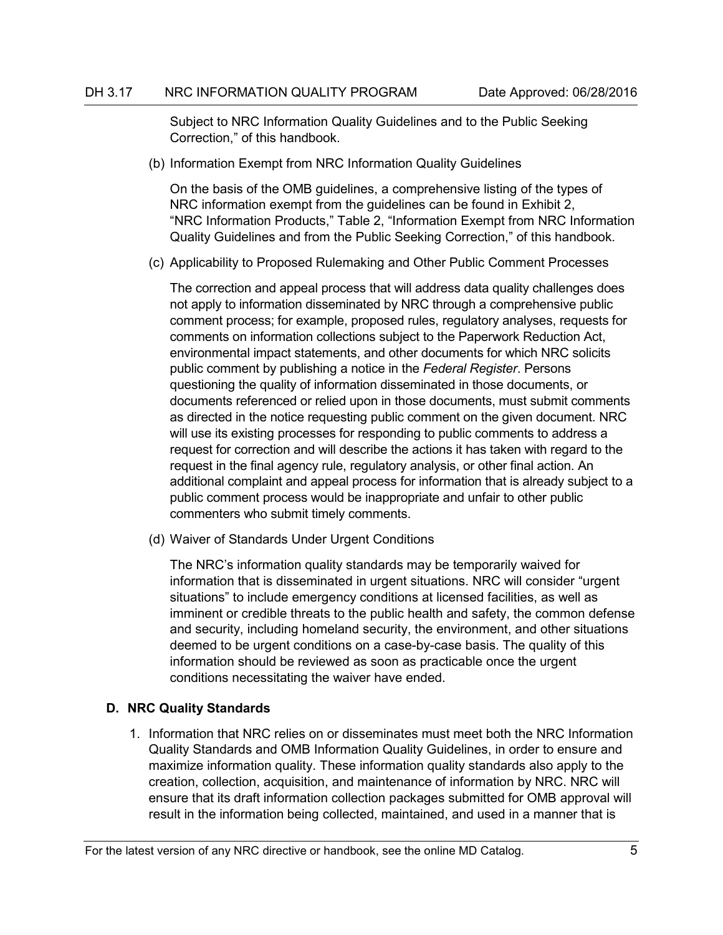Subject to NRC Information Quality Guidelines and to the Public Seeking Correction," of this handbook.

(b) Information Exempt from NRC Information Quality Guidelines

On the basis of the OMB guidelines, a comprehensive listing of the types of NRC information exempt from the guidelines can be found in Exhibit 2, "NRC Information Products," Table 2, "Information Exempt from NRC Information Quality Guidelines and from the Public Seeking Correction," of this handbook.

(c) Applicability to Proposed Rulemaking and Other Public Comment Processes

The correction and appeal process that will address data quality challenges does not apply to information disseminated by NRC through a comprehensive public comment process; for example, proposed rules, regulatory analyses, requests for comments on information collections subject to the Paperwork Reduction Act, environmental impact statements, and other documents for which NRC solicits public comment by publishing a notice in the *Federal Register*. Persons questioning the quality of information disseminated in those documents, or documents referenced or relied upon in those documents, must submit comments as directed in the notice requesting public comment on the given document. NRC will use its existing processes for responding to public comments to address a request for correction and will describe the actions it has taken with regard to the request in the final agency rule, regulatory analysis, or other final action. An additional complaint and appeal process for information that is already subject to a public comment process would be inappropriate and unfair to other public commenters who submit timely comments.

(d) Waiver of Standards Under Urgent Conditions

The NRC's information quality standards may be temporarily waived for information that is disseminated in urgent situations. NRC will consider "urgent situations" to include emergency conditions at licensed facilities, as well as imminent or credible threats to the public health and safety, the common defense and security, including homeland security, the environment, and other situations deemed to be urgent conditions on a case-by-case basis. The quality of this information should be reviewed as soon as practicable once the urgent conditions necessitating the waiver have ended.

## <span id="page-12-0"></span>**D. NRC Quality Standards**

1. Information that NRC relies on or disseminates must meet both the NRC Information Quality Standards and OMB Information Quality Guidelines, in order to ensure and maximize information quality. These information quality standards also apply to the creation, collection, acquisition, and maintenance of information by NRC. NRC will ensure that its draft information collection packages submitted for OMB approval will result in the information being collected, maintained, and used in a manner that is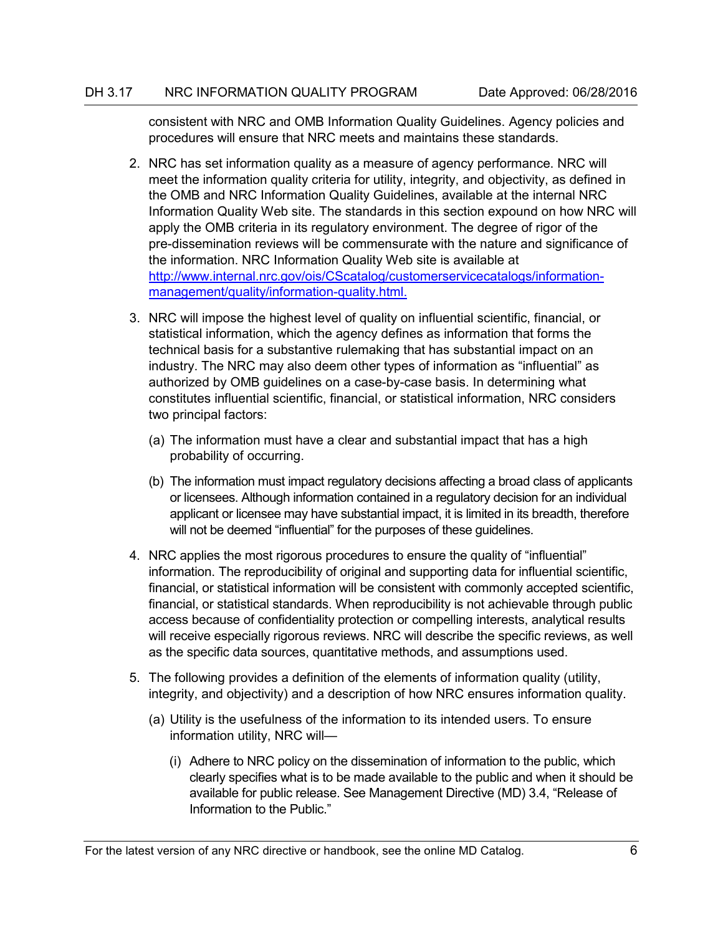consistent with NRC and OMB Information Quality Guidelines. Agency policies and procedures will ensure that NRC meets and maintains these standards.

- 2. NRC has set information quality as a measure of agency performance. NRC will meet the information quality criteria for utility, integrity, and objectivity, as defined in the OMB and NRC Information Quality Guidelines, available at the internal NRC Information Quality Web site. The standards in this section expound on how NRC will apply the OMB criteria in its regulatory environment. The degree of rigor of the pre-dissemination reviews will be commensurate with the nature and significance of the information. NRC Information Quality Web site is available at [http://www.internal.nrc.gov/ois/CScatalog/customerservicecatalogs/information](http://www.internal.nrc.gov/ois/CScatalog/customerservicecatalogs/information-management/quality/information-quality.html)[management/quality/information-quality.html.](http://www.internal.nrc.gov/ois/CScatalog/customerservicecatalogs/information-management/quality/information-quality.html)
- 3. NRC will impose the highest level of quality on influential scientific, financial, or statistical information, which the agency defines as information that forms the technical basis for a substantive rulemaking that has substantial impact on an industry. The NRC may also deem other types of information as "influential" as authorized by OMB guidelines on a case-by-case basis. In determining what constitutes influential scientific, financial, or statistical information, NRC considers two principal factors:
	- (a) The information must have a clear and substantial impact that has a high probability of occurring.
	- (b) The information must impact regulatory decisions affecting a broad class of applicants or licensees. Although information contained in a regulatory decision for an individual applicant or licensee may have substantial impact, it is limited in its breadth, therefore will not be deemed "influential" for the purposes of these guidelines.
- 4. NRC applies the most rigorous procedures to ensure the quality of "influential" information. The reproducibility of original and supporting data for influential scientific, financial, or statistical information will be consistent with commonly accepted scientific, financial, or statistical standards. When reproducibility is not achievable through public access because of confidentiality protection or compelling interests, analytical results will receive especially rigorous reviews. NRC will describe the specific reviews, as well as the specific data sources, quantitative methods, and assumptions used.
- 5. The following provides a definition of the elements of information quality (utility, integrity, and objectivity) and a description of how NRC ensures information quality.
	- (a) Utility is the usefulness of the information to its intended users. To ensure information utility, NRC will—
		- (i) Adhere to NRC policy on the dissemination of information to the public, which clearly specifies what is to be made available to the public and when it should be available for public release. See Management Directive (MD) 3.4, "Release of Information to the Public."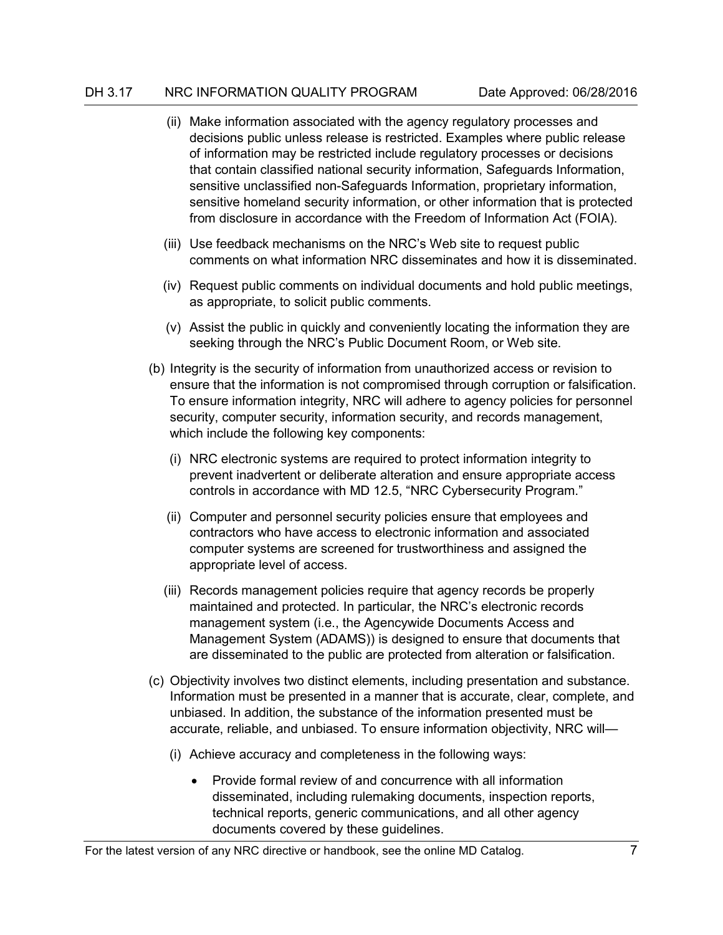- (ii) Make information associated with the agency regulatory processes and decisions public unless release is restricted. Examples where public release of information may be restricted include regulatory processes or decisions that contain classified national security information, Safeguards Information, sensitive unclassified non-Safeguards Information, proprietary information, sensitive homeland security information, or other information that is protected from disclosure in accordance with the Freedom of Information Act (FOIA).
- (iii) Use feedback mechanisms on the NRC's Web site to request public comments on what information NRC disseminates and how it is disseminated.
- (iv) Request public comments on individual documents and hold public meetings, as appropriate, to solicit public comments.
- (v) Assist the public in quickly and conveniently locating the information they are seeking through the NRC's Public Document Room, or Web site.
- (b) Integrity is the security of information from unauthorized access or revision to ensure that the information is not compromised through corruption or falsification. To ensure information integrity, NRC will adhere to agency policies for personnel security, computer security, information security, and records management, which include the following key components:
	- (i) NRC electronic systems are required to protect information integrity to prevent inadvertent or deliberate alteration and ensure appropriate access controls in accordance with MD 12.5, "NRC Cybersecurity Program."
	- (ii) Computer and personnel security policies ensure that employees and contractors who have access to electronic information and associated computer systems are screened for trustworthiness and assigned the appropriate level of access.
	- (iii) Records management policies require that agency records be properly maintained and protected. In particular, the NRC's electronic records management system (i.e., the Agencywide Documents Access and Management System (ADAMS)) is designed to ensure that documents that are disseminated to the public are protected from alteration or falsification.
- (c) Objectivity involves two distinct elements, including presentation and substance. Information must be presented in a manner that is accurate, clear, complete, and unbiased. In addition, the substance of the information presented must be accurate, reliable, and unbiased. To ensure information objectivity, NRC will—
	- (i) Achieve accuracy and completeness in the following ways:
		- Provide formal review of and concurrence with all information disseminated, including rulemaking documents, inspection reports, technical reports, generic communications, and all other agency documents covered by these guidelines.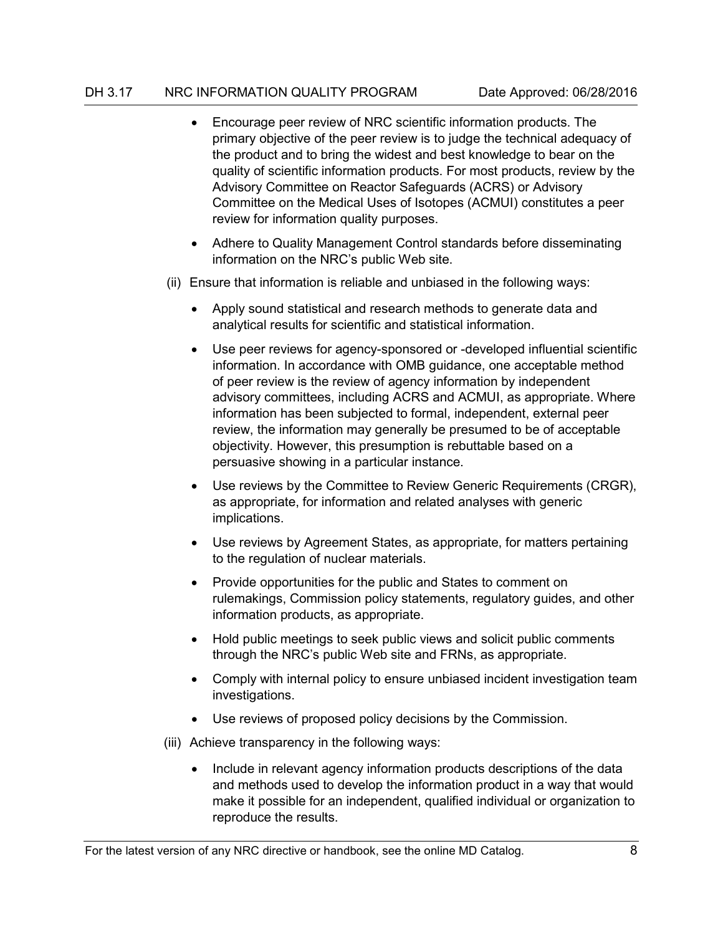- Encourage peer review of NRC scientific information products. The primary objective of the peer review is to judge the technical adequacy of the product and to bring the widest and best knowledge to bear on the quality of scientific information products. For most products, review by the Advisory Committee on Reactor Safeguards (ACRS) or Advisory Committee on the Medical Uses of Isotopes (ACMUI) constitutes a peer review for information quality purposes.
- Adhere to Quality Management Control standards before disseminating information on the NRC's public Web site.
- (ii) Ensure that information is reliable and unbiased in the following ways:
	- Apply sound statistical and research methods to generate data and analytical results for scientific and statistical information.
	- Use peer reviews for agency-sponsored or -developed influential scientific information. In accordance with OMB guidance, one acceptable method of peer review is the review of agency information by independent advisory committees, including ACRS and ACMUI, as appropriate. Where information has been subjected to formal, independent, external peer review, the information may generally be presumed to be of acceptable objectivity. However, this presumption is rebuttable based on a persuasive showing in a particular instance.
	- Use reviews by the Committee to Review Generic Requirements (CRGR), as appropriate, for information and related analyses with generic implications.
	- Use reviews by Agreement States, as appropriate, for matters pertaining to the regulation of nuclear materials.
	- Provide opportunities for the public and States to comment on rulemakings, Commission policy statements, regulatory guides, and other information products, as appropriate.
	- Hold public meetings to seek public views and solicit public comments through the NRC's public Web site and FRNs, as appropriate.
	- Comply with internal policy to ensure unbiased incident investigation team investigations.
	- Use reviews of proposed policy decisions by the Commission.
- (iii) Achieve transparency in the following ways:
	- Include in relevant agency information products descriptions of the data and methods used to develop the information product in a way that would make it possible for an independent, qualified individual or organization to reproduce the results.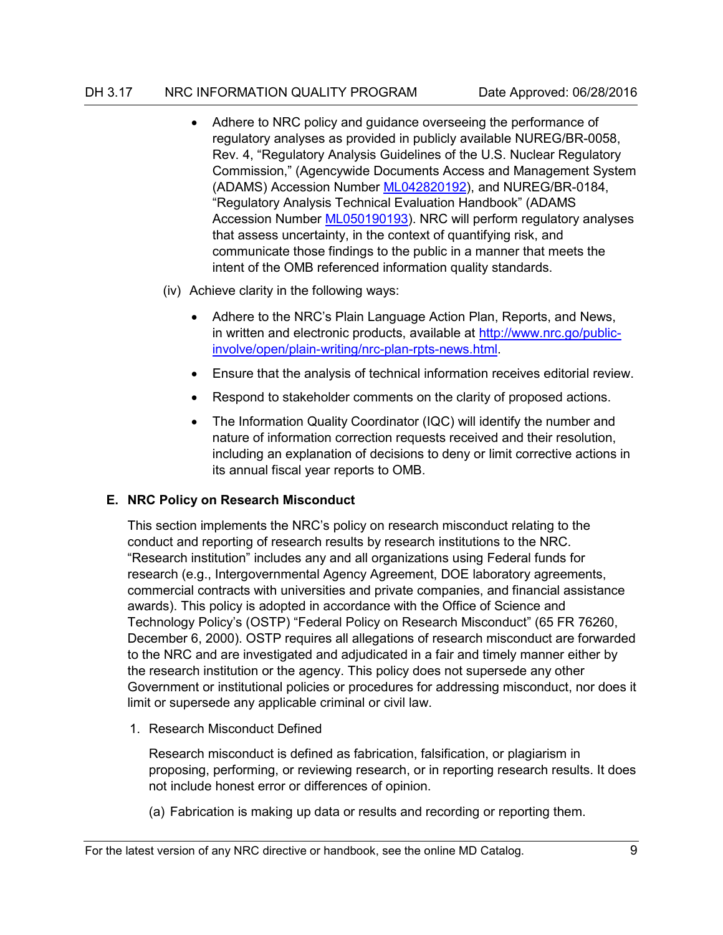- Adhere to NRC policy and guidance overseeing the performance of regulatory analyses as provided in publicly available NUREG/BR-0058, Rev. 4, "Regulatory Analysis Guidelines of the U.S. Nuclear Regulatory Commission," (Agencywide Documents Access and Management System (ADAMS) Accession Number [ML042820192\)](https://adamsxt.nrc.gov/WorkplaceXT/getContent?id=release&vsId=%7B5D19E2C9-2267-42AA-9060-A88E77806BB5%7D&objectStoreName=Main.__.Library&objectType=document), and NUREG/BR-0184, "Regulatory Analysis Technical Evaluation Handbook" (ADAMS Accession Number [ML050190193\)](https://adamsxt.nrc.gov/WorkplaceXT/getContent?id=release&vsId=%7BD9464A69-2B04-41DE-9224-E4786841FCBF%7D&objectStoreName=Main.__.Library&objectType=document). NRC will perform regulatory analyses that assess uncertainty, in the context of quantifying risk, and communicate those findings to the public in a manner that meets the intent of the OMB referenced information quality standards.
- (iv) Achieve clarity in the following ways:
	- Adhere to the NRC's Plain Language Action Plan, Reports, and News, in written and electronic products, available at [http://www.nrc.go/public](http://www.nrc.go/public-involve/open/plain-writing/nrc-plan-rpts-news.html)[involve/open/plain-writing/nrc-plan-rpts-news.html.](http://www.nrc.go/public-involve/open/plain-writing/nrc-plan-rpts-news.html)
	- Ensure that the analysis of technical information receives editorial review.
	- Respond to stakeholder comments on the clarity of proposed actions.
	- The Information Quality Coordinator (IQC) will identify the number and nature of information correction requests received and their resolution, including an explanation of decisions to deny or limit corrective actions in its annual fiscal year reports to OMB.

## <span id="page-16-0"></span>**E. NRC Policy on Research Misconduct**

This section implements the NRC's policy on research misconduct relating to the conduct and reporting of research results by research institutions to the NRC. "Research institution" includes any and all organizations using Federal funds for research (e.g., Intergovernmental Agency Agreement, DOE laboratory agreements, commercial contracts with universities and private companies, and financial assistance awards). This policy is adopted in accordance with the Office of Science and Technology Policy's (OSTP) "Federal Policy on Research Misconduct" (65 FR 76260, December 6, 2000). OSTP requires all allegations of research misconduct are forwarded to the NRC and are investigated and adjudicated in a fair and timely manner either by the research institution or the agency. This policy does not supersede any other Government or institutional policies or procedures for addressing misconduct, nor does it limit or supersede any applicable criminal or civil law.

1. Research Misconduct Defined

Research misconduct is defined as fabrication, falsification, or plagiarism in proposing, performing, or reviewing research, or in reporting research results. It does not include honest error or differences of opinion.

(a) Fabrication is making up data or results and recording or reporting them.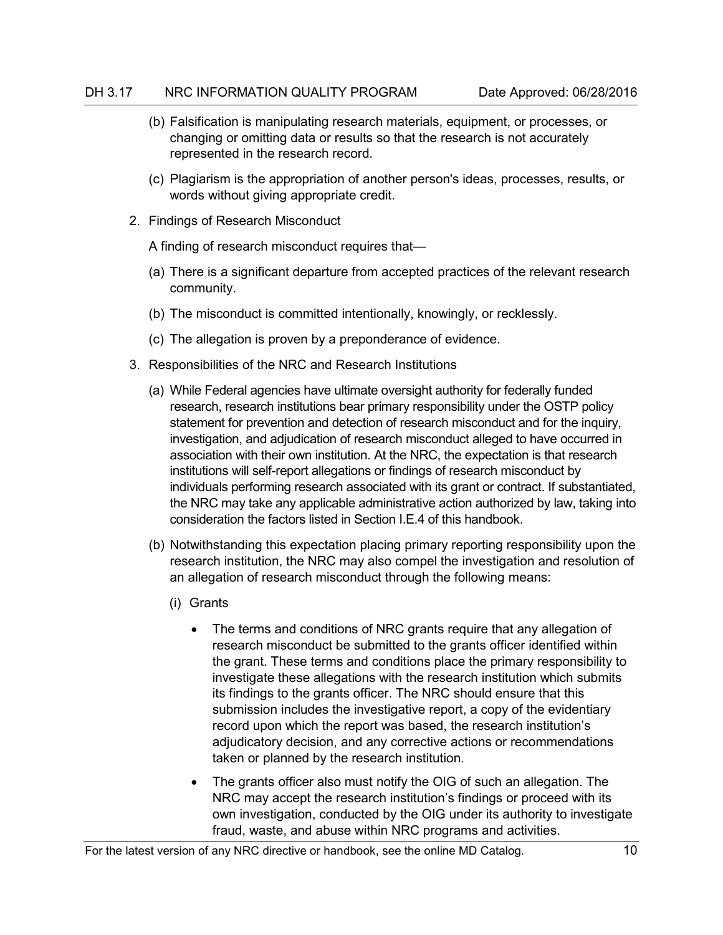- (b) Falsification is manipulating research materials, equipment, or processes, or changing or omitting data or results so that the research is not accurately represented in the research record.
- (c) Plagiarism is the appropriation of another person's ideas, processes, results, or words without giving appropriate credit.
- 2. Findings of Research Misconduct

A finding of research misconduct requires that—

- (a) There is a significant departure from accepted practices of the relevant research community.
- (b) The misconduct is committed intentionally, knowingly, or recklessly.
- (c) The allegation is proven by a preponderance of evidence.
- 3. Responsibilities of the NRC and Research Institutions
	- (a) While Federal agencies have ultimate oversight authority for federally funded research, research institutions bear primary responsibility under the OSTP policy statement for prevention and detection of research misconduct and for the inquiry, investigation, and adjudication of research misconduct alleged to have occurred in association with their own institution. At the NRC, the expectation is that research institutions will self-report allegations or findings of research misconduct by individuals performing research associated with its grant or contract. If substantiated, the NRC may take any applicable administrative action authorized by law, taking into consideration the factors listed in Section I.E.4 of this handbook.
	- (b) Notwithstanding this expectation placing primary reporting responsibility upon the research institution, the NRC may also compel the investigation and resolution of an allegation of research misconduct through the following means:
		- (i) Grants
			- The terms and conditions of NRC grants require that any allegation of research misconduct be submitted to the grants officer identified within the grant. These terms and conditions place the primary responsibility to investigate these allegations with the research institution which submits its findings to the grants officer. The NRC should ensure that this submission includes the investigative report, a copy of the evidentiary record upon which the report was based, the research institution's adjudicatory decision, and any corrective actions or recommendations taken or planned by the research institution.
			- The grants officer also must notify the OIG of such an allegation. The NRC may accept the research institution's findings or proceed with its own investigation, conducted by the OIG under its authority to investigate fraud, waste, and abuse within NRC programs and activities.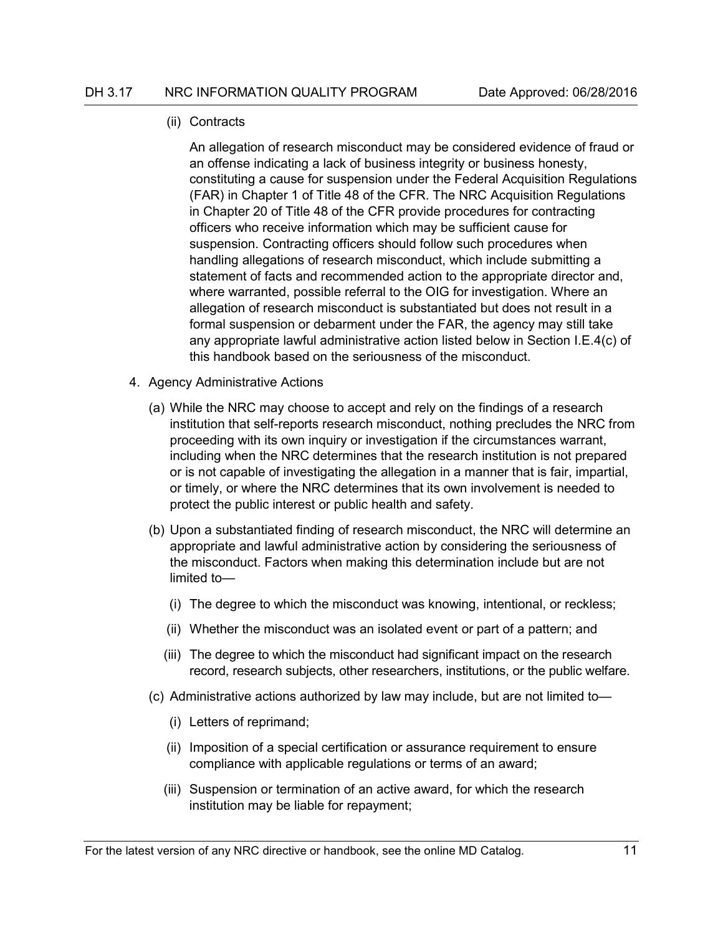#### (ii) Contracts

An allegation of research misconduct may be considered evidence of fraud or an offense indicating a lack of business integrity or business honesty, constituting a cause for suspension under the Federal Acquisition Regulations (FAR) in Chapter 1 of Title 48 of the CFR. The NRC Acquisition Regulations in Chapter 20 of Title 48 of the CFR provide procedures for contracting officers who receive information which may be sufficient cause for suspension. Contracting officers should follow such procedures when handling allegations of research misconduct, which include submitting a statement of facts and recommended action to the appropriate director and, where warranted, possible referral to the OIG for investigation. Where an allegation of research misconduct is substantiated but does not result in a formal suspension or debarment under the FAR, the agency may still take any appropriate lawful administrative action listed below in Section I.E.4(c) of this handbook based on the seriousness of the misconduct.

- 4. Agency Administrative Actions
	- (a) While the NRC may choose to accept and rely on the findings of a research institution that self-reports research misconduct, nothing precludes the NRC from proceeding with its own inquiry or investigation if the circumstances warrant, including when the NRC determines that the research institution is not prepared or is not capable of investigating the allegation in a manner that is fair, impartial, or timely, or where the NRC determines that its own involvement is needed to protect the public interest or public health and safety.
	- (b) Upon a substantiated finding of research misconduct, the NRC will determine an appropriate and lawful administrative action by considering the seriousness of the misconduct. Factors when making this determination include but are not limited to—
		- (i) The degree to which the misconduct was knowing, intentional, or reckless;
		- (ii) Whether the misconduct was an isolated event or part of a pattern; and
		- (iii) The degree to which the misconduct had significant impact on the research record, research subjects, other researchers, institutions, or the public welfare.
	- (c) Administrative actions authorized by law may include, but are not limited to—
		- (i) Letters of reprimand;
		- (ii) Imposition of a special certification or assurance requirement to ensure compliance with applicable regulations or terms of an award;
		- (iii) Suspension or termination of an active award, for which the research institution may be liable for repayment;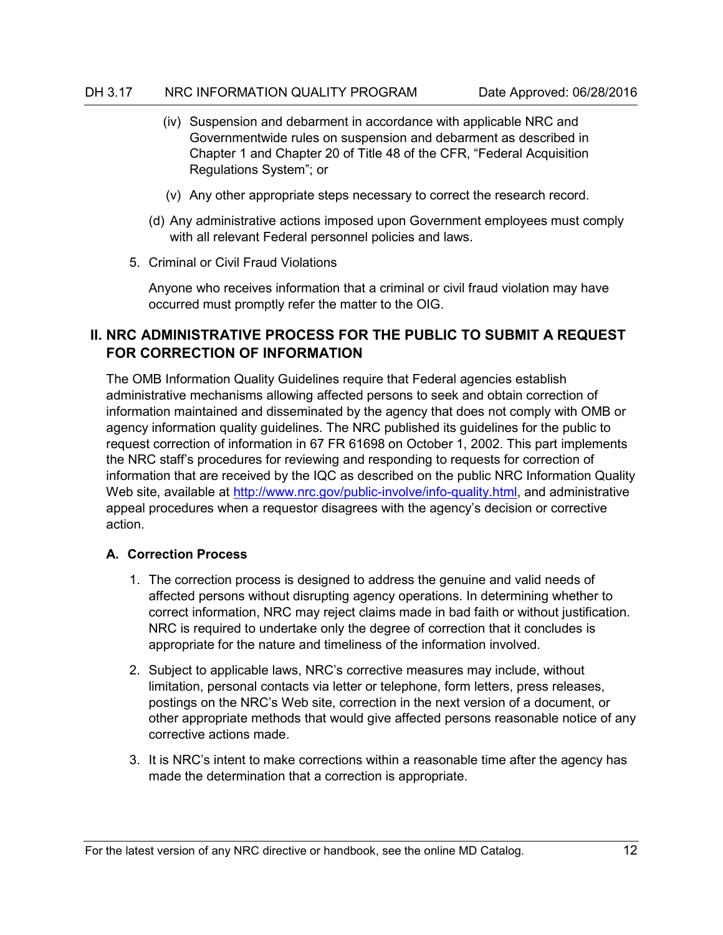- (iv) Suspension and debarment in accordance with applicable NRC and Governmentwide rules on suspension and debarment as described in Chapter 1 and Chapter 20 of Title 48 of the CFR, "Federal Acquisition Regulations System"; or
- (v) Any other appropriate steps necessary to correct the research record.
- (d) Any administrative actions imposed upon Government employees must comply with all relevant Federal personnel policies and laws.
- 5. Criminal or Civil Fraud Violations

Anyone who receives information that a criminal or civil fraud violation may have occurred must promptly refer the matter to the OIG.

# <span id="page-19-0"></span>**II. NRC ADMINISTRATIVE PROCESS FOR THE PUBLIC TO SUBMIT A REQUEST FOR CORRECTION OF INFORMATION**

The OMB Information Quality Guidelines require that Federal agencies establish administrative mechanisms allowing affected persons to seek and obtain correction of information maintained and disseminated by the agency that does not comply with OMB or agency information quality guidelines. The NRC published its guidelines for the public to request correction of information in 67 FR 61698 on October 1, 2002. This part implements the NRC staff's procedures for reviewing and responding to requests for correction of information that are received by the IQC as described on the public NRC Information Quality Web site, available at [http://www.nrc.gov/public-involve/info-quality.html,](http://www.nrc.gov/public-involve/info-quality.html) and administrative appeal procedures when a requestor disagrees with the agency's decision or corrective action.

## <span id="page-19-1"></span>**A. Correction Process**

- 1. The correction process is designed to address the genuine and valid needs of affected persons without disrupting agency operations. In determining whether to correct information, NRC may reject claims made in bad faith or without justification. NRC is required to undertake only the degree of correction that it concludes is appropriate for the nature and timeliness of the information involved.
- 2. Subject to applicable laws, NRC's corrective measures may include, without limitation, personal contacts via letter or telephone, form letters, press releases, postings on the NRC's Web site, correction in the next version of a document, or other appropriate methods that would give affected persons reasonable notice of any corrective actions made.
- 3. It is NRC's intent to make corrections within a reasonable time after the agency has made the determination that a correction is appropriate.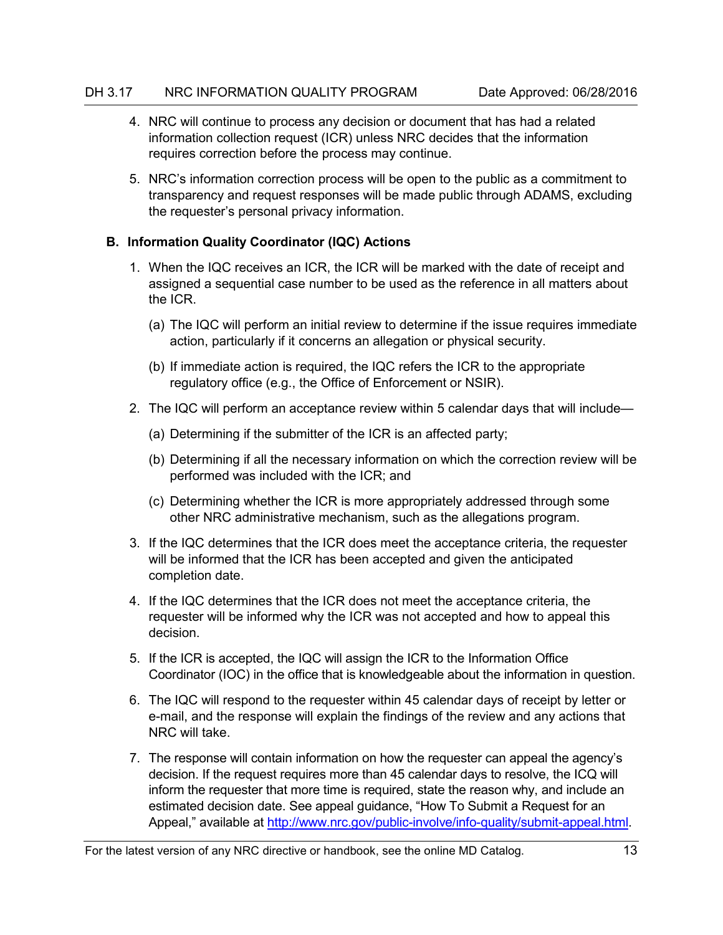- 4. NRC will continue to process any decision or document that has had a related information collection request (ICR) unless NRC decides that the information requires correction before the process may continue.
- 5. NRC's information correction process will be open to the public as a commitment to transparency and request responses will be made public through ADAMS, excluding the requester's personal privacy information.

# <span id="page-20-0"></span>**B. Information Quality Coordinator (IQC) Actions**

- 1. When the IQC receives an ICR, the ICR will be marked with the date of receipt and assigned a sequential case number to be used as the reference in all matters about the ICR.
	- (a) The IQC will perform an initial review to determine if the issue requires immediate action, particularly if it concerns an allegation or physical security.
	- (b) If immediate action is required, the IQC refers the ICR to the appropriate regulatory office (e.g., the Office of Enforcement or NSIR).
- 2. The IQC will perform an acceptance review within 5 calendar days that will include—
	- (a) Determining if the submitter of the ICR is an affected party;
	- (b) Determining if all the necessary information on which the correction review will be performed was included with the ICR; and
	- (c) Determining whether the ICR is more appropriately addressed through some other NRC administrative mechanism, such as the allegations program.
- 3. If the IQC determines that the ICR does meet the acceptance criteria, the requester will be informed that the ICR has been accepted and given the anticipated completion date.
- 4. If the IQC determines that the ICR does not meet the acceptance criteria, the requester will be informed why the ICR was not accepted and how to appeal this decision.
- 5. If the ICR is accepted, the IQC will assign the ICR to the Information Office Coordinator (IOC) in the office that is knowledgeable about the information in question.
- 6. The IQC will respond to the requester within 45 calendar days of receipt by letter or e-mail, and the response will explain the findings of the review and any actions that NRC will take.
- 7. The response will contain information on how the requester can appeal the agency's decision. If the request requires more than 45 calendar days to resolve, the ICQ will inform the requester that more time is required, state the reason why, and include an estimated decision date. See appeal guidance, "How To Submit a Request for an Appeal," available at [http://www.nrc.gov/public-involve/info-quality/submit-appeal.html.](http://www.nrc.gov/public-involve/info-quality/submit-appeal.html)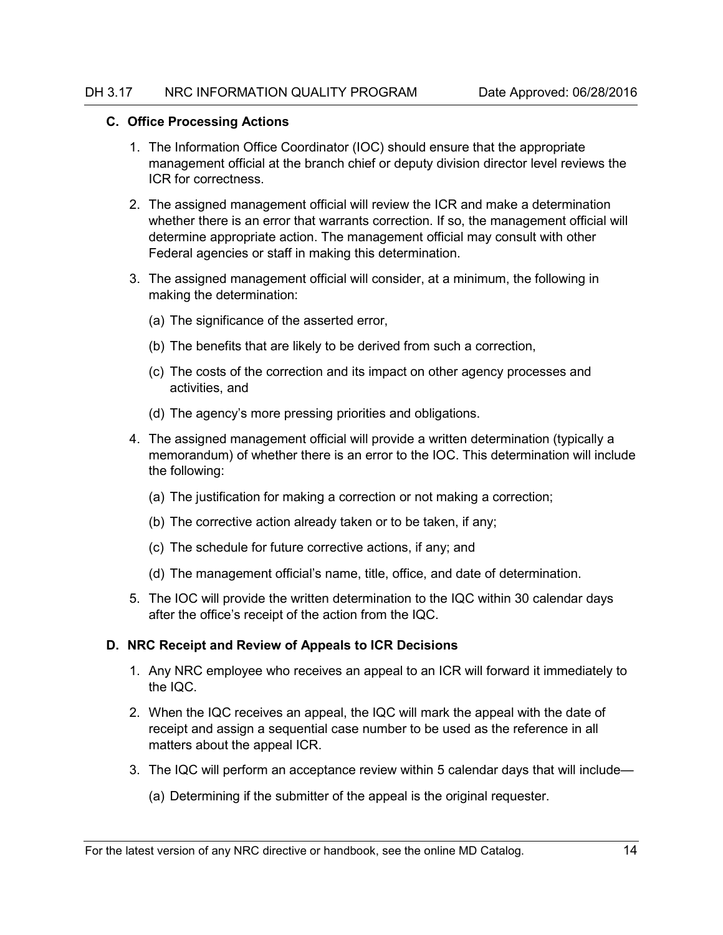#### <span id="page-21-0"></span>**C. Office Processing Actions**

- 1. The Information Office Coordinator (IOC) should ensure that the appropriate management official at the branch chief or deputy division director level reviews the ICR for correctness.
- 2. The assigned management official will review the ICR and make a determination whether there is an error that warrants correction. If so, the management official will determine appropriate action. The management official may consult with other Federal agencies or staff in making this determination.
- 3. The assigned management official will consider, at a minimum, the following in making the determination:
	- (a) The significance of the asserted error,
	- (b) The benefits that are likely to be derived from such a correction,
	- (c) The costs of the correction and its impact on other agency processes and activities, and
	- (d) The agency's more pressing priorities and obligations.
- 4. The assigned management official will provide a written determination (typically a memorandum) of whether there is an error to the IOC. This determination will include the following:
	- (a) The justification for making a correction or not making a correction;
	- (b) The corrective action already taken or to be taken, if any;
	- (c) The schedule for future corrective actions, if any; and
	- (d) The management official's name, title, office, and date of determination.
- 5. The IOC will provide the written determination to the IQC within 30 calendar days after the office's receipt of the action from the IQC.

## <span id="page-21-1"></span>**D. NRC Receipt and Review of Appeals to ICR Decisions**

- 1. Any NRC employee who receives an appeal to an ICR will forward it immediately to the IQC.
- 2. When the IQC receives an appeal, the IQC will mark the appeal with the date of receipt and assign a sequential case number to be used as the reference in all matters about the appeal ICR.
- 3. The IQC will perform an acceptance review within 5 calendar days that will include—
	- (a) Determining if the submitter of the appeal is the original requester.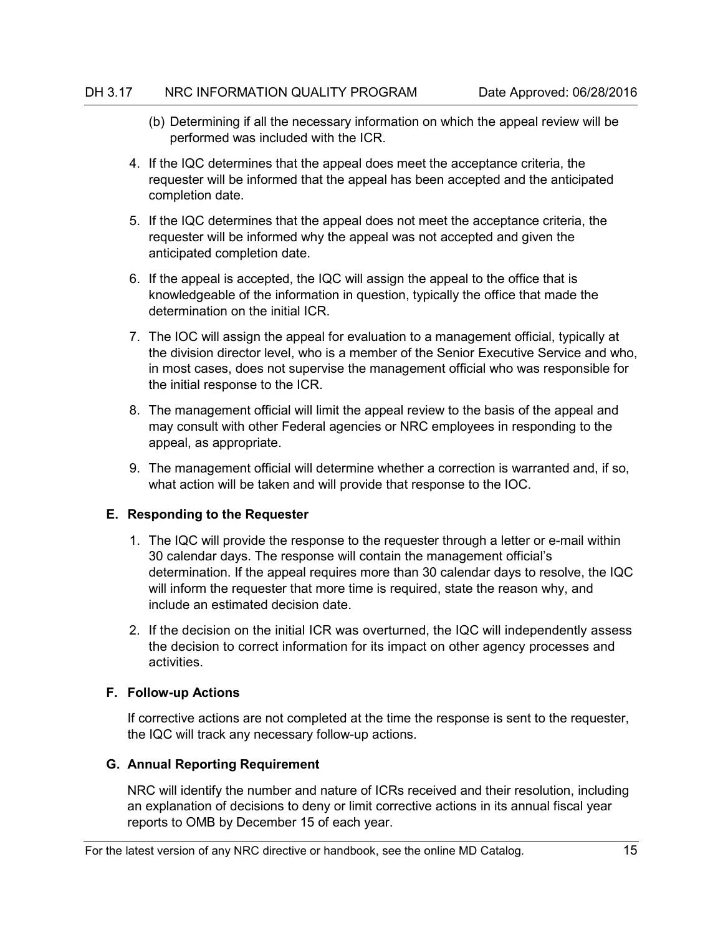- (b) Determining if all the necessary information on which the appeal review will be performed was included with the ICR.
- 4. If the IQC determines that the appeal does meet the acceptance criteria, the requester will be informed that the appeal has been accepted and the anticipated completion date.
- 5. If the IQC determines that the appeal does not meet the acceptance criteria, the requester will be informed why the appeal was not accepted and given the anticipated completion date.
- 6. If the appeal is accepted, the IQC will assign the appeal to the office that is knowledgeable of the information in question, typically the office that made the determination on the initial ICR.
- 7. The IOC will assign the appeal for evaluation to a management official, typically at the division director level, who is a member of the Senior Executive Service and who, in most cases, does not supervise the management official who was responsible for the initial response to the ICR.
- 8. The management official will limit the appeal review to the basis of the appeal and may consult with other Federal agencies or NRC employees in responding to the appeal, as appropriate.
- 9. The management official will determine whether a correction is warranted and, if so, what action will be taken and will provide that response to the IOC.

## <span id="page-22-0"></span>**E. Responding to the Requester**

- 1. The IQC will provide the response to the requester through a letter or e-mail within 30 calendar days. The response will contain the management official's determination. If the appeal requires more than 30 calendar days to resolve, the IQC will inform the requester that more time is required, state the reason why, and include an estimated decision date.
- 2. If the decision on the initial ICR was overturned, the IQC will independently assess the decision to correct information for its impact on other agency processes and activities.

## <span id="page-22-1"></span>**F. Follow-up Actions**

If corrective actions are not completed at the time the response is sent to the requester, the IQC will track any necessary follow-up actions.

## <span id="page-22-2"></span>**G. Annual Reporting Requirement**

NRC will identify the number and nature of ICRs received and their resolution, including an explanation of decisions to deny or limit corrective actions in its annual fiscal year reports to OMB by December 15 of each year.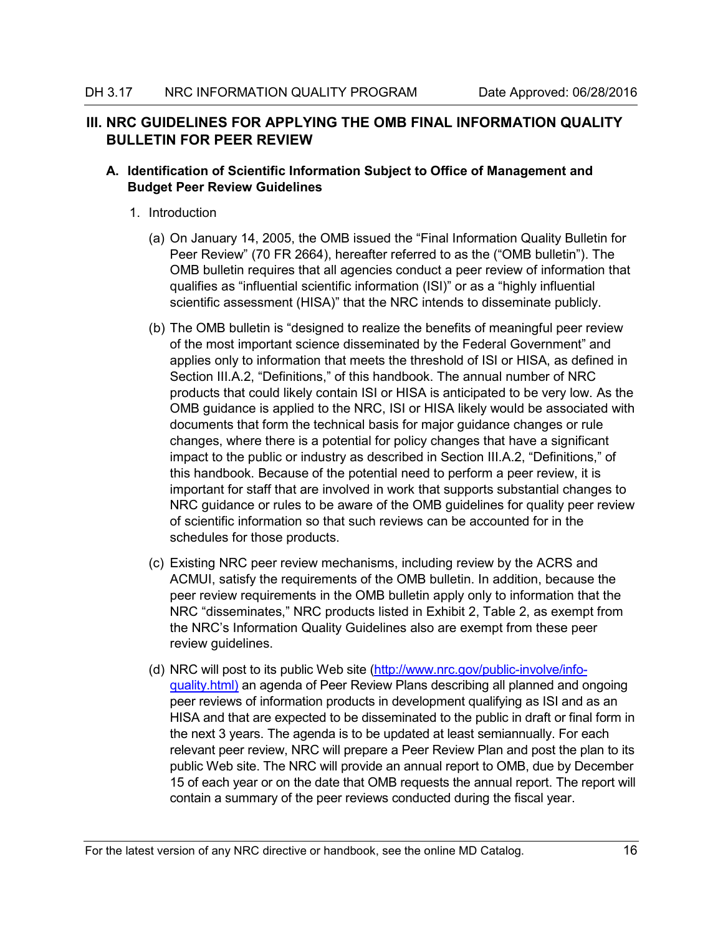# <span id="page-23-0"></span>**III. NRC GUIDELINES FOR APPLYING THE OMB FINAL INFORMATION QUALITY BULLETIN FOR PEER REVIEW**

# <span id="page-23-1"></span>**A. Identification of Scientific Information Subject to Office of Management and Budget Peer Review Guidelines**

- 1. Introduction
	- (a) On January 14, 2005, the OMB issued the "Final Information Quality Bulletin for Peer Review" (70 FR 2664), hereafter referred to as the ("OMB bulletin"). The OMB bulletin requires that all agencies conduct a peer review of information that qualifies as "influential scientific information (ISI)" or as a "highly influential scientific assessment (HISA)" that the NRC intends to disseminate publicly.
	- (b) The OMB bulletin is "designed to realize the benefits of meaningful peer review of the most important science disseminated by the Federal Government" and applies only to information that meets the threshold of ISI or HISA, as defined in Section III.A.2, "Definitions," of this handbook. The annual number of NRC products that could likely contain ISI or HISA is anticipated to be very low. As the OMB guidance is applied to the NRC, ISI or HISA likely would be associated with documents that form the technical basis for major guidance changes or rule changes, where there is a potential for policy changes that have a significant impact to the public or industry as described in Section III.A.2, "Definitions," of this handbook. Because of the potential need to perform a peer review, it is important for staff that are involved in work that supports substantial changes to NRC guidance or rules to be aware of the OMB guidelines for quality peer review of scientific information so that such reviews can be accounted for in the schedules for those products.
	- (c) Existing NRC peer review mechanisms, including review by the ACRS and ACMUI, satisfy the requirements of the OMB bulletin. In addition, because the peer review requirements in the OMB bulletin apply only to information that the NRC "disseminates," NRC products listed in Exhibit 2, Table 2, as exempt from the NRC's Information Quality Guidelines also are exempt from these peer review guidelines.
	- (d) NRC will post to its public Web site [\(http://www.nrc.gov/public-involve/info](http://www.nrc.gov/public-involve/info-quality.html)guality.html) an agenda of Peer Review Plans describing all planned and ongoing peer reviews of information products in development qualifying as ISI and as an HISA and that are expected to be disseminated to the public in draft or final form in the next 3 years. The agenda is to be updated at least semiannually. For each relevant peer review, NRC will prepare a Peer Review Plan and post the plan to its public Web site. The NRC will provide an annual report to OMB, due by December 15 of each year or on the date that OMB requests the annual report. The report will contain a summary of the peer reviews conducted during the fiscal year.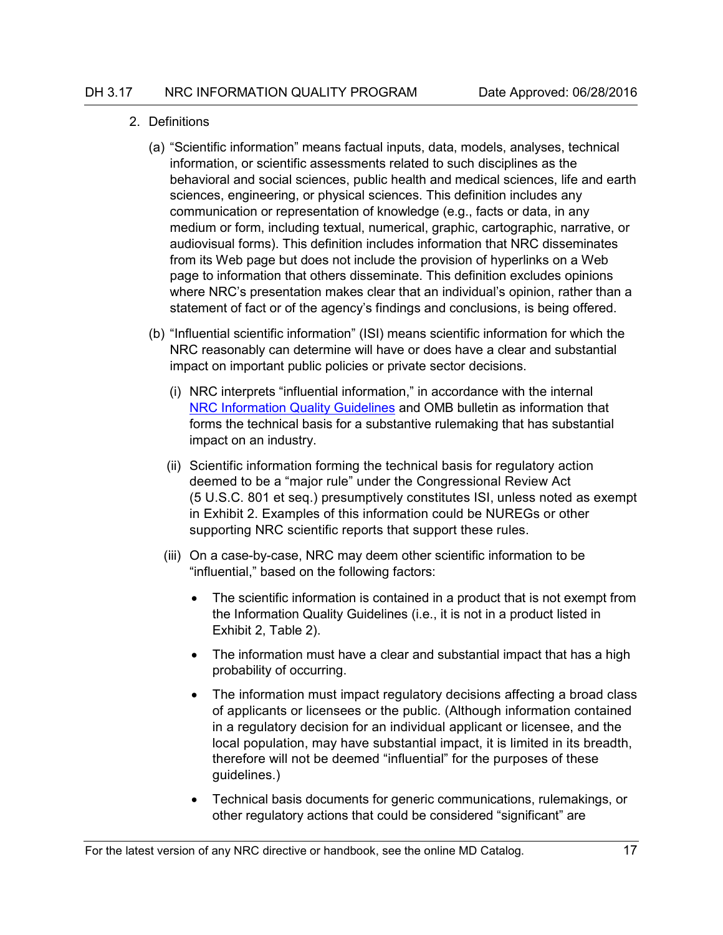#### 2. Definitions

- (a) "Scientific information" means factual inputs, data, models, analyses, technical information, or scientific assessments related to such disciplines as the behavioral and social sciences, public health and medical sciences, life and earth sciences, engineering, or physical sciences. This definition includes any communication or representation of knowledge (e.g., facts or data, in any medium or form, including textual, numerical, graphic, cartographic, narrative, or audiovisual forms). This definition includes information that NRC disseminates from its Web page but does not include the provision of hyperlinks on a Web page to information that others disseminate. This definition excludes opinions where NRC's presentation makes clear that an individual's opinion, rather than a statement of fact or of the agency's findings and conclusions, is being offered.
- (b) "Influential scientific information" (ISI) means scientific information for which the NRC reasonably can determine will have or does have a clear and substantial impact on important public policies or private sector decisions.
	- (i) NRC interprets "influential information," in accordance with the internal NRC [Information Quality Guidelines](http://www.internal.nrc.gov/ois/CScatalog/customerservicecatalogs/information-management/quality/information-quality.html) and OMB bulletin as information that forms the technical basis for a substantive rulemaking that has substantial impact on an industry.
	- (ii) Scientific information forming the technical basis for regulatory action deemed to be a "major rule" under the Congressional Review Act (5 U.S.C. 801 et seq.) presumptively constitutes ISI, unless noted as exempt in Exhibit 2. Examples of this information could be NUREGs or other supporting NRC scientific reports that support these rules.
	- (iii) On a case-by-case, NRC may deem other scientific information to be "influential," based on the following factors:
		- The scientific information is contained in a product that is not exempt from the Information Quality Guidelines (i.e., it is not in a product listed in Exhibit 2, Table 2).
		- The information must have a clear and substantial impact that has a high probability of occurring.
		- The information must impact regulatory decisions affecting a broad class of applicants or licensees or the public. (Although information contained in a regulatory decision for an individual applicant or licensee, and the local population, may have substantial impact, it is limited in its breadth, therefore will not be deemed "influential" for the purposes of these guidelines.)
		- Technical basis documents for generic communications, rulemakings, or other regulatory actions that could be considered "significant" are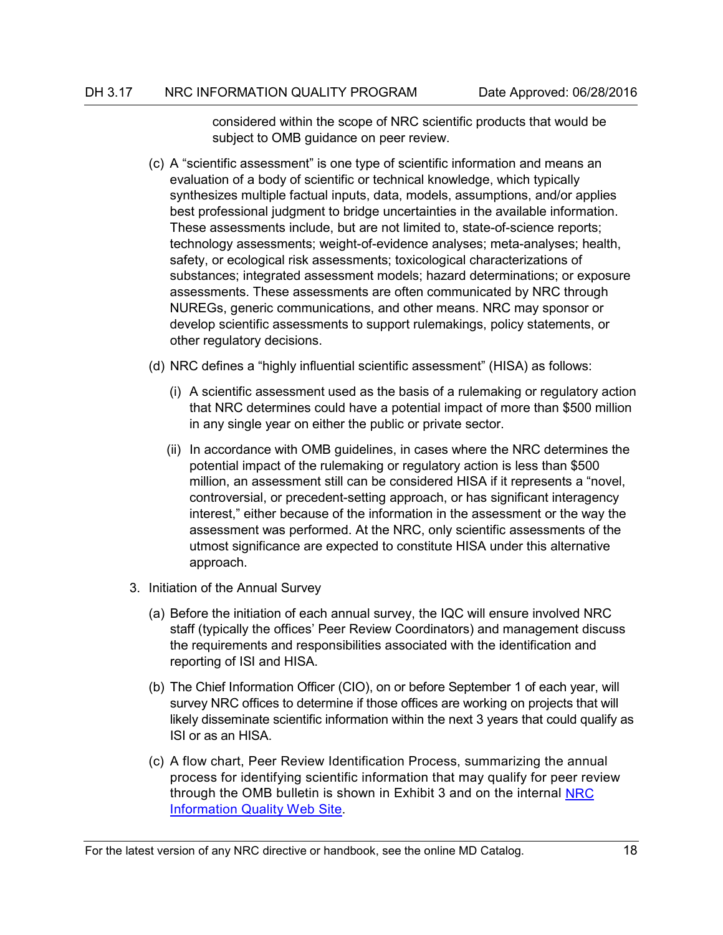considered within the scope of NRC scientific products that would be subject to OMB guidance on peer review.

- (c) A "scientific assessment" is one type of scientific information and means an evaluation of a body of scientific or technical knowledge, which typically synthesizes multiple factual inputs, data, models, assumptions, and/or applies best professional judgment to bridge uncertainties in the available information. These assessments include, but are not limited to, state-of-science reports; technology assessments; weight-of-evidence analyses; meta-analyses; health, safety, or ecological risk assessments; toxicological characterizations of substances; integrated assessment models; hazard determinations; or exposure assessments. These assessments are often communicated by NRC through NUREGs, generic communications, and other means. NRC may sponsor or develop scientific assessments to support rulemakings, policy statements, or other regulatory decisions.
- (d) NRC defines a "highly influential scientific assessment" (HISA) as follows:
	- (i) A scientific assessment used as the basis of a rulemaking or regulatory action that NRC determines could have a potential impact of more than \$500 million in any single year on either the public or private sector.
	- (ii) In accordance with OMB guidelines, in cases where the NRC determines the potential impact of the rulemaking or regulatory action is less than \$500 million, an assessment still can be considered HISA if it represents a "novel, controversial, or precedent-setting approach, or has significant interagency interest," either because of the information in the assessment or the way the assessment was performed. At the NRC, only scientific assessments of the utmost significance are expected to constitute HISA under this alternative approach.
- 3. Initiation of the Annual Survey
	- (a) Before the initiation of each annual survey, the IQC will ensure involved NRC staff (typically the offices' Peer Review Coordinators) and management discuss the requirements and responsibilities associated with the identification and reporting of ISI and HISA.
	- (b) The Chief Information Officer (CIO), on or before September 1 of each year, will survey NRC offices to determine if those offices are working on projects that will likely disseminate scientific information within the next 3 years that could qualify as ISI or as an HISA.
	- (c) A flow chart, Peer Review Identification Process, summarizing the annual process for identifying scientific information that may qualify for peer review through the OMB bulletin is shown in Exhibit 3 and on the internal [NRC](http://www.internal.nrc.gov/ois/CScatalog/customerservicecatalogs/information-management/quality/information-quality.html)  [Information Quality Web Site.](http://www.internal.nrc.gov/ois/CScatalog/customerservicecatalogs/information-management/quality/information-quality.html)

For the latest version of any NRC directive or handbook, see the online MD Catalog. 18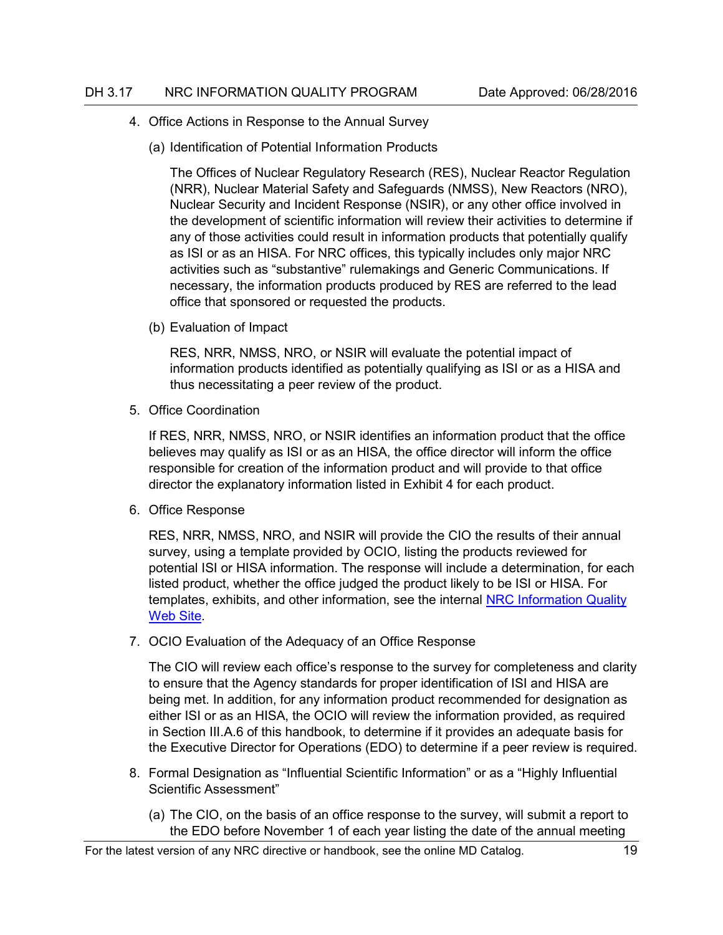- 4. Office Actions in Response to the Annual Survey
	- (a) Identification of Potential Information Products

The Offices of Nuclear Regulatory Research (RES), Nuclear Reactor Regulation (NRR), Nuclear Material Safety and Safeguards (NMSS), New Reactors (NRO), Nuclear Security and Incident Response (NSIR), or any other office involved in the development of scientific information will review their activities to determine if any of those activities could result in information products that potentially qualify as ISI or as an HISA. For NRC offices, this typically includes only major NRC activities such as "substantive" rulemakings and Generic Communications. If necessary, the information products produced by RES are referred to the lead office that sponsored or requested the products.

(b) Evaluation of Impact

RES, NRR, NMSS, NRO, or NSIR will evaluate the potential impact of information products identified as potentially qualifying as ISI or as a HISA and thus necessitating a peer review of the product.

5. Office Coordination

If RES, NRR, NMSS, NRO, or NSIR identifies an information product that the office believes may qualify as ISI or as an HISA, the office director will inform the office responsible for creation of the information product and will provide to that office director the explanatory information listed in Exhibit 4 for each product.

6. Office Response

RES, NRR, NMSS, NRO, and NSIR will provide the CIO the results of their annual survey, using a template provided by OCIO, listing the products reviewed for potential ISI or HISA information. The response will include a determination, for each listed product, whether the office judged the product likely to be ISI or HISA. For templates, exhibits, and other information, see the internal [NRC Information Quality](http://www.internal.nrc.gov/ois/CScatalog/customerservicecatalogs/information-management/quality/information-quality.html)  [Web Site.](http://www.internal.nrc.gov/ois/CScatalog/customerservicecatalogs/information-management/quality/information-quality.html)

7. OCIO Evaluation of the Adequacy of an Office Response

The CIO will review each office's response to the survey for completeness and clarity to ensure that the Agency standards for proper identification of ISI and HISA are being met. In addition, for any information product recommended for designation as either ISI or as an HISA, the OCIO will review the information provided, as required in Section III.A.6 of this handbook, to determine if it provides an adequate basis for the Executive Director for Operations (EDO) to determine if a peer review is required.

- 8. Formal Designation as "Influential Scientific Information" or as a "Highly Influential Scientific Assessment"
	- (a) The CIO, on the basis of an office response to the survey, will submit a report to the EDO before November 1 of each year listing the date of the annual meeting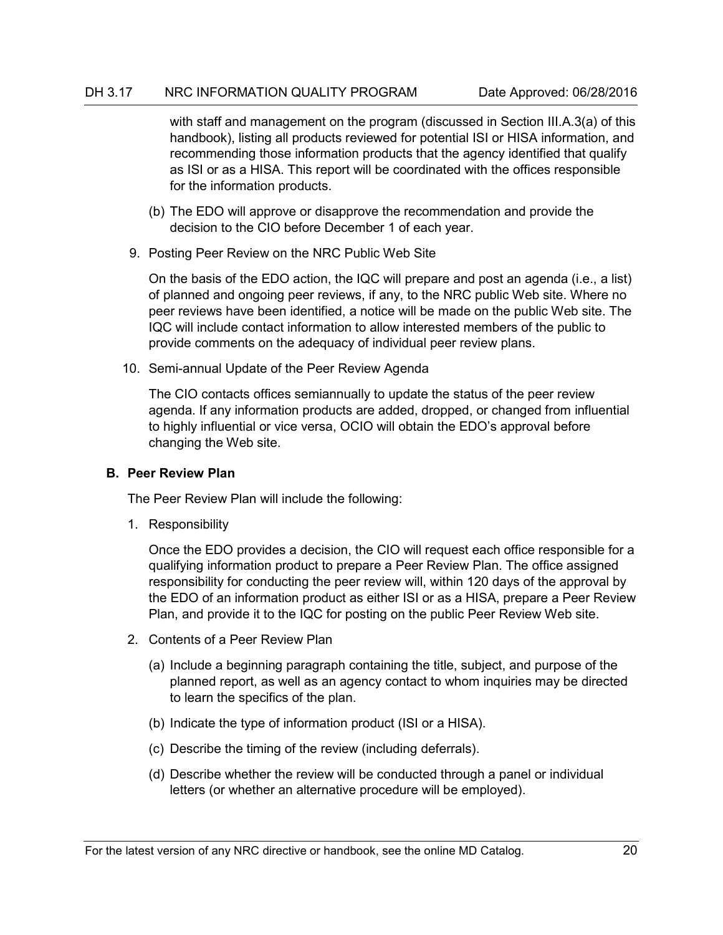with staff and management on the program (discussed in Section III.A.3(a) of this handbook), listing all products reviewed for potential ISI or HISA information, and recommending those information products that the agency identified that qualify as ISI or as a HISA. This report will be coordinated with the offices responsible for the information products.

- (b) The EDO will approve or disapprove the recommendation and provide the decision to the CIO before December 1 of each year.
- 9. Posting Peer Review on the NRC Public Web Site

On the basis of the EDO action, the IQC will prepare and post an agenda (i.e., a list) of planned and ongoing peer reviews, if any, to the NRC public Web site. Where no peer reviews have been identified, a notice will be made on the public Web site. The IQC will include contact information to allow interested members of the public to provide comments on the adequacy of individual peer review plans.

10. Semi-annual Update of the Peer Review Agenda

The CIO contacts offices semiannually to update the status of the peer review agenda. If any information products are added, dropped, or changed from influential to highly influential or vice versa, OCIO will obtain the EDO's approval before changing the Web site.

## <span id="page-27-0"></span>**B. Peer Review Plan**

The Peer Review Plan will include the following:

1. Responsibility

Once the EDO provides a decision, the CIO will request each office responsible for a qualifying information product to prepare a Peer Review Plan. The office assigned responsibility for conducting the peer review will, within 120 days of the approval by the EDO of an information product as either ISI or as a HISA, prepare a Peer Review Plan, and provide it to the IQC for posting on the public Peer Review Web site.

- 2. Contents of a Peer Review Plan
	- (a) Include a beginning paragraph containing the title, subject, and purpose of the planned report, as well as an agency contact to whom inquiries may be directed to learn the specifics of the plan.
	- (b) Indicate the type of information product (ISI or a HISA).
	- (c) Describe the timing of the review (including deferrals).
	- (d) Describe whether the review will be conducted through a panel or individual letters (or whether an alternative procedure will be employed).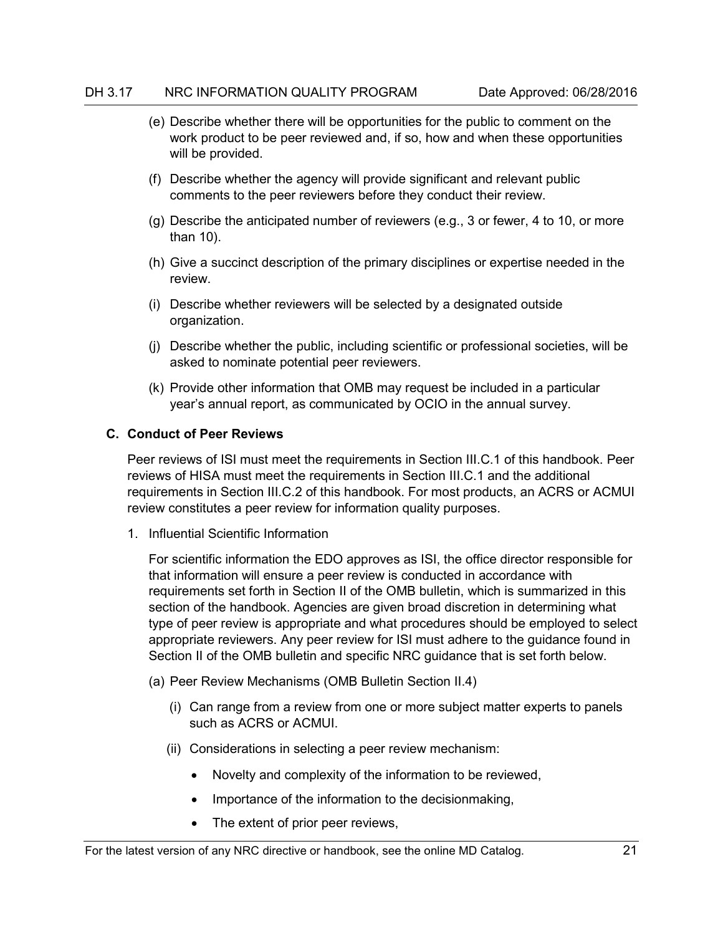- (e) Describe whether there will be opportunities for the public to comment on the work product to be peer reviewed and, if so, how and when these opportunities will be provided.
- (f) Describe whether the agency will provide significant and relevant public comments to the peer reviewers before they conduct their review.
- (g) Describe the anticipated number of reviewers (e.g., 3 or fewer, 4 to 10, or more than 10).
- (h) Give a succinct description of the primary disciplines or expertise needed in the review.
- (i) Describe whether reviewers will be selected by a designated outside organization.
- (j) Describe whether the public, including scientific or professional societies, will be asked to nominate potential peer reviewers.
- (k) Provide other information that OMB may request be included in a particular year's annual report, as communicated by OCIO in the annual survey.

## <span id="page-28-0"></span>**C. Conduct of Peer Reviews**

Peer reviews of ISI must meet the requirements in Section III.C.1 of this handbook. Peer reviews of HISA must meet the requirements in Section III.C.1 and the additional requirements in Section III.C.2 of this handbook. For most products, an ACRS or ACMUI review constitutes a peer review for information quality purposes.

1. Influential Scientific Information

For scientific information the EDO approves as ISI, the office director responsible for that information will ensure a peer review is conducted in accordance with requirements set forth in Section II of the OMB bulletin, which is summarized in this section of the handbook. Agencies are given broad discretion in determining what type of peer review is appropriate and what procedures should be employed to select appropriate reviewers. Any peer review for ISI must adhere to the guidance found in Section II of the OMB bulletin and specific NRC guidance that is set forth below.

- (a) Peer Review Mechanisms (OMB Bulletin Section II.4)
	- (i) Can range from a review from one or more subject matter experts to panels such as ACRS or ACMUI.
	- (ii) Considerations in selecting a peer review mechanism:
		- Novelty and complexity of the information to be reviewed,
		- Importance of the information to the decisionmaking,
		- The extent of prior peer reviews,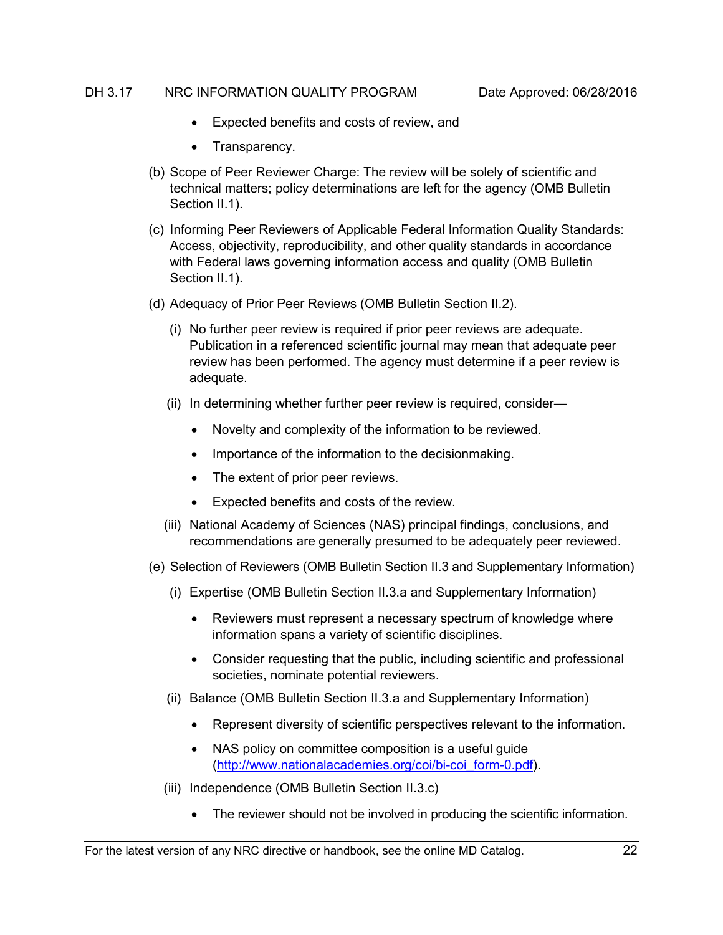- Expected benefits and costs of review, and
- Transparency.
- (b) Scope of Peer Reviewer Charge: The review will be solely of scientific and technical matters; policy determinations are left for the agency (OMB Bulletin Section II.1).
- (c) Informing Peer Reviewers of Applicable Federal Information Quality Standards: Access, objectivity, reproducibility, and other quality standards in accordance with Federal laws governing information access and quality (OMB Bulletin Section II.1).
- (d) Adequacy of Prior Peer Reviews (OMB Bulletin Section II.2).
	- (i) No further peer review is required if prior peer reviews are adequate. Publication in a referenced scientific journal may mean that adequate peer review has been performed. The agency must determine if a peer review is adequate.
	- (ii) In determining whether further peer review is required, consider—
		- Novelty and complexity of the information to be reviewed.
		- Importance of the information to the decisionmaking.
		- The extent of prior peer reviews.
		- Expected benefits and costs of the review.
	- (iii) National Academy of Sciences (NAS) principal findings, conclusions, and recommendations are generally presumed to be adequately peer reviewed.
- (e) Selection of Reviewers (OMB Bulletin Section II.3 and Supplementary Information)
	- (i) Expertise (OMB Bulletin Section II.3.a and Supplementary Information)
		- Reviewers must represent a necessary spectrum of knowledge where information spans a variety of scientific disciplines.
		- Consider requesting that the public, including scientific and professional societies, nominate potential reviewers.
	- (ii) Balance (OMB Bulletin Section II.3.a and Supplementary Information)
		- Represent diversity of scientific perspectives relevant to the information.
		- NAS policy on committee composition is a useful guide [\(http://www.nationalacademies.org/coi/bi-coi\\_form-0.pdf\)](http://www.nationalacademies.org/coi/bi-coi_form-0.pdf).
	- (iii) Independence (OMB Bulletin Section II.3.c)
		- The reviewer should not be involved in producing the scientific information.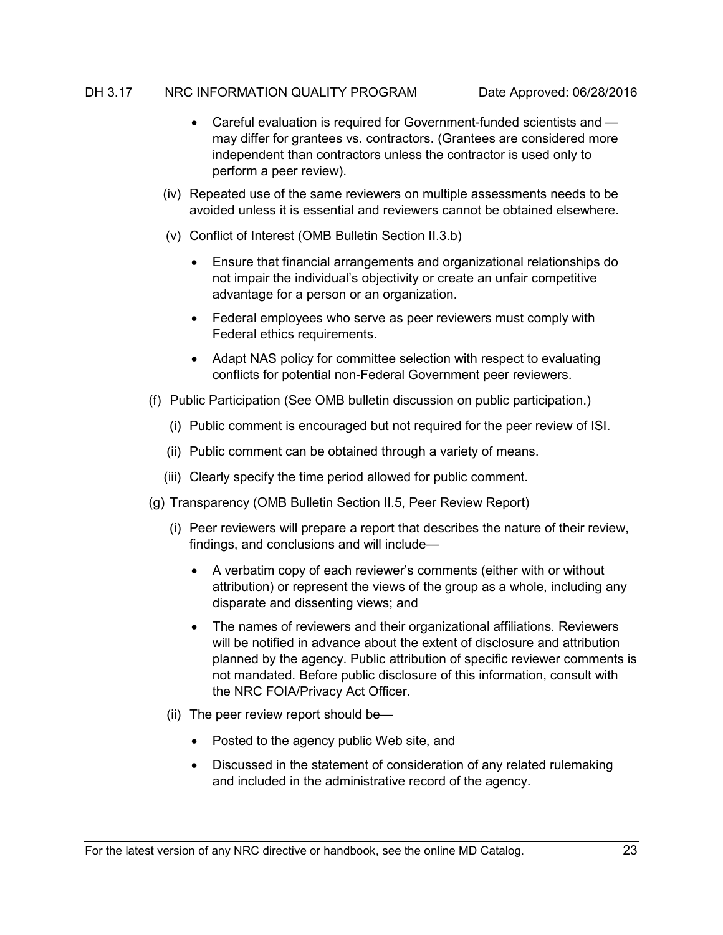- Careful evaluation is required for Government-funded scientists and may differ for grantees vs. contractors. (Grantees are considered more independent than contractors unless the contractor is used only to perform a peer review).
- (iv) Repeated use of the same reviewers on multiple assessments needs to be avoided unless it is essential and reviewers cannot be obtained elsewhere.
- (v) Conflict of Interest (OMB Bulletin Section II.3.b)
	- Ensure that financial arrangements and organizational relationships do not impair the individual's objectivity or create an unfair competitive advantage for a person or an organization.
	- Federal employees who serve as peer reviewers must comply with Federal ethics requirements.
	- Adapt NAS policy for committee selection with respect to evaluating conflicts for potential non-Federal Government peer reviewers.
- (f) Public Participation (See OMB bulletin discussion on public participation.)
	- (i) Public comment is encouraged but not required for the peer review of ISI.
	- (ii) Public comment can be obtained through a variety of means.
	- (iii) Clearly specify the time period allowed for public comment.
- (g) Transparency (OMB Bulletin Section II.5, Peer Review Report)
	- (i) Peer reviewers will prepare a report that describes the nature of their review, findings, and conclusions and will include—
		- A verbatim copy of each reviewer's comments (either with or without attribution) or represent the views of the group as a whole, including any disparate and dissenting views; and
		- The names of reviewers and their organizational affiliations. Reviewers will be notified in advance about the extent of disclosure and attribution planned by the agency. Public attribution of specific reviewer comments is not mandated. Before public disclosure of this information, consult with the NRC FOIA/Privacy Act Officer.
	- (ii) The peer review report should be—
		- Posted to the agency public Web site, and
		- Discussed in the statement of consideration of any related rulemaking and included in the administrative record of the agency.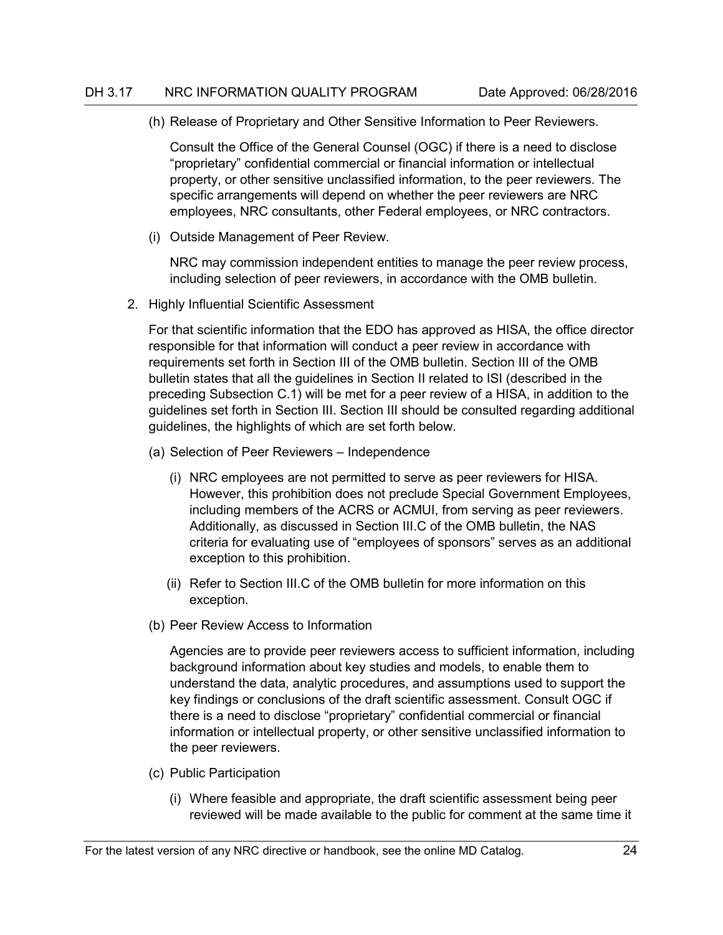(h) Release of Proprietary and Other Sensitive Information to Peer Reviewers.

Consult the Office of the General Counsel (OGC) if there is a need to disclose "proprietary" confidential commercial or financial information or intellectual property, or other sensitive unclassified information, to the peer reviewers. The specific arrangements will depend on whether the peer reviewers are NRC employees, NRC consultants, other Federal employees, or NRC contractors.

(i) Outside Management of Peer Review.

NRC may commission independent entities to manage the peer review process, including selection of peer reviewers, in accordance with the OMB bulletin.

2. Highly Influential Scientific Assessment

For that scientific information that the EDO has approved as HISA, the office director responsible for that information will conduct a peer review in accordance with requirements set forth in Section III of the OMB bulletin. Section III of the OMB bulletin states that all the guidelines in Section II related to ISI (described in the preceding Subsection C.1) will be met for a peer review of a HISA, in addition to the guidelines set forth in Section III. Section III should be consulted regarding additional guidelines, the highlights of which are set forth below.

- (a) Selection of Peer Reviewers Independence
	- (i) NRC employees are not permitted to serve as peer reviewers for HISA. However, this prohibition does not preclude Special Government Employees, including members of the ACRS or ACMUI, from serving as peer reviewers. Additionally, as discussed in Section III.C of the OMB bulletin, the NAS criteria for evaluating use of "employees of sponsors" serves as an additional exception to this prohibition.
	- (ii) Refer to Section III.C of the OMB bulletin for more information on this exception.
- (b) Peer Review Access to Information

Agencies are to provide peer reviewers access to sufficient information, including background information about key studies and models, to enable them to understand the data, analytic procedures, and assumptions used to support the key findings or conclusions of the draft scientific assessment. Consult OGC if there is a need to disclose "proprietary" confidential commercial or financial information or intellectual property, or other sensitive unclassified information to the peer reviewers.

- (c) Public Participation
	- (i) Where feasible and appropriate, the draft scientific assessment being peer reviewed will be made available to the public for comment at the same time it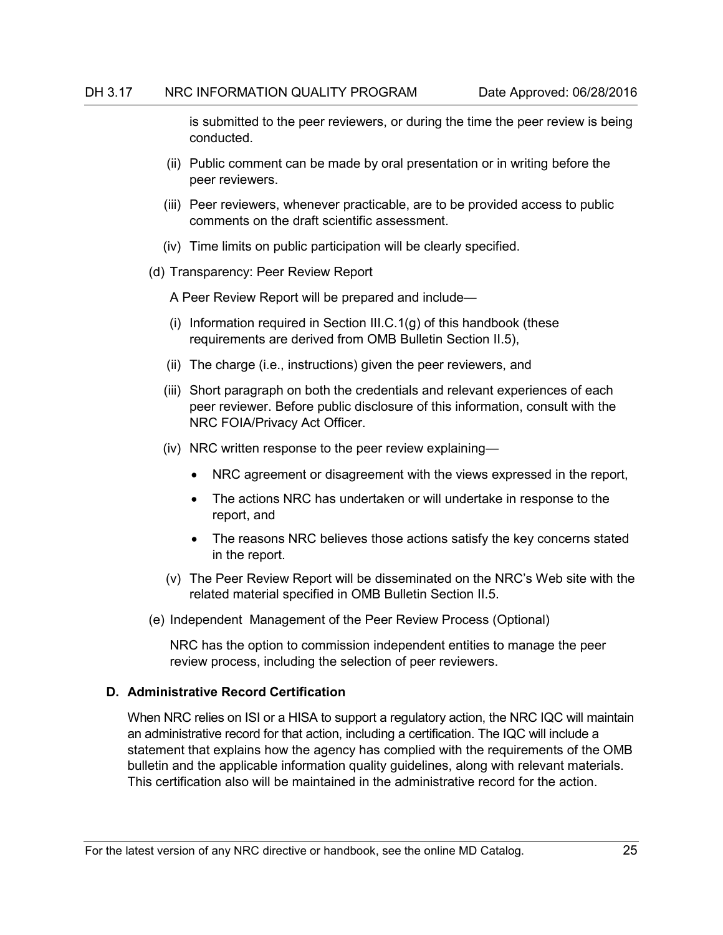is submitted to the peer reviewers, or during the time the peer review is being conducted.

- (ii) Public comment can be made by oral presentation or in writing before the peer reviewers.
- (iii) Peer reviewers, whenever practicable, are to be provided access to public comments on the draft scientific assessment.
- (iv) Time limits on public participation will be clearly specified.
- (d) Transparency: Peer Review Report

A Peer Review Report will be prepared and include—

- (i) Information required in Section III.C.1(g) of this handbook (these requirements are derived from OMB Bulletin Section II.5),
- (ii) The charge (i.e., instructions) given the peer reviewers, and
- (iii) Short paragraph on both the credentials and relevant experiences of each peer reviewer. Before public disclosure of this information, consult with the NRC FOIA/Privacy Act Officer.
- (iv) NRC written response to the peer review explaining—
	- NRC agreement or disagreement with the views expressed in the report,
	- The actions NRC has undertaken or will undertake in response to the report, and
	- The reasons NRC believes those actions satisfy the key concerns stated in the report.
- (v) The Peer Review Report will be disseminated on the NRC's Web site with the related material specified in OMB Bulletin Section II.5.
- (e) Independent Management of the Peer Review Process (Optional)

NRC has the option to commission independent entities to manage the peer review process, including the selection of peer reviewers.

## <span id="page-32-0"></span>**D. Administrative Record Certification**

When NRC relies on ISI or a HISA to support a regulatory action, the NRC IQC will maintain an administrative record for that action, including a certification. The IQC will include a statement that explains how the agency has complied with the requirements of the OMB bulletin and the applicable information quality guidelines, along with relevant materials. This certification also will be maintained in the administrative record for the action.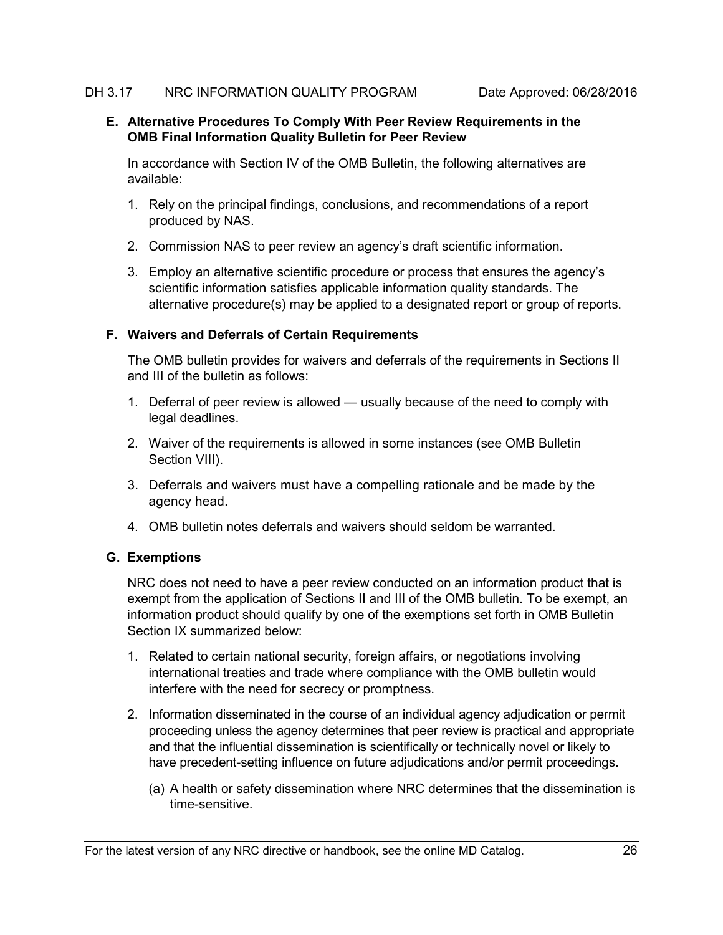## <span id="page-33-0"></span>**E. Alternative Procedures To Comply With Peer Review Requirements in the OMB Final Information Quality Bulletin for Peer Review**

In accordance with Section IV of the OMB Bulletin, the following alternatives are available:

- 1. Rely on the principal findings, conclusions, and recommendations of a report produced by NAS.
- 2. Commission NAS to peer review an agency's draft scientific information.
- 3. Employ an alternative scientific procedure or process that ensures the agency's scientific information satisfies applicable information quality standards. The alternative procedure(s) may be applied to a designated report or group of reports.

# <span id="page-33-1"></span>**F. Waivers and Deferrals of Certain Requirements**

The OMB bulletin provides for waivers and deferrals of the requirements in Sections II and III of the bulletin as follows:

- 1. Deferral of peer review is allowed usually because of the need to comply with legal deadlines.
- 2. Waiver of the requirements is allowed in some instances (see OMB Bulletin Section VIII).
- 3. Deferrals and waivers must have a compelling rationale and be made by the agency head.
- 4. OMB bulletin notes deferrals and waivers should seldom be warranted.

# <span id="page-33-2"></span>**G. Exemptions**

NRC does not need to have a peer review conducted on an information product that is exempt from the application of Sections II and III of the OMB bulletin. To be exempt, an information product should qualify by one of the exemptions set forth in OMB Bulletin Section IX summarized below:

- 1. Related to certain national security, foreign affairs, or negotiations involving international treaties and trade where compliance with the OMB bulletin would interfere with the need for secrecy or promptness.
- 2. Information disseminated in the course of an individual agency adjudication or permit proceeding unless the agency determines that peer review is practical and appropriate and that the influential dissemination is scientifically or technically novel or likely to have precedent-setting influence on future adjudications and/or permit proceedings.
	- (a) A health or safety dissemination where NRC determines that the dissemination is time-sensitive.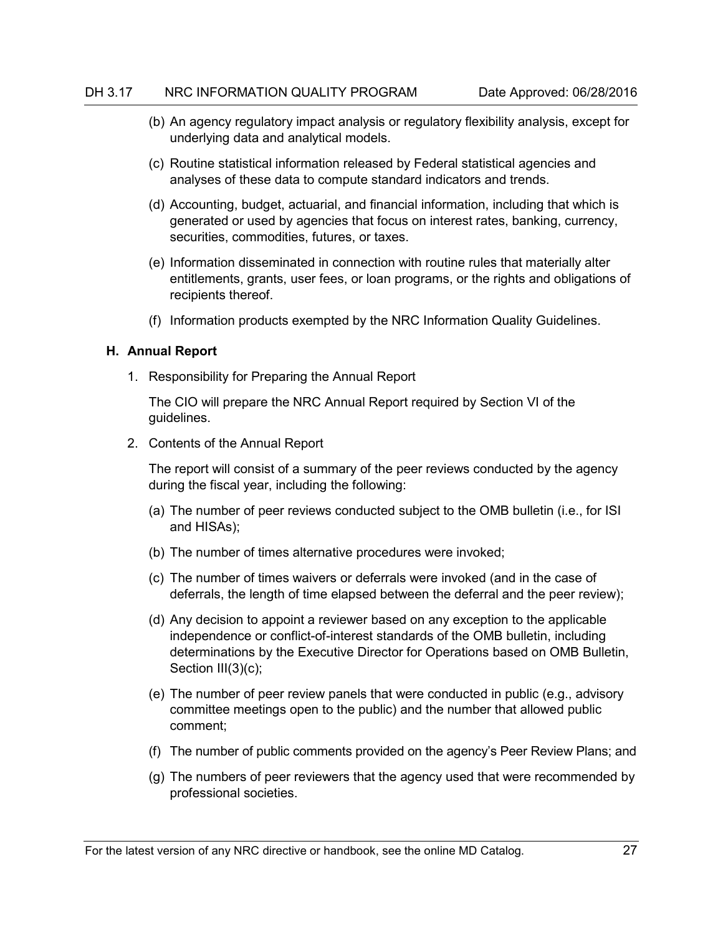- (b) An agency regulatory impact analysis or regulatory flexibility analysis, except for underlying data and analytical models.
- (c) Routine statistical information released by Federal statistical agencies and analyses of these data to compute standard indicators and trends.
- (d) Accounting, budget, actuarial, and financial information, including that which is generated or used by agencies that focus on interest rates, banking, currency, securities, commodities, futures, or taxes.
- (e) Information disseminated in connection with routine rules that materially alter entitlements, grants, user fees, or loan programs, or the rights and obligations of recipients thereof.
- (f) Information products exempted by the NRC Information Quality Guidelines.

## <span id="page-34-0"></span>**H. Annual Report**

1. Responsibility for Preparing the Annual Report

The CIO will prepare the NRC Annual Report required by Section VI of the guidelines.

2. Contents of the Annual Report

The report will consist of a summary of the peer reviews conducted by the agency during the fiscal year, including the following:

- (a) The number of peer reviews conducted subject to the OMB bulletin (i.e., for ISI and HISAs);
- (b) The number of times alternative procedures were invoked;
- (c) The number of times waivers or deferrals were invoked (and in the case of deferrals, the length of time elapsed between the deferral and the peer review);
- (d) Any decision to appoint a reviewer based on any exception to the applicable independence or conflict-of-interest standards of the OMB bulletin, including determinations by the Executive Director for Operations based on OMB Bulletin, Section III(3)(c);
- (e) The number of peer review panels that were conducted in public (e.g., advisory committee meetings open to the public) and the number that allowed public comment;
- (f) The number of public comments provided on the agency's Peer Review Plans; and
- (g) The numbers of peer reviewers that the agency used that were recommended by professional societies.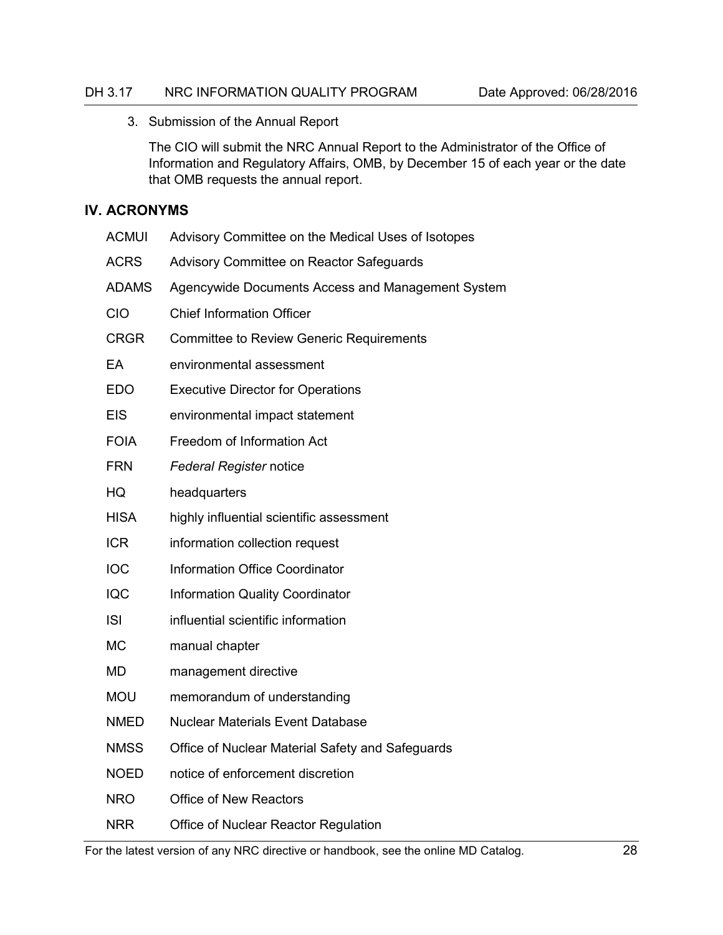3. Submission of the Annual Report

The CIO will submit the NRC Annual Report to the Administrator of the Office of Information and Regulatory Affairs, OMB, by December 15 of each year or the date that OMB requests the annual report.

## <span id="page-35-0"></span>**IV. ACRONYMS**

| <b>ACMUI</b> | Advisory Committee on the Medical Uses of Isotopes |
|--------------|----------------------------------------------------|
| <b>ACRS</b>  | Advisory Committee on Reactor Safeguards           |
| <b>ADAMS</b> | Agencywide Documents Access and Management System  |
| <b>CIO</b>   | <b>Chief Information Officer</b>                   |
| <b>CRGR</b>  | <b>Committee to Review Generic Requirements</b>    |
| EA           | environmental assessment                           |
| <b>EDO</b>   | <b>Executive Director for Operations</b>           |
| <b>EIS</b>   | environmental impact statement                     |
| <b>FOIA</b>  | Freedom of Information Act                         |
| <b>FRN</b>   | <b>Federal Register notice</b>                     |
| HQ           | headquarters                                       |
| <b>HISA</b>  | highly influential scientific assessment           |
| <b>ICR</b>   | information collection request                     |
| <b>IOC</b>   | Information Office Coordinator                     |
| <b>IQC</b>   | <b>Information Quality Coordinator</b>             |
| <b>ISI</b>   | influential scientific information                 |
| <b>MC</b>    | manual chapter                                     |
| <b>MD</b>    | management directive                               |
| <b>MOU</b>   | memorandum of understanding                        |
| <b>NMED</b>  | <b>Nuclear Materials Event Database</b>            |
| <b>NMSS</b>  | Office of Nuclear Material Safety and Safeguards   |
| <b>NOED</b>  | notice of enforcement discretion                   |
| <b>NRO</b>   | <b>Office of New Reactors</b>                      |
| <b>NRR</b>   | Office of Nuclear Reactor Regulation               |

For the latest version of any NRC directive or handbook, see the online MD Catalog. 28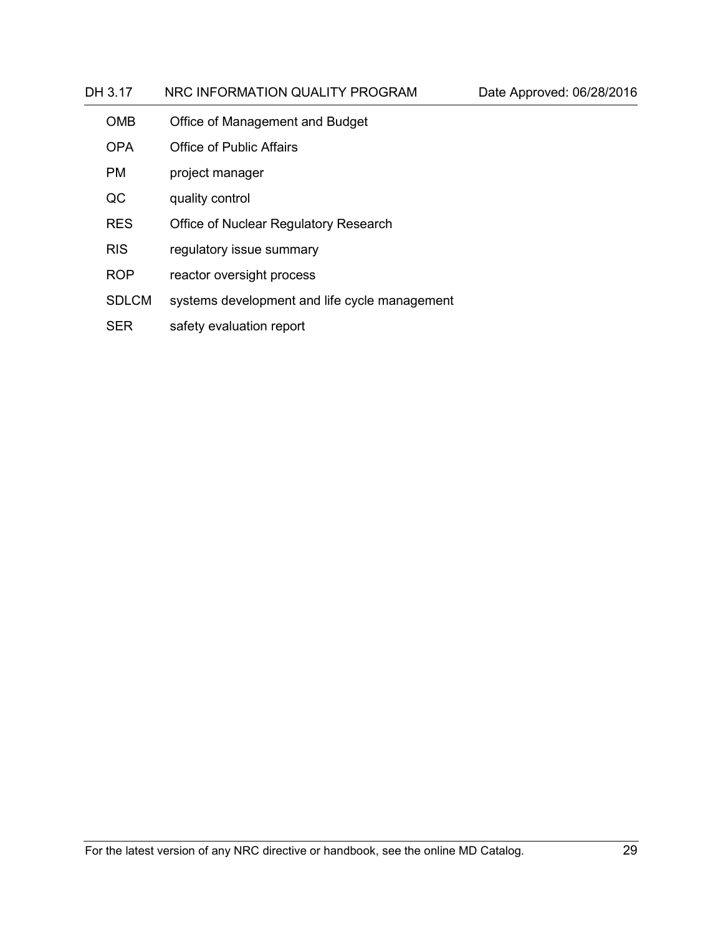# DH 3.17 NRC INFORMATION QUALITY PROGRAM Date Approved: 06/28/2016 OMB Office of Management and Budget OPA Office of Public Affairs

- PM project manager
- QC quality control
- RES Office of Nuclear Regulatory Research
- RIS regulatory issue summary
- ROP reactor oversight process
- SDLCM systems development and life cycle management
- SER safety evaluation report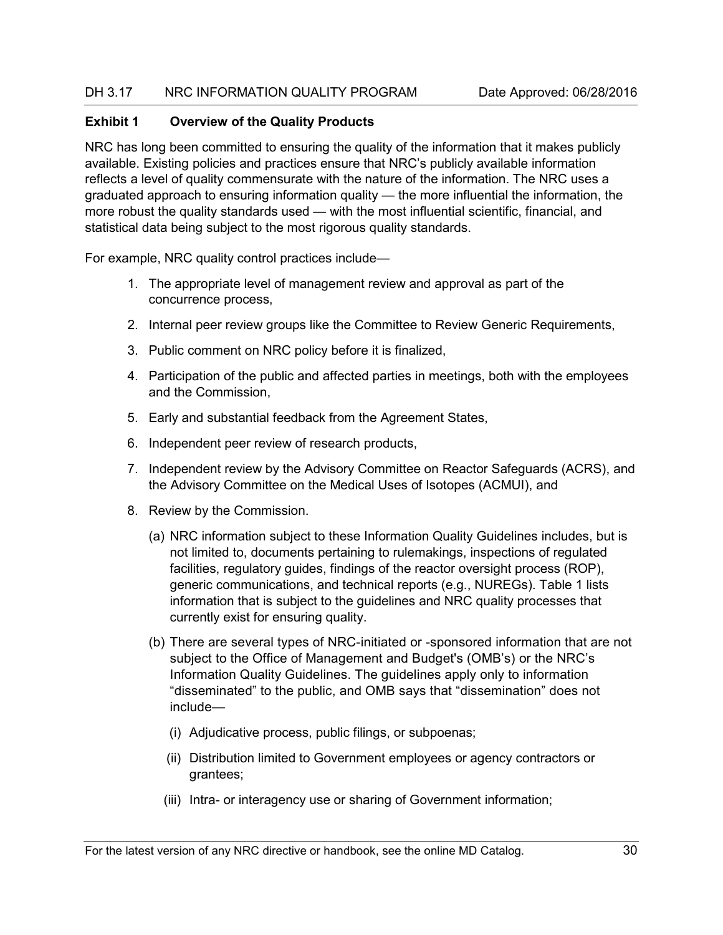# <span id="page-37-0"></span>**Exhibit 1 Overview of the Quality Products**

NRC has long been committed to ensuring the quality of the information that it makes publicly available. Existing policies and practices ensure that NRC's publicly available information reflects a level of quality commensurate with the nature of the information. The NRC uses a graduated approach to ensuring information quality — the more influential the information, the more robust the quality standards used — with the most influential scientific, financial, and statistical data being subject to the most rigorous quality standards.

For example, NRC quality control practices include—

- 1. The appropriate level of management review and approval as part of the concurrence process,
- 2. Internal peer review groups like the Committee to Review Generic Requirements,
- 3. Public comment on NRC policy before it is finalized,
- 4. Participation of the public and affected parties in meetings, both with the employees and the Commission,
- 5. Early and substantial feedback from the Agreement States,
- 6. Independent peer review of research products,
- 7. Independent review by the Advisory Committee on Reactor Safeguards (ACRS), and the Advisory Committee on the Medical Uses of Isotopes (ACMUI), and
- 8. Review by the Commission.
	- (a) NRC information subject to these Information Quality Guidelines includes, but is not limited to, documents pertaining to rulemakings, inspections of regulated facilities, regulatory guides, findings of the reactor oversight process (ROP), generic communications, and technical reports (e.g., NUREGs). Table 1 lists information that is subject to the guidelines and NRC quality processes that currently exist for ensuring quality.
	- (b) There are several types of NRC-initiated or -sponsored information that are not subject to the Office of Management and Budget's (OMB's) or the NRC's Information Quality Guidelines. The guidelines apply only to information "disseminated" to the public, and OMB says that "dissemination" does not include—
		- (i) Adjudicative process, public filings, or subpoenas;
		- (ii) Distribution limited to Government employees or agency contractors or grantees;
		- (iii) Intra- or interagency use or sharing of Government information;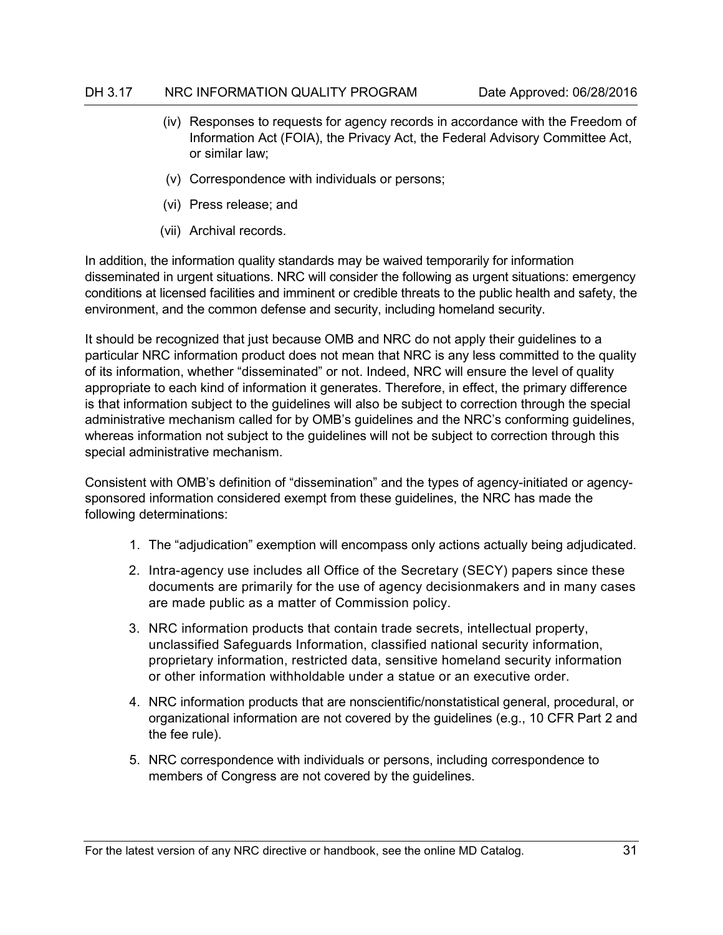- (iv) Responses to requests for agency records in accordance with the Freedom of Information Act (FOIA), the Privacy Act, the Federal Advisory Committee Act, or similar law;
- (v) Correspondence with individuals or persons;
- (vi) Press release; and
- (vii) Archival records.

In addition, the information quality standards may be waived temporarily for information disseminated in urgent situations. NRC will consider the following as urgent situations: emergency conditions at licensed facilities and imminent or credible threats to the public health and safety, the environment, and the common defense and security, including homeland security.

It should be recognized that just because OMB and NRC do not apply their guidelines to a particular NRC information product does not mean that NRC is any less committed to the quality of its information, whether "disseminated" or not. Indeed, NRC will ensure the level of quality appropriate to each kind of information it generates. Therefore, in effect, the primary difference is that information subject to the guidelines will also be subject to correction through the special administrative mechanism called for by OMB's guidelines and the NRC's conforming guidelines, whereas information not subject to the guidelines will not be subject to correction through this special administrative mechanism.

Consistent with OMB's definition of "dissemination" and the types of agency-initiated or agencysponsored information considered exempt from these guidelines, the NRC has made the following determinations:

- 1. The "adjudication" exemption will encompass only actions actually being adjudicated.
- 2. Intra-agency use includes all Office of the Secretary (SECY) papers since these documents are primarily for the use of agency decisionmakers and in many cases are made public as a matter of Commission policy.
- 3. NRC information products that contain trade secrets, intellectual property, unclassified Safeguards Information, classified national security information, proprietary information, restricted data, sensitive homeland security information or other information withholdable under a statue or an executive order.
- 4. NRC information products that are nonscientific/nonstatistical general, procedural, or organizational information are not covered by the guidelines (e.g., 10 CFR Part 2 and the fee rule).
- 5. NRC correspondence with individuals or persons, including correspondence to members of Congress are not covered by the guidelines.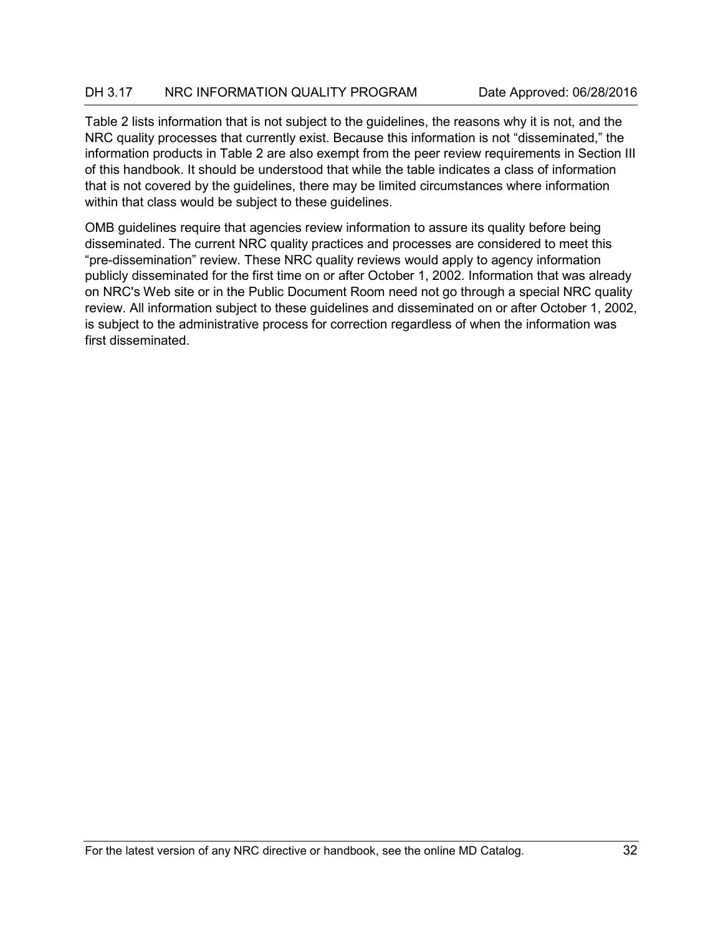Table 2 lists information that is not subject to the guidelines, the reasons why it is not, and the NRC quality processes that currently exist. Because this information is not "disseminated," the information products in Table 2 are also exempt from the peer review requirements in Section III of this handbook. It should be understood that while the table indicates a class of information that is not covered by the guidelines, there may be limited circumstances where information within that class would be subject to these guidelines.

OMB guidelines require that agencies review information to assure its quality before being disseminated. The current NRC quality practices and processes are considered to meet this "pre-dissemination" review. These NRC quality reviews would apply to agency information publicly disseminated for the first time on or after October 1, 2002. Information that was already on NRC's Web site or in the Public Document Room need not go through a special NRC quality review. All information subject to these guidelines and disseminated on or after October 1, 2002, is subject to the administrative process for correction regardless of when the information was first disseminated.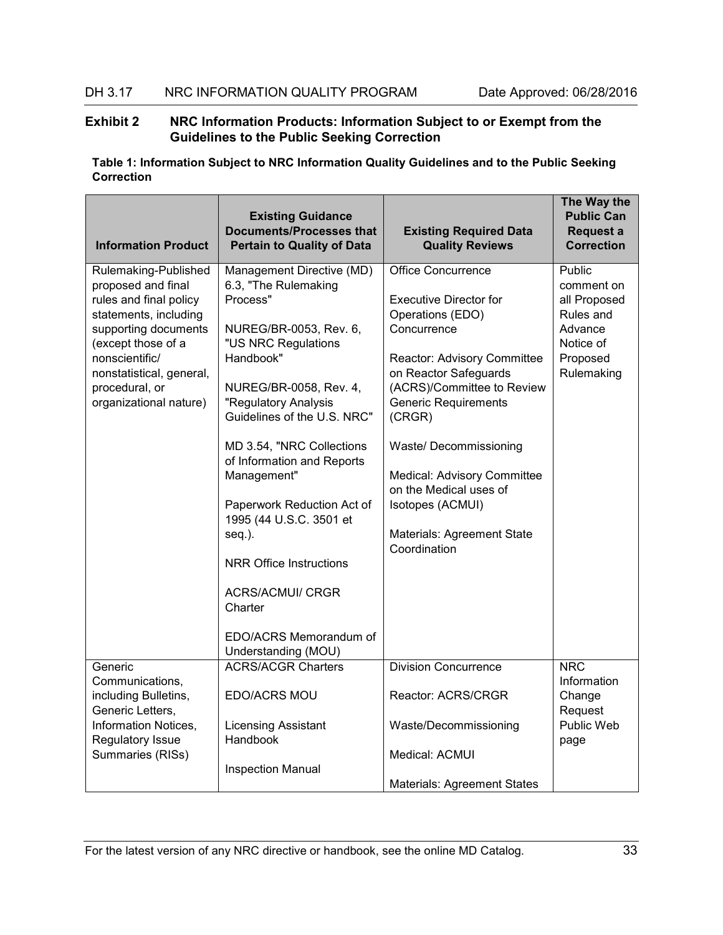## <span id="page-40-0"></span>**Exhibit 2 NRC Information Products: Information Subject to or Exempt from the Guidelines to the Public Seeking Correction**

| <b>Information Product</b>                                                                                                                                                                                                            | <b>Existing Guidance</b><br><b>Documents/Processes that</b><br><b>Pertain to Quality of Data</b>                                                                                                                                                                                                                                                                                                                                                                                   | <b>Existing Required Data</b><br><b>Quality Reviews</b>                                                                                                                                                                                                                                                                                                                           | The Way the<br><b>Public Can</b><br>Request a<br><b>Correction</b>                                  |
|---------------------------------------------------------------------------------------------------------------------------------------------------------------------------------------------------------------------------------------|------------------------------------------------------------------------------------------------------------------------------------------------------------------------------------------------------------------------------------------------------------------------------------------------------------------------------------------------------------------------------------------------------------------------------------------------------------------------------------|-----------------------------------------------------------------------------------------------------------------------------------------------------------------------------------------------------------------------------------------------------------------------------------------------------------------------------------------------------------------------------------|-----------------------------------------------------------------------------------------------------|
| Rulemaking-Published<br>proposed and final<br>rules and final policy<br>statements, including<br>supporting documents<br>(except those of a<br>nonscientific/<br>nonstatistical, general,<br>procedural, or<br>organizational nature) | Management Directive (MD)<br>6.3, "The Rulemaking<br>Process"<br>NUREG/BR-0053, Rev. 6,<br>"US NRC Regulations<br>Handbook"<br>NUREG/BR-0058, Rev. 4,<br>"Regulatory Analysis<br>Guidelines of the U.S. NRC"<br>MD 3.54, "NRC Collections<br>of Information and Reports<br>Management"<br>Paperwork Reduction Act of<br>1995 (44 U.S.C. 3501 et<br>seq.).<br><b>NRR Office Instructions</b><br><b>ACRS/ACMUI/ CRGR</b><br>Charter<br>EDO/ACRS Memorandum of<br>Understanding (MOU) | <b>Office Concurrence</b><br><b>Executive Director for</b><br>Operations (EDO)<br>Concurrence<br>Reactor: Advisory Committee<br>on Reactor Safeguards<br>(ACRS)/Committee to Review<br><b>Generic Requirements</b><br>(CRGR)<br>Waste/ Decommissioning<br>Medical: Advisory Committee<br>on the Medical uses of<br>Isotopes (ACMUI)<br>Materials: Agreement State<br>Coordination | Public<br>comment on<br>all Proposed<br>Rules and<br>Advance<br>Notice of<br>Proposed<br>Rulemaking |
| Generic                                                                                                                                                                                                                               | <b>ACRS/ACGR Charters</b>                                                                                                                                                                                                                                                                                                                                                                                                                                                          | <b>Division Concurrence</b>                                                                                                                                                                                                                                                                                                                                                       | <b>NRC</b>                                                                                          |
| Communications,<br>including Bulletins,<br>Generic Letters,<br>Information Notices,                                                                                                                                                   | EDO/ACRS MOU<br><b>Licensing Assistant</b>                                                                                                                                                                                                                                                                                                                                                                                                                                         | Reactor: ACRS/CRGR<br>Waste/Decommissioning                                                                                                                                                                                                                                                                                                                                       | Information<br>Change<br>Request<br>Public Web                                                      |
| Regulatory Issue                                                                                                                                                                                                                      | Handbook                                                                                                                                                                                                                                                                                                                                                                                                                                                                           |                                                                                                                                                                                                                                                                                                                                                                                   | page                                                                                                |
| Summaries (RISs)                                                                                                                                                                                                                      | <b>Inspection Manual</b>                                                                                                                                                                                                                                                                                                                                                                                                                                                           | Medical: ACMUI                                                                                                                                                                                                                                                                                                                                                                    |                                                                                                     |
|                                                                                                                                                                                                                                       |                                                                                                                                                                                                                                                                                                                                                                                                                                                                                    | <b>Materials: Agreement States</b>                                                                                                                                                                                                                                                                                                                                                |                                                                                                     |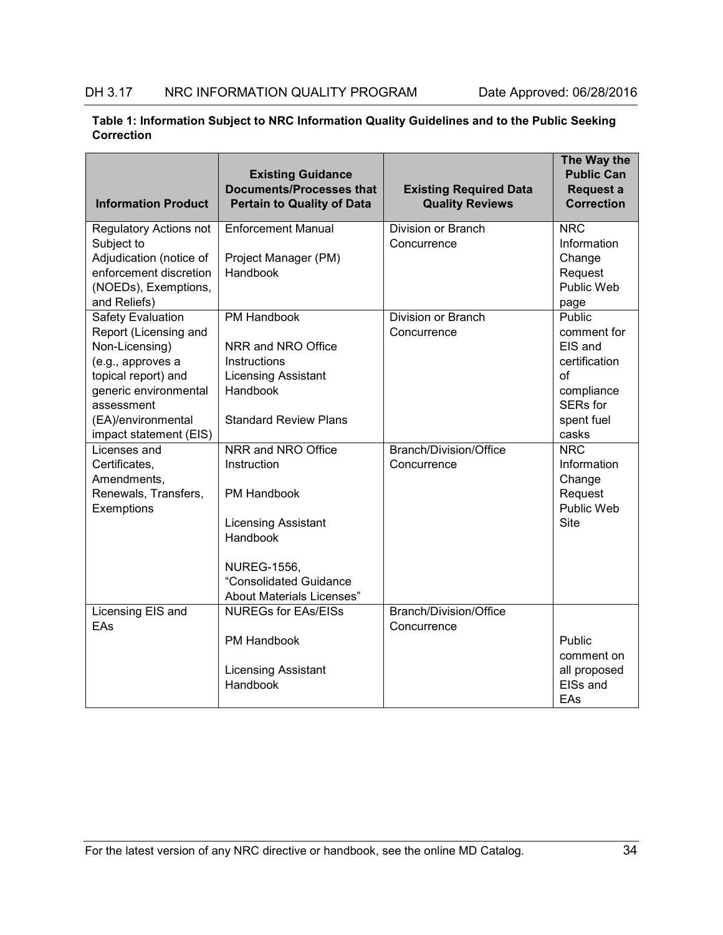| Table 1: Information Subject to NRC Information Quality Guidelines and to the Public Seeking |  |
|----------------------------------------------------------------------------------------------|--|
| <b>Correction</b>                                                                            |  |

| <b>Information Product</b>                                                                                                                                                   | <b>Existing Guidance</b><br><b>Documents/Processes that</b><br><b>Pertain to Quality of Data</b>                                   | <b>Existing Required Data</b><br><b>Quality Reviews</b> | The Way the<br><b>Public Can</b><br>Request a<br><b>Correction</b>                              |
|------------------------------------------------------------------------------------------------------------------------------------------------------------------------------|------------------------------------------------------------------------------------------------------------------------------------|---------------------------------------------------------|-------------------------------------------------------------------------------------------------|
| Regulatory Actions not<br>Subject to<br>Adjudication (notice of                                                                                                              | <b>Enforcement Manual</b><br>Project Manager (PM)                                                                                  | Division or Branch<br>Concurrence                       | <b>NRC</b><br>Information<br>Change                                                             |
| enforcement discretion<br>(NOEDs), Exemptions,<br>and Reliefs)                                                                                                               | Handbook                                                                                                                           |                                                         | Request<br>Public Web<br>page                                                                   |
| <b>Safety Evaluation</b><br>Report (Licensing and<br>Non-Licensing)<br>(e.g., approves a<br>topical report) and<br>generic environmental<br>assessment<br>(EA)/environmental | <b>PM Handbook</b><br>NRR and NRO Office<br>Instructions<br><b>Licensing Assistant</b><br>Handbook<br><b>Standard Review Plans</b> | Division or Branch<br>Concurrence                       | Public<br>comment for<br>EIS and<br>certification<br>Ωf<br>compliance<br>SERs for<br>spent fuel |
| impact statement (EIS)                                                                                                                                                       |                                                                                                                                    |                                                         | casks                                                                                           |
| Licenses and<br>Certificates,<br>Amendments,                                                                                                                                 | NRR and NRO Office<br>Instruction                                                                                                  | Branch/Division/Office<br>Concurrence                   | <b>NRC</b><br>Information<br>Change                                                             |
| Renewals, Transfers,<br>Exemptions                                                                                                                                           | <b>PM Handbook</b><br><b>Licensing Assistant</b><br>Handbook                                                                       |                                                         | Request<br>Public Web<br><b>Site</b>                                                            |
|                                                                                                                                                                              | <b>NUREG-1556,</b><br>"Consolidated Guidance<br><b>About Materials Licenses"</b>                                                   |                                                         |                                                                                                 |
| Licensing EIS and<br>EAs                                                                                                                                                     | <b>NUREGs for EAs/EISs</b>                                                                                                         | Branch/Division/Office<br>Concurrence                   |                                                                                                 |
|                                                                                                                                                                              | PM Handbook<br>Licensing Assistant<br>Handbook                                                                                     |                                                         | Public<br>comment on<br>all proposed<br>EISs and<br>EAs                                         |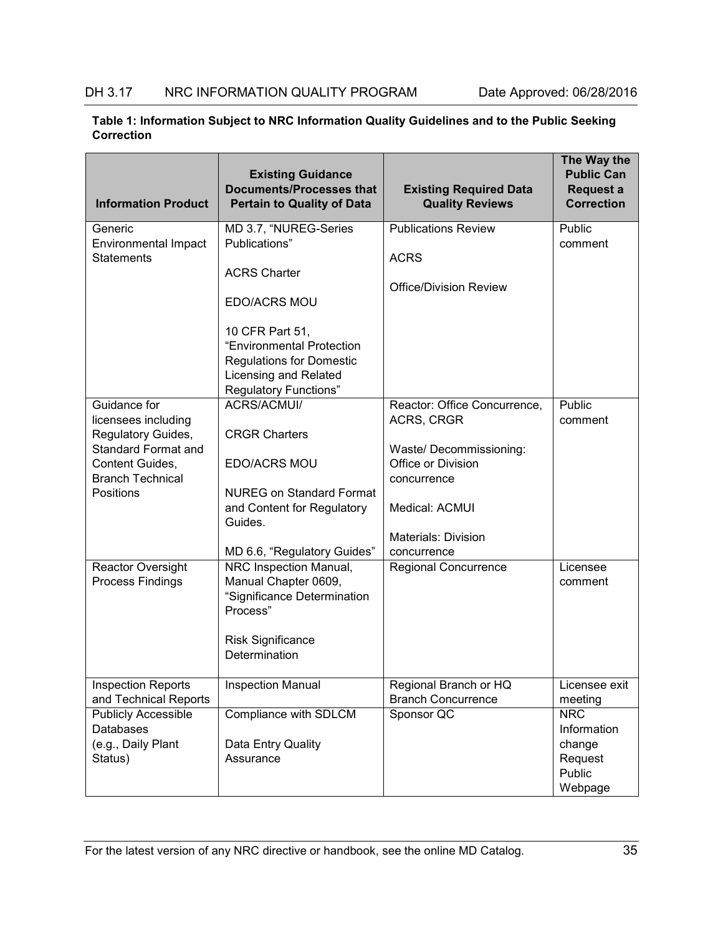| <b>Information Product</b>  | <b>Existing Guidance</b><br><b>Documents/Processes that</b><br><b>Pertain to Quality of Data</b> | <b>Existing Required Data</b><br><b>Quality Reviews</b> | The Way the<br><b>Public Can</b><br><b>Request a</b><br><b>Correction</b> |
|-----------------------------|--------------------------------------------------------------------------------------------------|---------------------------------------------------------|---------------------------------------------------------------------------|
| Generic                     | MD 3.7, "NUREG-Series                                                                            | <b>Publications Review</b>                              | Public                                                                    |
| <b>Environmental Impact</b> | Publications"                                                                                    |                                                         | comment                                                                   |
| <b>Statements</b>           | <b>ACRS Charter</b>                                                                              | <b>ACRS</b>                                             |                                                                           |
|                             |                                                                                                  | <b>Office/Division Review</b>                           |                                                                           |
|                             | <b>EDO/ACRS MOU</b>                                                                              |                                                         |                                                                           |
|                             | 10 CFR Part 51,                                                                                  |                                                         |                                                                           |
|                             | "Environmental Protection                                                                        |                                                         |                                                                           |
|                             | <b>Regulations for Domestic</b>                                                                  |                                                         |                                                                           |
|                             | Licensing and Related                                                                            |                                                         |                                                                           |
| Guidance for                | <b>Regulatory Functions"</b><br>ACRS/ACMUI/                                                      |                                                         | Public                                                                    |
| licensees including         |                                                                                                  | Reactor: Office Concurrence,<br>ACRS, CRGR              | comment                                                                   |
| Regulatory Guides,          | <b>CRGR Charters</b>                                                                             |                                                         |                                                                           |
| <b>Standard Format and</b>  |                                                                                                  | Waste/ Decommissioning:                                 |                                                                           |
| Content Guides,             | EDO/ACRS MOU                                                                                     | Office or Division                                      |                                                                           |
| <b>Branch Technical</b>     |                                                                                                  | concurrence                                             |                                                                           |
| Positions                   | <b>NUREG on Standard Format</b>                                                                  |                                                         |                                                                           |
|                             | and Content for Regulatory<br>Guides.                                                            | Medical: ACMUI                                          |                                                                           |
|                             |                                                                                                  | <b>Materials: Division</b>                              |                                                                           |
|                             | MD 6.6, "Regulatory Guides"                                                                      | concurrence                                             |                                                                           |
| <b>Reactor Oversight</b>    | NRC Inspection Manual,                                                                           | <b>Regional Concurrence</b>                             | Licensee                                                                  |
| Process Findings            | Manual Chapter 0609,                                                                             |                                                         | comment                                                                   |
|                             | "Significance Determination                                                                      |                                                         |                                                                           |
|                             | Process"                                                                                         |                                                         |                                                                           |
|                             | <b>Risk Significance</b>                                                                         |                                                         |                                                                           |
|                             | Determination                                                                                    |                                                         |                                                                           |
|                             |                                                                                                  |                                                         |                                                                           |
| <b>Inspection Reports</b>   | <b>Inspection Manual</b>                                                                         | Regional Branch or HQ                                   | Licensee exit                                                             |
| and Technical Reports       |                                                                                                  | <b>Branch Concurrence</b>                               | meeting                                                                   |
| <b>Publicly Accessible</b>  | Compliance with SDLCM                                                                            | Sponsor QC                                              | <b>NRC</b>                                                                |
| Databases                   |                                                                                                  |                                                         | Information                                                               |
| (e.g., Daily Plant          | Data Entry Quality                                                                               |                                                         | change                                                                    |
| Status)                     | Assurance                                                                                        |                                                         | Request<br>Public                                                         |
|                             |                                                                                                  |                                                         | Webpage                                                                   |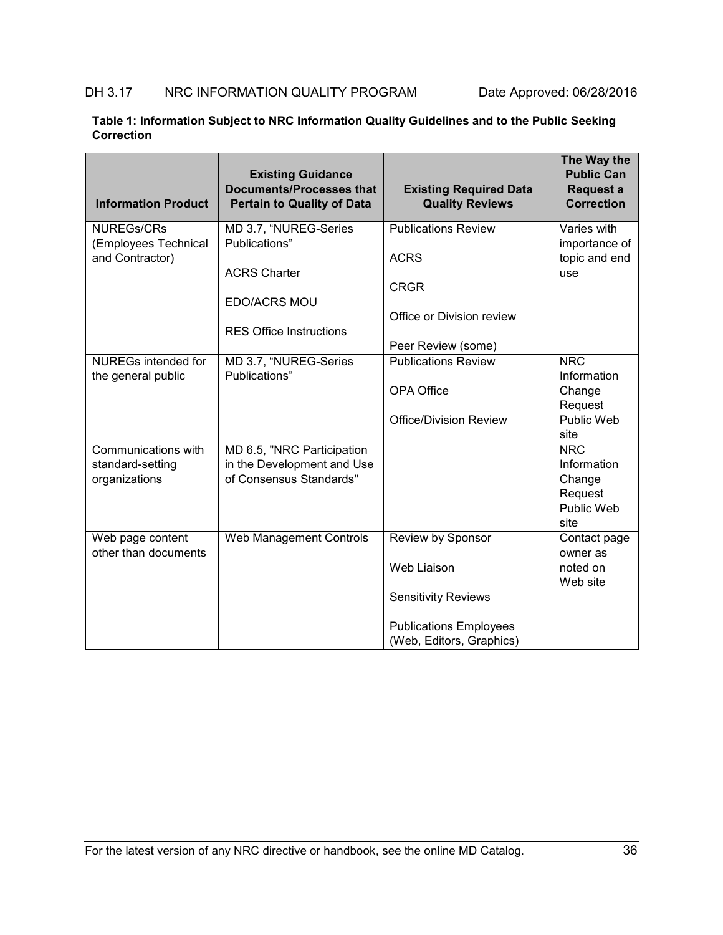| <b>Information Product</b>        | <b>Existing Guidance</b><br><b>Documents/Processes that</b><br><b>Pertain to Quality of Data</b> | <b>Existing Required Data</b><br><b>Quality Reviews</b> | The Way the<br><b>Public Can</b><br>Request a<br><b>Correction</b> |
|-----------------------------------|--------------------------------------------------------------------------------------------------|---------------------------------------------------------|--------------------------------------------------------------------|
| <b>NUREGs/CRs</b>                 | MD 3.7, "NUREG-Series                                                                            | <b>Publications Review</b>                              | Varies with                                                        |
| (Employees Technical              | Publications"                                                                                    |                                                         | importance of                                                      |
| and Contractor)                   |                                                                                                  | <b>ACRS</b>                                             | topic and end                                                      |
|                                   | <b>ACRS Charter</b>                                                                              |                                                         | use                                                                |
|                                   |                                                                                                  | <b>CRGR</b>                                             |                                                                    |
|                                   | EDO/ACRS MOU                                                                                     | Office or Division review                               |                                                                    |
|                                   | <b>RES Office Instructions</b>                                                                   |                                                         |                                                                    |
|                                   |                                                                                                  | Peer Review (some)                                      |                                                                    |
| <b>NUREGs intended for</b>        | MD 3.7, "NUREG-Series                                                                            | <b>Publications Review</b>                              | <b>NRC</b>                                                         |
| the general public                | Publications"                                                                                    |                                                         | Information                                                        |
|                                   |                                                                                                  | <b>OPA Office</b>                                       | Change                                                             |
|                                   |                                                                                                  |                                                         | Request                                                            |
|                                   |                                                                                                  | <b>Office/Division Review</b>                           | Public Web                                                         |
|                                   |                                                                                                  |                                                         | site                                                               |
| Communications with               | MD 6.5, "NRC Participation                                                                       |                                                         | <b>NRC</b><br>Information                                          |
| standard-setting<br>organizations | in the Development and Use<br>of Consensus Standards"                                            |                                                         | Change                                                             |
|                                   |                                                                                                  |                                                         | Request                                                            |
|                                   |                                                                                                  |                                                         | Public Web                                                         |
|                                   |                                                                                                  |                                                         | site                                                               |
| Web page content                  | Web Management Controls                                                                          | Review by Sponsor                                       | Contact page                                                       |
| other than documents              |                                                                                                  |                                                         | owner as                                                           |
|                                   |                                                                                                  | Web Liaison                                             | noted on                                                           |
|                                   |                                                                                                  |                                                         | Web site                                                           |
|                                   |                                                                                                  | <b>Sensitivity Reviews</b>                              |                                                                    |
|                                   |                                                                                                  | <b>Publications Employees</b>                           |                                                                    |
|                                   |                                                                                                  | (Web, Editors, Graphics)                                |                                                                    |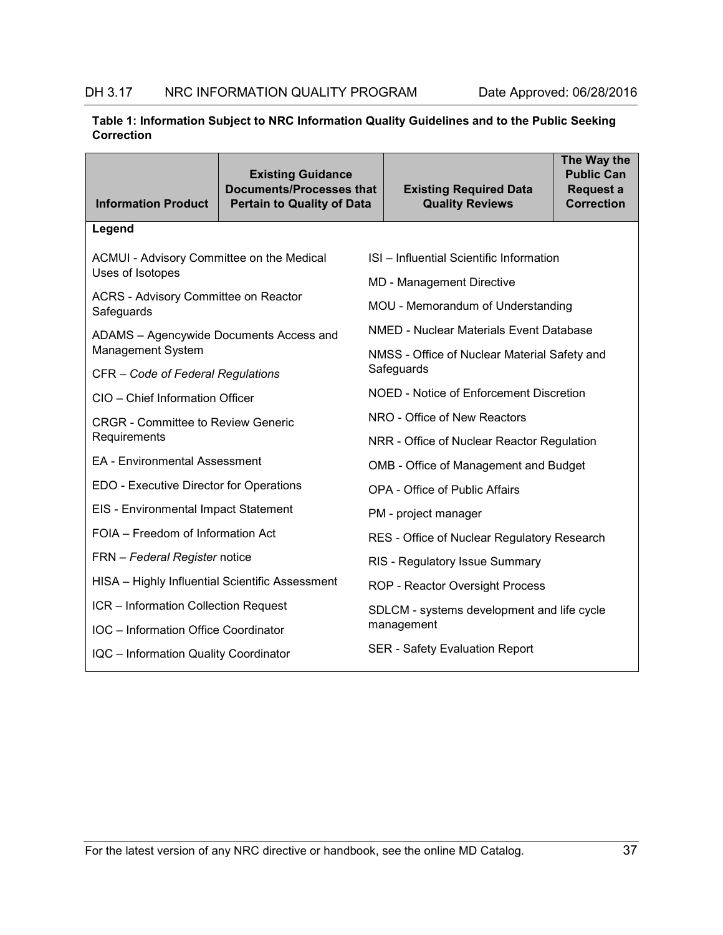| <b>Information Product</b>                                | <b>Existing Guidance</b><br><b>Documents/Processes that</b><br><b>Pertain to Quality of Data</b> |                                                | <b>Existing Required Data</b><br><b>Quality Reviews</b> | The Way the<br><b>Public Can</b><br>Request a<br><b>Correction</b> |  |  |
|-----------------------------------------------------------|--------------------------------------------------------------------------------------------------|------------------------------------------------|---------------------------------------------------------|--------------------------------------------------------------------|--|--|
| Legend                                                    |                                                                                                  |                                                |                                                         |                                                                    |  |  |
| ACMUI - Advisory Committee on the Medical                 |                                                                                                  |                                                | ISI - Influential Scientific Information                |                                                                    |  |  |
| Uses of Isotopes                                          |                                                                                                  |                                                | <b>MD</b> - Management Directive                        |                                                                    |  |  |
| <b>ACRS - Advisory Committee on Reactor</b><br>Safeguards |                                                                                                  |                                                | MOU - Memorandum of Understanding                       |                                                                    |  |  |
| ADAMS - Agencywide Documents Access and                   |                                                                                                  |                                                | NMED - Nuclear Materials Event Database                 |                                                                    |  |  |
| Management System                                         |                                                                                                  | NMSS - Office of Nuclear Material Safety and   |                                                         |                                                                    |  |  |
| CFR - Code of Federal Regulations                         |                                                                                                  | Safeguards                                     |                                                         |                                                                    |  |  |
| CIO - Chief Information Officer                           |                                                                                                  | <b>NOED - Notice of Enforcement Discretion</b> |                                                         |                                                                    |  |  |
| <b>CRGR - Committee to Review Generic</b>                 |                                                                                                  | NRO - Office of New Reactors                   |                                                         |                                                                    |  |  |
| Requirements                                              |                                                                                                  | NRR - Office of Nuclear Reactor Regulation     |                                                         |                                                                    |  |  |
| <b>EA - Environmental Assessment</b>                      |                                                                                                  |                                                | OMB - Office of Management and Budget                   |                                                                    |  |  |
| EDO - Executive Director for Operations                   |                                                                                                  | <b>OPA - Office of Public Affairs</b>          |                                                         |                                                                    |  |  |
| EIS - Environmental Impact Statement                      |                                                                                                  | PM - project manager                           |                                                         |                                                                    |  |  |
| FOIA - Freedom of Information Act                         |                                                                                                  | RES - Office of Nuclear Regulatory Research    |                                                         |                                                                    |  |  |
| FRN - Federal Register notice                             |                                                                                                  | RIS - Regulatory Issue Summary                 |                                                         |                                                                    |  |  |
| HISA - Highly Influential Scientific Assessment           |                                                                                                  | ROP - Reactor Oversight Process                |                                                         |                                                                    |  |  |
| ICR - Information Collection Request                      |                                                                                                  | SDLCM - systems development and life cycle     |                                                         |                                                                    |  |  |
| IOC - Information Office Coordinator                      |                                                                                                  |                                                | management                                              |                                                                    |  |  |
| <b>IQC</b> - Information Quality Coordinator              |                                                                                                  |                                                | <b>SER - Safety Evaluation Report</b>                   |                                                                    |  |  |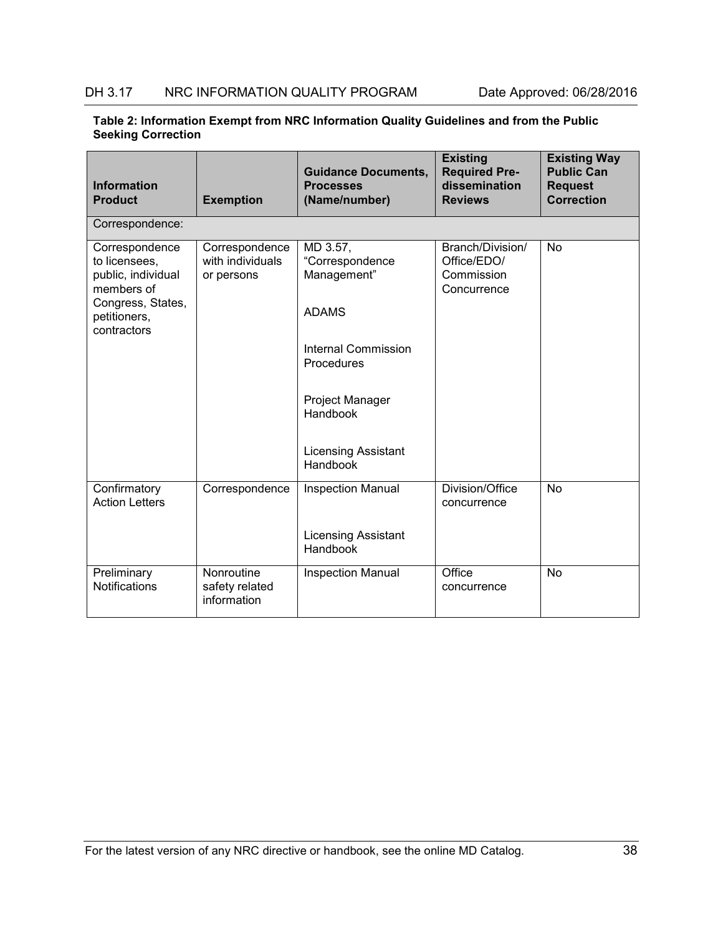| Table 2: Information Exempt from NRC Information Quality Guidelines and from the Public |  |
|-----------------------------------------------------------------------------------------|--|
| <b>Seeking Correction</b>                                                               |  |

| <b>Information</b><br><b>Product</b>                                                                                    | <b>Exemption</b>                                 | <b>Guidance Documents,</b><br><b>Processes</b><br>(Name/number)                                 | <b>Existing</b><br><b>Required Pre-</b><br>dissemination<br><b>Reviews</b> | <b>Existing Way</b><br><b>Public Can</b><br><b>Request</b><br><b>Correction</b> |
|-------------------------------------------------------------------------------------------------------------------------|--------------------------------------------------|-------------------------------------------------------------------------------------------------|----------------------------------------------------------------------------|---------------------------------------------------------------------------------|
| Correspondence:                                                                                                         |                                                  |                                                                                                 |                                                                            |                                                                                 |
| Correspondence<br>to licensees,<br>public, individual<br>members of<br>Congress, States,<br>petitioners,<br>contractors | Correspondence<br>with individuals<br>or persons | MD 3.57,<br>"Correspondence<br>Management"<br><b>ADAMS</b><br>Internal Commission<br>Procedures | Branch/Division/<br>Office/EDO/<br>Commission<br>Concurrence               | <b>No</b>                                                                       |
|                                                                                                                         |                                                  | <b>Project Manager</b><br>Handbook<br><b>Licensing Assistant</b><br>Handbook                    |                                                                            |                                                                                 |
| Confirmatory<br><b>Action Letters</b>                                                                                   | Correspondence                                   | <b>Inspection Manual</b><br><b>Licensing Assistant</b><br>Handbook                              | Division/Office<br>concurrence                                             | <b>No</b>                                                                       |
| Preliminary<br>Notifications                                                                                            | Nonroutine<br>safety related<br>information      | <b>Inspection Manual</b>                                                                        | Office<br>concurrence                                                      | <b>No</b>                                                                       |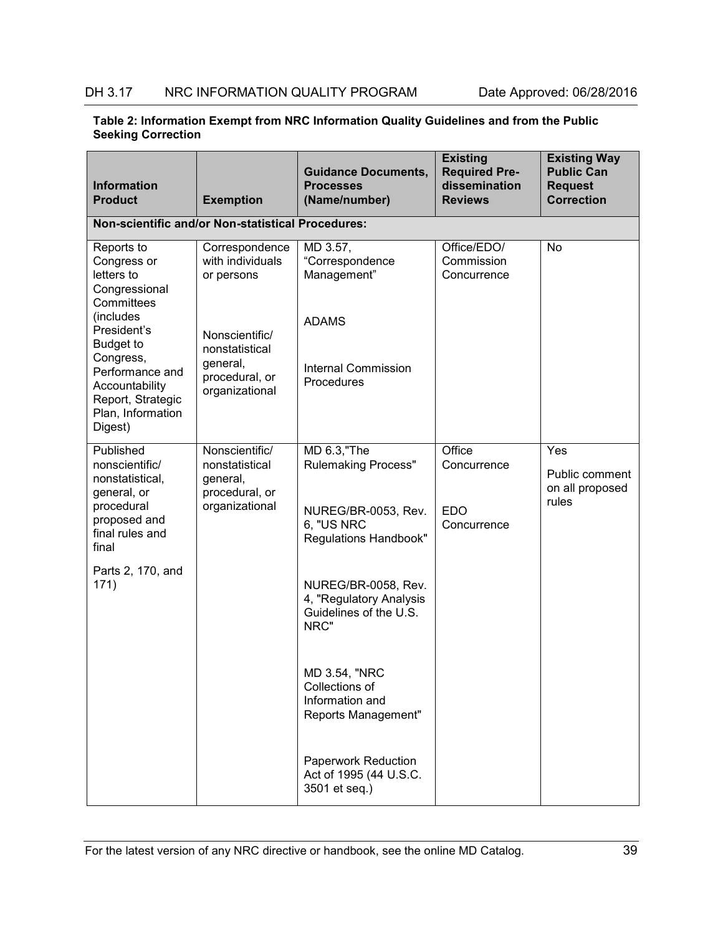| <b>Information</b><br><b>Product</b>                                         | <b>Exemption</b>                                               | <b>Guidance Documents,</b><br><b>Processes</b><br>(Name/number)                  | <b>Existing</b><br><b>Required Pre-</b><br>dissemination<br><b>Reviews</b> | <b>Existing Way</b><br><b>Public Can</b><br><b>Request</b><br><b>Correction</b> |
|------------------------------------------------------------------------------|----------------------------------------------------------------|----------------------------------------------------------------------------------|----------------------------------------------------------------------------|---------------------------------------------------------------------------------|
| Non-scientific and/or Non-statistical Procedures:                            |                                                                |                                                                                  |                                                                            |                                                                                 |
| Reports to<br>Congress or<br>letters to<br>Congressional<br>Committees       | Correspondence<br>with individuals<br>or persons               | MD 3.57,<br>"Correspondence<br>Management"                                       | Office/EDO/<br>Commission<br>Concurrence                                   | No                                                                              |
| (includes<br>President's<br><b>Budget to</b><br>Congress,<br>Performance and | Nonscientific/<br>nonstatistical<br>general,                   | <b>ADAMS</b><br><b>Internal Commission</b>                                       |                                                                            |                                                                                 |
| Accountability<br>Report, Strategic<br>Plan, Information<br>Digest)          | procedural, or<br>organizational                               | Procedures                                                                       |                                                                            |                                                                                 |
| Published<br>nonscientific/<br>nonstatistical,<br>general, or                | Nonscientific/<br>nonstatistical<br>general,<br>procedural, or | MD 6.3, "The<br><b>Rulemaking Process"</b>                                       | Office<br>Concurrence                                                      | Yes<br>Public comment<br>on all proposed                                        |
| procedural<br>proposed and<br>final rules and<br>final                       | organizational                                                 | NUREG/BR-0053, Rev.<br>6, "US NRC<br><b>Regulations Handbook"</b>                | <b>EDO</b><br>Concurrence                                                  | rules                                                                           |
| Parts 2, 170, and<br>171)                                                    |                                                                | NUREG/BR-0058, Rev.<br>4, "Regulatory Analysis<br>Guidelines of the U.S.<br>NRC" |                                                                            |                                                                                 |
|                                                                              |                                                                | MD 3.54, "NRC<br>Collections of<br>Information and<br>Reports Management"        |                                                                            |                                                                                 |
|                                                                              |                                                                | Paperwork Reduction<br>Act of 1995 (44 U.S.C.<br>3501 et seq.)                   |                                                                            |                                                                                 |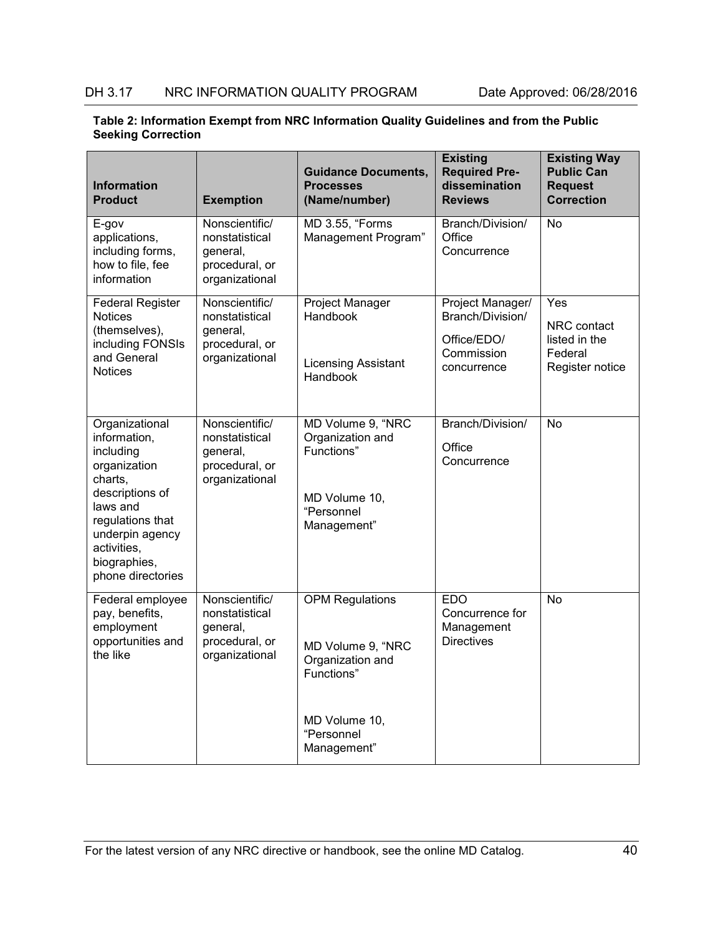| <b>Information</b><br><b>Product</b>                                                                                                                                                             | <b>Exemption</b>                                                                 | <b>Guidance Documents,</b><br><b>Processes</b><br>(Name/number)                                   | <b>Existing</b><br><b>Required Pre-</b><br>dissemination<br><b>Reviews</b>       | <b>Existing Way</b><br><b>Public Can</b><br><b>Request</b><br><b>Correction</b> |
|--------------------------------------------------------------------------------------------------------------------------------------------------------------------------------------------------|----------------------------------------------------------------------------------|---------------------------------------------------------------------------------------------------|----------------------------------------------------------------------------------|---------------------------------------------------------------------------------|
| E-gov<br>applications,<br>including forms,<br>how to file, fee<br>information                                                                                                                    | Nonscientific/<br>nonstatistical<br>general,<br>procedural, or<br>organizational | <b>MD 3.55, "Forms</b><br>Management Program"                                                     | Branch/Division/<br>Office<br>Concurrence                                        | <b>No</b>                                                                       |
| <b>Federal Register</b><br><b>Notices</b><br>(themselves),<br>including FONSIs<br>and General<br><b>Notices</b>                                                                                  | Nonscientific/<br>nonstatistical<br>general,<br>procedural, or<br>organizational | <b>Project Manager</b><br>Handbook<br><b>Licensing Assistant</b><br>Handbook                      | Project Manager/<br>Branch/Division/<br>Office/EDO/<br>Commission<br>concurrence | Yes<br>NRC contact<br>listed in the<br>Federal<br>Register notice               |
| Organizational<br>information,<br>including<br>organization<br>charts,<br>descriptions of<br>laws and<br>regulations that<br>underpin agency<br>activities,<br>biographies,<br>phone directories | Nonscientific/<br>nonstatistical<br>general,<br>procedural, or<br>organizational | MD Volume 9, "NRC<br>Organization and<br>Functions"<br>MD Volume 10,<br>"Personnel<br>Management" | Branch/Division/<br>Office<br>Concurrence                                        | No                                                                              |
| Federal employee<br>pay, benefits,<br>employment<br>opportunities and<br>the like                                                                                                                | Nonscientific/<br>nonstatistical<br>general,<br>procedural, or<br>organizational | <b>OPM Regulations</b><br>MD Volume 9, "NRC<br>Organization and<br>Functions"<br>MD Volume 10,    | <b>EDO</b><br>Concurrence for<br>Management<br><b>Directives</b>                 | <b>No</b>                                                                       |
|                                                                                                                                                                                                  |                                                                                  | "Personnel<br>Management"                                                                         |                                                                                  |                                                                                 |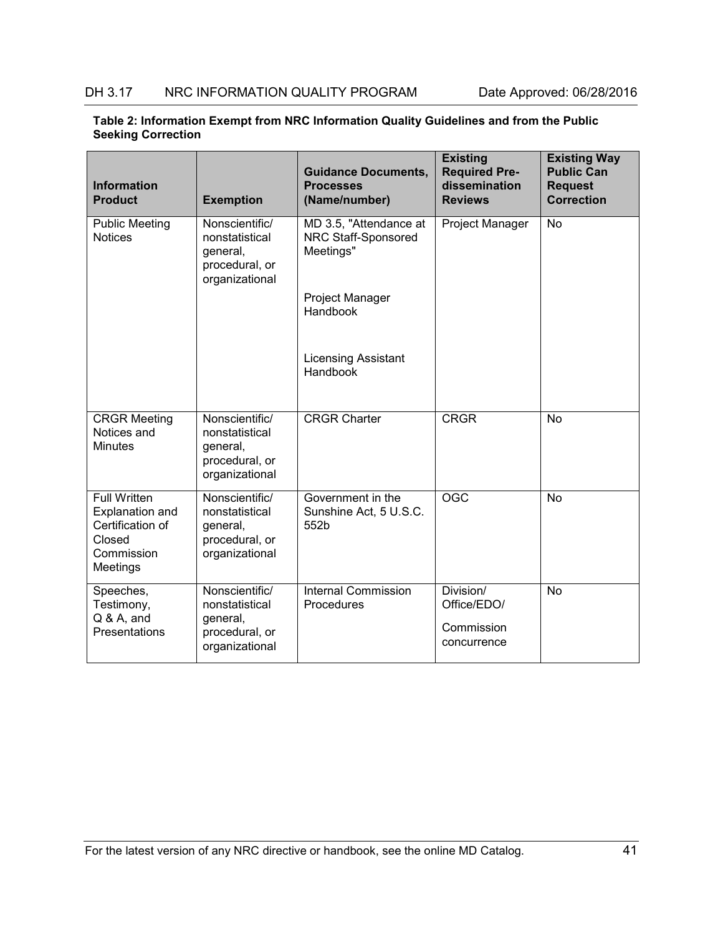| <b>Information</b><br><b>Product</b>                                                           | <b>Exemption</b>                                                                 | <b>Guidance Documents,</b><br><b>Processes</b><br>(Name/number) | <b>Existing</b><br><b>Required Pre-</b><br>dissemination<br><b>Reviews</b> | <b>Existing Way</b><br><b>Public Can</b><br><b>Request</b><br><b>Correction</b> |
|------------------------------------------------------------------------------------------------|----------------------------------------------------------------------------------|-----------------------------------------------------------------|----------------------------------------------------------------------------|---------------------------------------------------------------------------------|
| <b>Public Meeting</b><br><b>Notices</b>                                                        | Nonscientific/<br>nonstatistical<br>general,<br>procedural, or<br>organizational | MD 3.5, "Attendance at<br>NRC Staff-Sponsored<br>Meetings"      | Project Manager                                                            | <b>No</b>                                                                       |
|                                                                                                |                                                                                  | Project Manager<br>Handbook                                     |                                                                            |                                                                                 |
|                                                                                                |                                                                                  | <b>Licensing Assistant</b><br>Handbook                          |                                                                            |                                                                                 |
| <b>CRGR Meeting</b><br>Notices and<br><b>Minutes</b>                                           | Nonscientific/<br>nonstatistical<br>general,<br>procedural, or<br>organizational | <b>CRGR Charter</b>                                             | <b>CRGR</b>                                                                | <b>No</b>                                                                       |
| <b>Full Written</b><br>Explanation and<br>Certification of<br>Closed<br>Commission<br>Meetings | Nonscientific/<br>nonstatistical<br>general,<br>procedural, or<br>organizational | Government in the<br>Sunshine Act, 5 U.S.C.<br>552b             | OGC                                                                        | $\overline{N}$                                                                  |
| Speeches,<br>Testimony,<br>$Q & A$ , and<br>Presentations                                      | Nonscientific/<br>nonstatistical<br>general,<br>procedural, or<br>organizational | <b>Internal Commission</b><br>Procedures                        | Division/<br>Office/EDO/<br>Commission<br>concurrence                      | <b>No</b>                                                                       |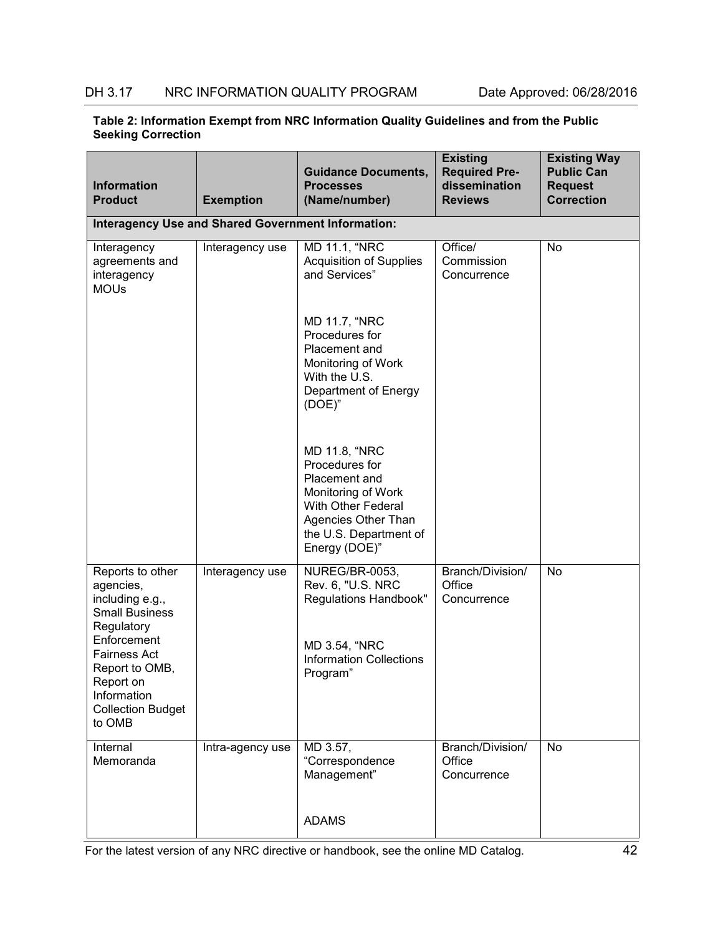#### **Table 2: Information Exempt from NRC Information Quality Guidelines and from the Public Seeking Correction**

| <b>Information</b><br><b>Product</b>                                                                                                 | <b>Exemption</b> | <b>Guidance Documents,</b><br><b>Processes</b><br>(Name/number)                                                                                                | <b>Existing</b><br><b>Required Pre-</b><br>dissemination<br><b>Reviews</b> | <b>Existing Way</b><br><b>Public Can</b><br><b>Request</b><br><b>Correction</b> |
|--------------------------------------------------------------------------------------------------------------------------------------|------------------|----------------------------------------------------------------------------------------------------------------------------------------------------------------|----------------------------------------------------------------------------|---------------------------------------------------------------------------------|
| <b>Interagency Use and Shared Government Information:</b>                                                                            |                  |                                                                                                                                                                |                                                                            |                                                                                 |
| Interagency<br>agreements and<br>interagency<br><b>MOUs</b>                                                                          | Interagency use  | MD 11.1, "NRC<br><b>Acquisition of Supplies</b><br>and Services"                                                                                               | Office/<br>Commission<br>Concurrence                                       | No                                                                              |
|                                                                                                                                      |                  | <b>MD 11.7, "NRC</b><br>Procedures for<br>Placement and<br>Monitoring of Work<br>With the U.S.<br>Department of Energy<br>$(DOE)^"$                            |                                                                            |                                                                                 |
|                                                                                                                                      |                  | MD 11.8, "NRC<br>Procedures for<br>Placement and<br>Monitoring of Work<br>With Other Federal<br>Agencies Other Than<br>the U.S. Department of<br>Energy (DOE)" |                                                                            |                                                                                 |
| Reports to other<br>agencies,<br>including e.g.,<br><b>Small Business</b>                                                            | Interagency use  | NUREG/BR-0053,<br>Rev. 6, "U.S. NRC<br>Regulations Handbook"                                                                                                   | Branch/Division/<br>Office<br>Concurrence                                  | No                                                                              |
| Regulatory<br>Enforcement<br><b>Fairness Act</b><br>Report to OMB,<br>Report on<br>Information<br><b>Collection Budget</b><br>to OMB |                  | MD 3.54, "NRC<br><b>Information Collections</b><br>Program"                                                                                                    |                                                                            |                                                                                 |
| Internal<br>Memoranda                                                                                                                | Intra-agency use | MD 3.57,<br>"Correspondence<br>Management"                                                                                                                     | Branch/Division/<br>Office<br>Concurrence                                  | <b>No</b>                                                                       |
|                                                                                                                                      |                  | <b>ADAMS</b>                                                                                                                                                   |                                                                            |                                                                                 |

For the latest version of any NRC directive or handbook, see the online MD Catalog. 42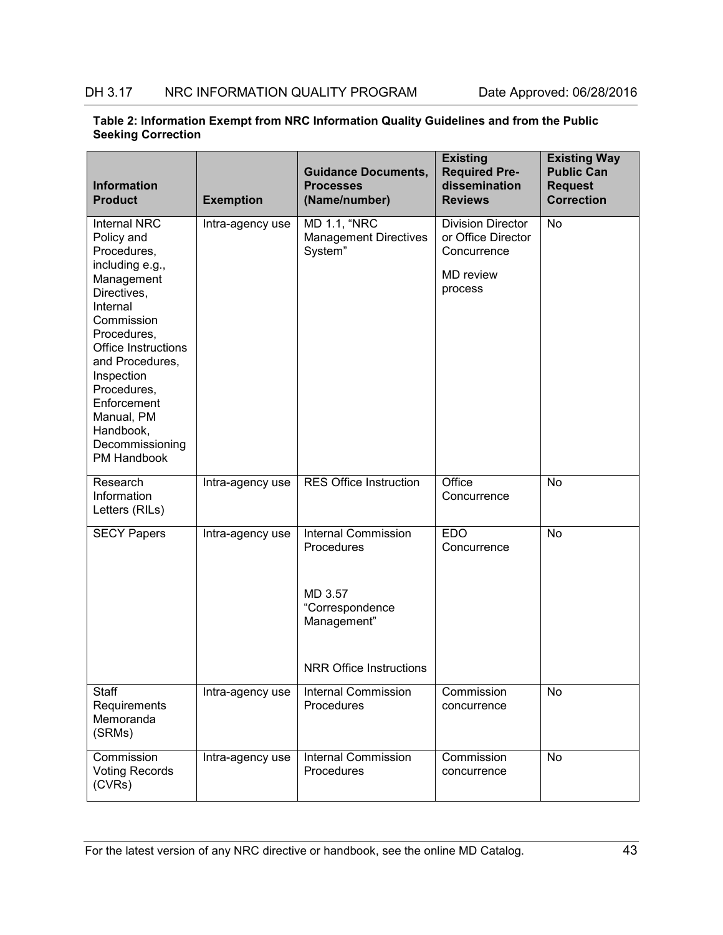| <b>Information</b><br><b>Product</b>                                                                                                                                                                                                                                                                | <b>Exemption</b> | <b>Guidance Documents,</b><br><b>Processes</b><br>(Name/number)                                                         | <b>Existing</b><br><b>Required Pre-</b><br>dissemination<br><b>Reviews</b>                   | <b>Existing Way</b><br><b>Public Can</b><br><b>Request</b><br><b>Correction</b> |
|-----------------------------------------------------------------------------------------------------------------------------------------------------------------------------------------------------------------------------------------------------------------------------------------------------|------------------|-------------------------------------------------------------------------------------------------------------------------|----------------------------------------------------------------------------------------------|---------------------------------------------------------------------------------|
| <b>Internal NRC</b><br>Policy and<br>Procedures,<br>including e.g.,<br>Management<br>Directives,<br>Internal<br>Commission<br>Procedures,<br><b>Office Instructions</b><br>and Procedures,<br>Inspection<br>Procedures,<br>Enforcement<br>Manual, PM<br>Handbook,<br>Decommissioning<br>PM Handbook | Intra-agency use | <b>MD 1.1, "NRC</b><br><b>Management Directives</b><br>System"                                                          | <b>Division Director</b><br>or Office Director<br>Concurrence<br><b>MD</b> review<br>process | No                                                                              |
| Research<br>Information<br>Letters (RILs)                                                                                                                                                                                                                                                           | Intra-agency use | <b>RES Office Instruction</b>                                                                                           | Office<br>Concurrence                                                                        | No                                                                              |
| <b>SECY Papers</b>                                                                                                                                                                                                                                                                                  | Intra-agency use | <b>Internal Commission</b><br>Procedures<br>MD 3.57<br>"Correspondence<br>Management"<br><b>NRR Office Instructions</b> | <b>EDO</b><br>Concurrence                                                                    | No                                                                              |
| Staff<br>Requirements<br>Memoranda<br>(SRMs)                                                                                                                                                                                                                                                        | Intra-agency use | <b>Internal Commission</b><br>Procedures                                                                                | Commission<br>concurrence                                                                    | No                                                                              |
| Commission<br><b>Voting Records</b><br>(CVRs)                                                                                                                                                                                                                                                       | Intra-agency use | <b>Internal Commission</b><br>Procedures                                                                                | Commission<br>concurrence                                                                    | No                                                                              |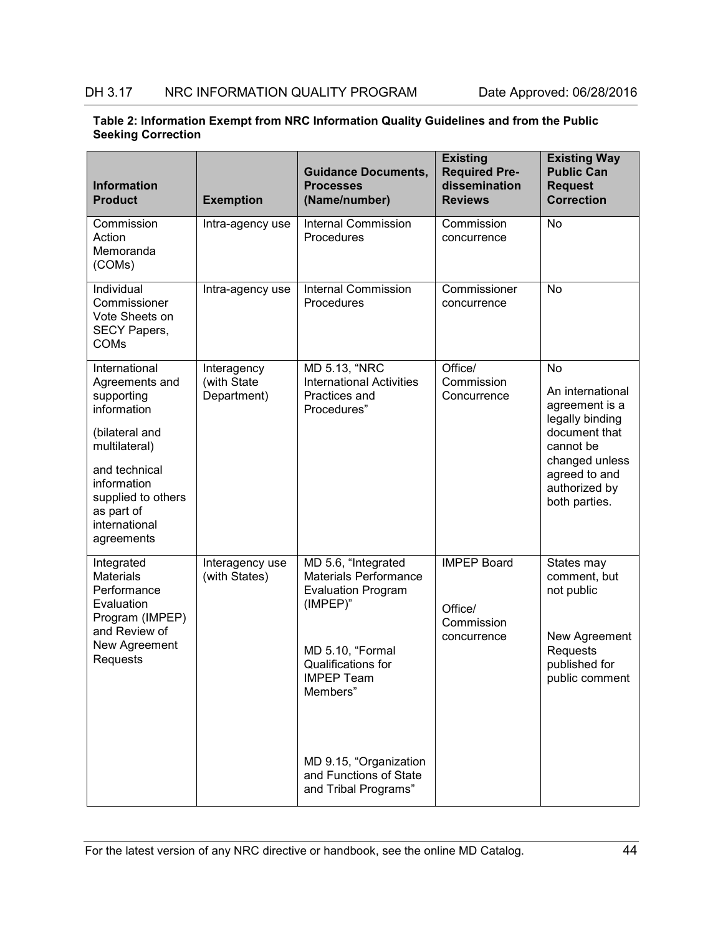| Table 2: Information Exempt from NRC Information Quality Guidelines and from the Public |  |
|-----------------------------------------------------------------------------------------|--|
| <b>Seeking Correction</b>                                                               |  |

| <b>Information</b><br><b>Product</b>                                                                                               | <b>Exemption</b>                          | <b>Guidance Documents,</b><br><b>Processes</b><br>(Name/number)                              | <b>Existing</b><br><b>Required Pre-</b><br>dissemination<br><b>Reviews</b> | <b>Existing Way</b><br><b>Public Can</b><br><b>Request</b><br><b>Correction</b>                 |
|------------------------------------------------------------------------------------------------------------------------------------|-------------------------------------------|----------------------------------------------------------------------------------------------|----------------------------------------------------------------------------|-------------------------------------------------------------------------------------------------|
| Commission<br>Action<br>Memoranda<br>(COMs)                                                                                        | Intra-agency use                          | <b>Internal Commission</b><br>Procedures                                                     | Commission<br>concurrence                                                  | <b>No</b>                                                                                       |
| Individual<br>Commissioner<br>Vote Sheets on<br>SECY Papers,<br><b>COMs</b>                                                        | Intra-agency use                          | <b>Internal Commission</b><br>Procedures                                                     | Commissioner<br>concurrence                                                | <b>No</b>                                                                                       |
| International<br>Agreements and<br>supporting<br>information                                                                       | Interagency<br>(with State<br>Department) | MD 5.13, "NRC<br><b>International Activities</b><br>Practices and<br>Procedures"             | Office/<br>Commission<br>Concurrence                                       | <b>No</b><br>An international<br>agreement is a<br>legally binding                              |
| (bilateral and<br>multilateral)<br>and technical<br>information<br>supplied to others<br>as part of<br>international<br>agreements |                                           |                                                                                              |                                                                            | document that<br>cannot be<br>changed unless<br>agreed to and<br>authorized by<br>both parties. |
| Integrated<br><b>Materials</b><br>Performance<br>Evaluation<br>Program (IMPEP)                                                     | Interagency use<br>(with States)          | MD 5.6, "Integrated<br><b>Materials Performance</b><br><b>Evaluation Program</b><br>(IMPEP)" | <b>IMPEP Board</b><br>Office/<br>Commission                                | States may<br>comment, but<br>not public                                                        |
| and Review of<br>New Agreement<br>Requests                                                                                         |                                           | MD 5.10, "Formal<br>Qualifications for<br><b>IMPEP Team</b><br>Members"                      | concurrence                                                                | New Agreement<br>Requests<br>published for<br>public comment                                    |
|                                                                                                                                    |                                           | MD 9.15, "Organization<br>and Functions of State<br>and Tribal Programs"                     |                                                                            |                                                                                                 |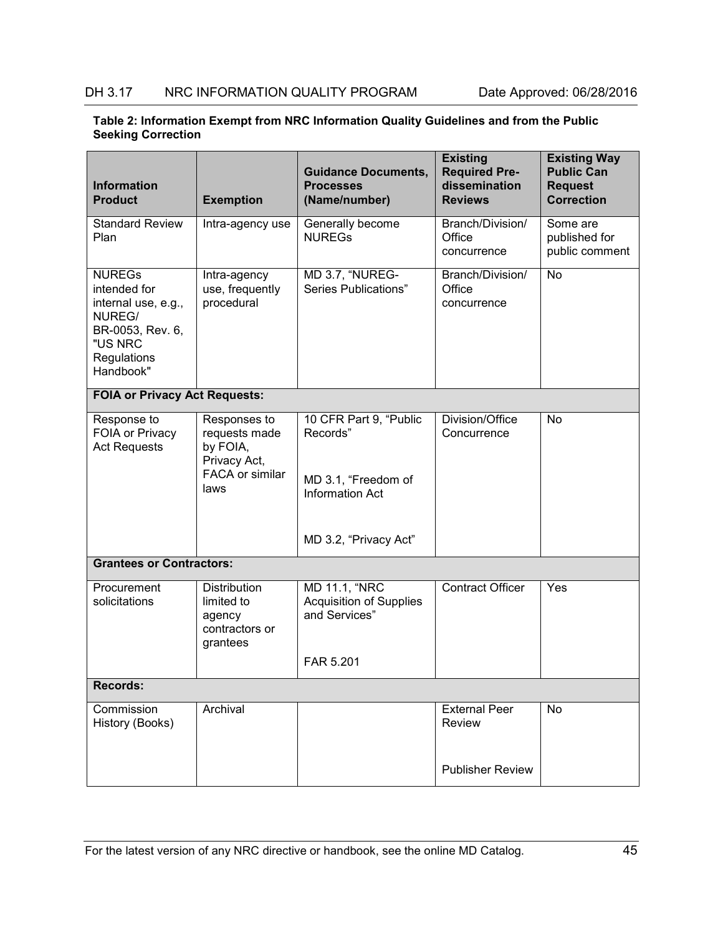| Table 2: Information Exempt from NRC Information Quality Guidelines and from the Public |  |
|-----------------------------------------------------------------------------------------|--|
| <b>Seeking Correction</b>                                                               |  |

| <b>Information</b><br><b>Product</b>                                                                                      | <b>Exemption</b>                                                                            | <b>Guidance Documents,</b><br><b>Processes</b><br>(Name/number)                                              | <b>Existing</b><br><b>Required Pre-</b><br>dissemination<br><b>Reviews</b> | <b>Existing Way</b><br><b>Public Can</b><br><b>Request</b><br><b>Correction</b> |
|---------------------------------------------------------------------------------------------------------------------------|---------------------------------------------------------------------------------------------|--------------------------------------------------------------------------------------------------------------|----------------------------------------------------------------------------|---------------------------------------------------------------------------------|
| <b>Standard Review</b><br>Plan                                                                                            | Intra-agency use                                                                            | Generally become<br><b>NUREGS</b>                                                                            | Branch/Division/<br>Office<br>concurrence                                  | Some are<br>published for<br>public comment                                     |
| <b>NUREGS</b><br>intended for<br>internal use, e.g.,<br>NUREG/<br>BR-0053, Rev. 6,<br>"US NRC<br>Regulations<br>Handbook" | Intra-agency<br>use, frequently<br>procedural                                               | MD 3.7, "NUREG-<br>Series Publications"                                                                      | Branch/Division/<br>Office<br>concurrence                                  | <b>No</b>                                                                       |
| <b>FOIA or Privacy Act Requests:</b>                                                                                      |                                                                                             |                                                                                                              |                                                                            |                                                                                 |
| Response to<br>FOIA or Privacy<br><b>Act Requests</b>                                                                     | Responses to<br>requests made<br>by FOIA,<br>Privacy Act,<br><b>FACA or similar</b><br>laws | 10 CFR Part 9, "Public<br>Records"<br>MD 3.1, "Freedom of<br><b>Information Act</b><br>MD 3.2, "Privacy Act" | Division/Office<br>Concurrence                                             | No                                                                              |
| <b>Grantees or Contractors:</b>                                                                                           |                                                                                             |                                                                                                              |                                                                            |                                                                                 |
| Procurement<br>solicitations                                                                                              | <b>Distribution</b><br>limited to<br>agency<br>contractors or<br>grantees                   | MD 11.1, "NRC<br><b>Acquisition of Supplies</b><br>and Services"<br>FAR 5.201                                | Contract Officer                                                           | Yes                                                                             |
| <b>Records:</b>                                                                                                           |                                                                                             |                                                                                                              |                                                                            |                                                                                 |
| Commission<br>History (Books)                                                                                             | Archival                                                                                    |                                                                                                              | <b>External Peer</b><br>Review                                             | No                                                                              |
|                                                                                                                           |                                                                                             |                                                                                                              | <b>Publisher Review</b>                                                    |                                                                                 |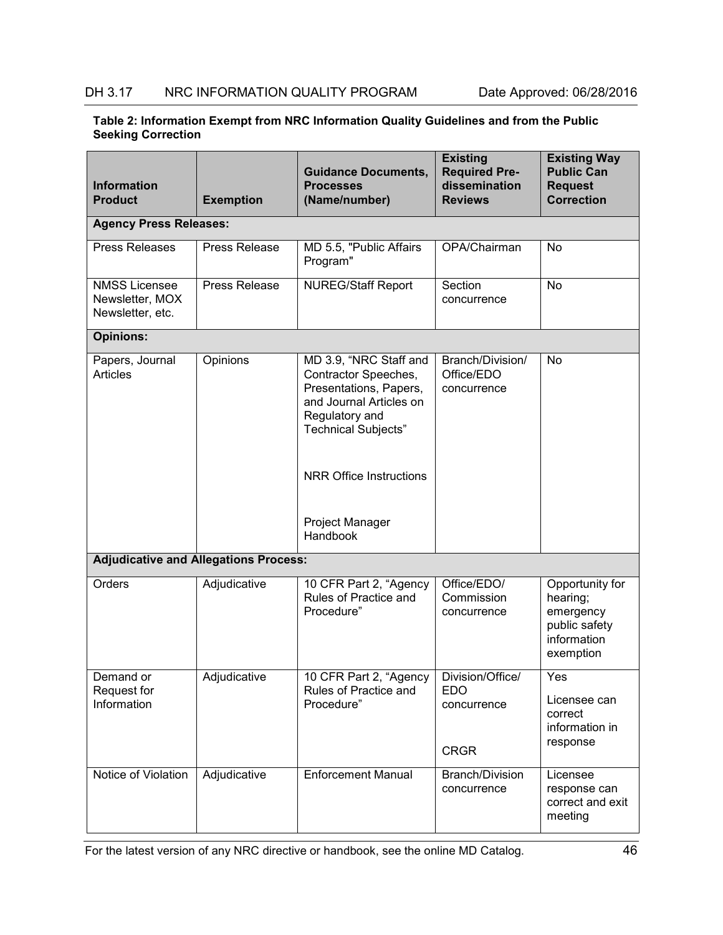| <b>Information</b><br><b>Product</b>                        | <b>Exemption</b>     | <b>Guidance Documents,</b><br><b>Processes</b><br>(Name/number)                                                                                     | <b>Existing</b><br><b>Required Pre-</b><br>dissemination<br><b>Reviews</b> | <b>Existing Way</b><br><b>Public Can</b><br><b>Request</b><br><b>Correction</b>       |  |  |
|-------------------------------------------------------------|----------------------|-----------------------------------------------------------------------------------------------------------------------------------------------------|----------------------------------------------------------------------------|---------------------------------------------------------------------------------------|--|--|
| <b>Agency Press Releases:</b>                               |                      |                                                                                                                                                     |                                                                            |                                                                                       |  |  |
| <b>Press Releases</b>                                       | Press Release        | MD 5.5, "Public Affairs<br>Program"                                                                                                                 | OPA/Chairman                                                               | No                                                                                    |  |  |
| <b>NMSS Licensee</b><br>Newsletter, MOX<br>Newsletter, etc. | <b>Press Release</b> | <b>NUREG/Staff Report</b><br>Section<br>concurrence                                                                                                 |                                                                            | No                                                                                    |  |  |
| <b>Opinions:</b>                                            |                      |                                                                                                                                                     |                                                                            |                                                                                       |  |  |
| Papers, Journal<br><b>Articles</b>                          | Opinions             | MD 3.9, "NRC Staff and<br>Contractor Speeches,<br>Presentations, Papers,<br>and Journal Articles on<br>Regulatory and<br><b>Technical Subjects"</b> | Branch/Division/<br>Office/EDO<br>concurrence                              | No                                                                                    |  |  |
|                                                             |                      | <b>NRR Office Instructions</b>                                                                                                                      |                                                                            |                                                                                       |  |  |
|                                                             |                      | Project Manager<br>Handbook                                                                                                                         |                                                                            |                                                                                       |  |  |
| <b>Adjudicative and Allegations Process:</b>                |                      |                                                                                                                                                     |                                                                            |                                                                                       |  |  |
| Orders                                                      | Adjudicative         | Office/EDO/<br>10 CFR Part 2, "Agency<br>Rules of Practice and<br>Commission<br>Procedure"<br>concurrence                                           |                                                                            | Opportunity for<br>hearing;<br>emergency<br>public safety<br>information<br>exemption |  |  |
| Demand or                                                   | Adjudicative         | 10 CFR Part 2, "Agency<br>Rules of Practice and                                                                                                     | Division/Office/<br><b>EDO</b>                                             | Yes                                                                                   |  |  |
| <b>Request for</b><br>Information                           |                      | Procedure"                                                                                                                                          | concurrence<br><b>CRGR</b>                                                 | Licensee can<br>correct<br>information in<br>response                                 |  |  |
| Notice of Violation                                         | Adjudicative         | <b>Enforcement Manual</b>                                                                                                                           | Branch/Division<br>concurrence                                             | Licensee<br>response can<br>correct and exit<br>meeting                               |  |  |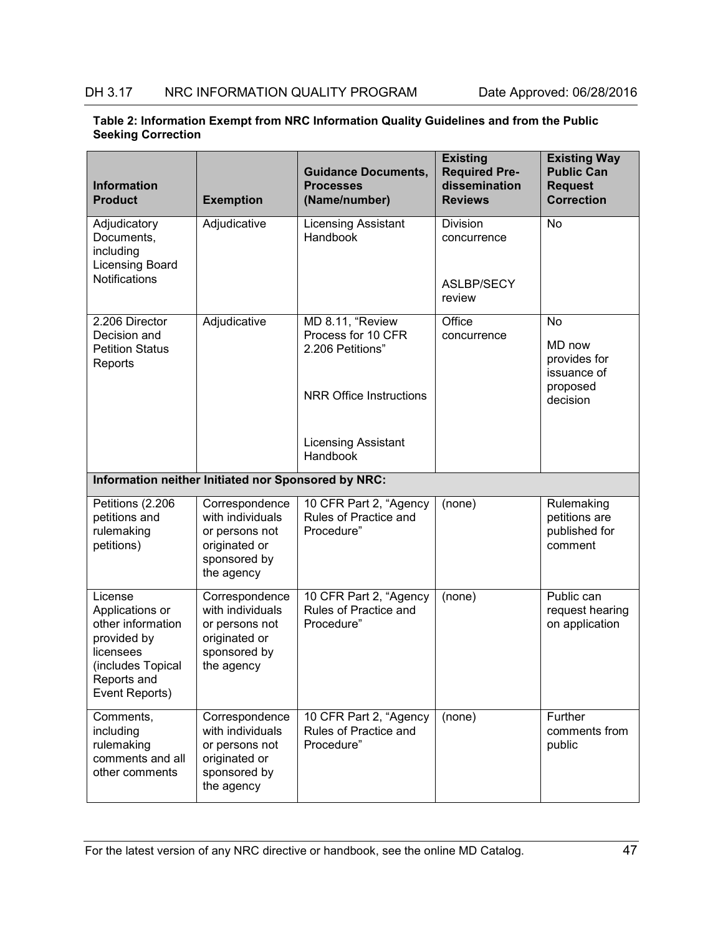| Table 2: Information Exempt from NRC Information Quality Guidelines and from the Public |  |
|-----------------------------------------------------------------------------------------|--|
| <b>Seeking Correction</b>                                                               |  |

| <b>Information</b><br><b>Product</b>                                                                                              | <b>Exemption</b>                                                                                    | <b>Guidance Documents,</b><br><b>Processes</b><br>(Name/number)                              | <b>Existing</b><br><b>Required Pre-</b><br>dissemination<br><b>Reviews</b> | <b>Existing Way</b><br><b>Public Can</b><br><b>Request</b><br><b>Correction</b> |
|-----------------------------------------------------------------------------------------------------------------------------------|-----------------------------------------------------------------------------------------------------|----------------------------------------------------------------------------------------------|----------------------------------------------------------------------------|---------------------------------------------------------------------------------|
| Adjudicatory<br>Documents,<br>including<br>Licensing Board<br><b>Notifications</b>                                                | Adjudicative                                                                                        | <b>Licensing Assistant</b><br>Handbook                                                       | Division<br>concurrence<br>ASLBP/SECY<br>review                            | <b>No</b>                                                                       |
| 2.206 Director<br>Decision and<br><b>Petition Status</b><br>Reports                                                               | Adjudicative                                                                                        | MD 8.11, "Review<br>Process for 10 CFR<br>2.206 Petitions"<br><b>NRR Office Instructions</b> | Office<br>concurrence                                                      | <b>No</b><br>MD now<br>provides for<br>issuance of<br>proposed<br>decision      |
|                                                                                                                                   |                                                                                                     | <b>Licensing Assistant</b><br>Handbook                                                       |                                                                            |                                                                                 |
| Information neither Initiated nor Sponsored by NRC:                                                                               |                                                                                                     |                                                                                              |                                                                            |                                                                                 |
| Petitions (2.206<br>petitions and<br>rulemaking<br>petitions)                                                                     | Correspondence<br>with individuals<br>or persons not<br>originated or<br>sponsored by<br>the agency | 10 CFR Part 2, "Agency<br>Rules of Practice and<br>Procedure"                                | (none)                                                                     | Rulemaking<br>petitions are<br>published for<br>comment                         |
| License<br>Applications or<br>other information<br>provided by<br>licensees<br>(includes Topical<br>Reports and<br>Event Reports) | Correspondence<br>with individuals<br>or persons not<br>originated or<br>sponsored by<br>the agency | 10 CFR Part 2, "Agency<br>Rules of Practice and<br>Procedure"                                | (none)                                                                     | Public can<br>request hearing<br>on application                                 |
| Comments,<br>including<br>rulemaking<br>comments and all<br>other comments                                                        | Correspondence<br>with individuals<br>or persons not<br>originated or<br>sponsored by<br>the agency | 10 CFR Part 2, "Agency<br>Rules of Practice and<br>Procedure"                                | (none)                                                                     | Further<br>comments from<br>public                                              |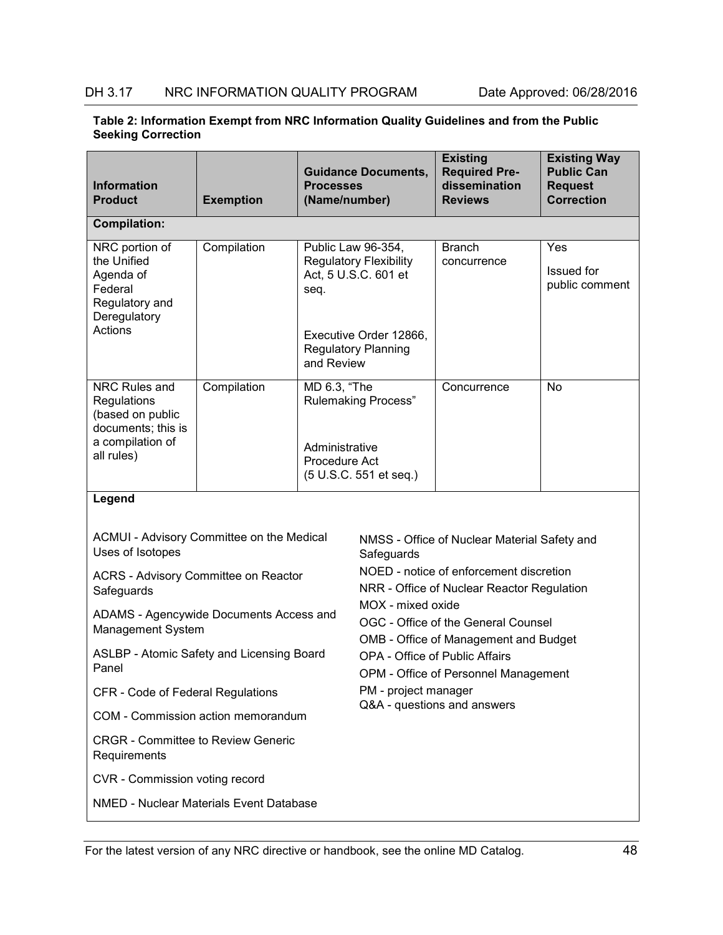| Table 2: Information Exempt from NRC Information Quality Guidelines and from the Public |  |
|-----------------------------------------------------------------------------------------|--|
| <b>Seeking Correction</b>                                                               |  |

| <b>Information</b><br><b>Product</b>                                                                                                                                                                                                                                                                                           | <b>Exemption</b> | <b>Guidance Documents,</b><br><b>Processes</b><br>(Name/number)                                                                                    |                                                         | <b>Existing</b><br><b>Required Pre-</b><br>dissemination<br><b>Reviews</b>                                                                                                                                                                                                                                                            | <b>Existing Way</b><br><b>Public Can</b><br><b>Request</b><br><b>Correction</b> |
|--------------------------------------------------------------------------------------------------------------------------------------------------------------------------------------------------------------------------------------------------------------------------------------------------------------------------------|------------------|----------------------------------------------------------------------------------------------------------------------------------------------------|---------------------------------------------------------|---------------------------------------------------------------------------------------------------------------------------------------------------------------------------------------------------------------------------------------------------------------------------------------------------------------------------------------|---------------------------------------------------------------------------------|
| <b>Compilation:</b>                                                                                                                                                                                                                                                                                                            |                  |                                                                                                                                                    |                                                         |                                                                                                                                                                                                                                                                                                                                       |                                                                                 |
| NRC portion of<br>the Unified<br>Agenda of<br>Federal<br>Regulatory and<br>Deregulatory<br>Actions                                                                                                                                                                                                                             | Compilation      | Public Law 96-354,<br><b>Regulatory Flexibility</b><br>Act, 5 U.S.C. 601 et<br>seq.<br>Executive Order 12866,<br>Regulatory Planning<br>and Review |                                                         | <b>Branch</b><br>concurrence                                                                                                                                                                                                                                                                                                          | Yes<br><b>Issued</b> for<br>public comment                                      |
| NRC Rules and<br>Regulations<br>(based on public<br>documents; this is<br>a compilation of<br>all rules)                                                                                                                                                                                                                       | Compilation      | MD 6.3, "The<br><b>Rulemaking Process"</b><br>Administrative<br>Procedure Act<br>(5 U.S.C. 551 et seq.)                                            |                                                         | Concurrence                                                                                                                                                                                                                                                                                                                           | No                                                                              |
| Legend<br>ACMUI - Advisory Committee on the Medical<br>Uses of Isotopes<br>ACRS - Advisory Committee on Reactor<br>Safeguards<br>ADAMS - Agencywide Documents Access and<br>Management System<br>ASLBP - Atomic Safety and Licensing Board<br>Panel<br>CFR - Code of Federal Regulations<br>COM - Commission action memorandum |                  |                                                                                                                                                    | Safeguards<br>MOX - mixed oxide<br>PM - project manager | NMSS - Office of Nuclear Material Safety and<br>NOED - notice of enforcement discretion<br>NRR - Office of Nuclear Reactor Regulation<br>OGC - Office of the General Counsel<br>OMB - Office of Management and Budget<br><b>OPA - Office of Public Affairs</b><br>OPM - Office of Personnel Management<br>Q&A - questions and answers |                                                                                 |
| <b>CRGR - Committee to Review Generic</b><br>Requirements                                                                                                                                                                                                                                                                      |                  |                                                                                                                                                    |                                                         |                                                                                                                                                                                                                                                                                                                                       |                                                                                 |
| CVR - Commission voting record                                                                                                                                                                                                                                                                                                 |                  |                                                                                                                                                    |                                                         |                                                                                                                                                                                                                                                                                                                                       |                                                                                 |
| <b>NMED - Nuclear Materials Event Database</b>                                                                                                                                                                                                                                                                                 |                  |                                                                                                                                                    |                                                         |                                                                                                                                                                                                                                                                                                                                       |                                                                                 |

For the latest version of any NRC directive or handbook, see the online MD Catalog. 48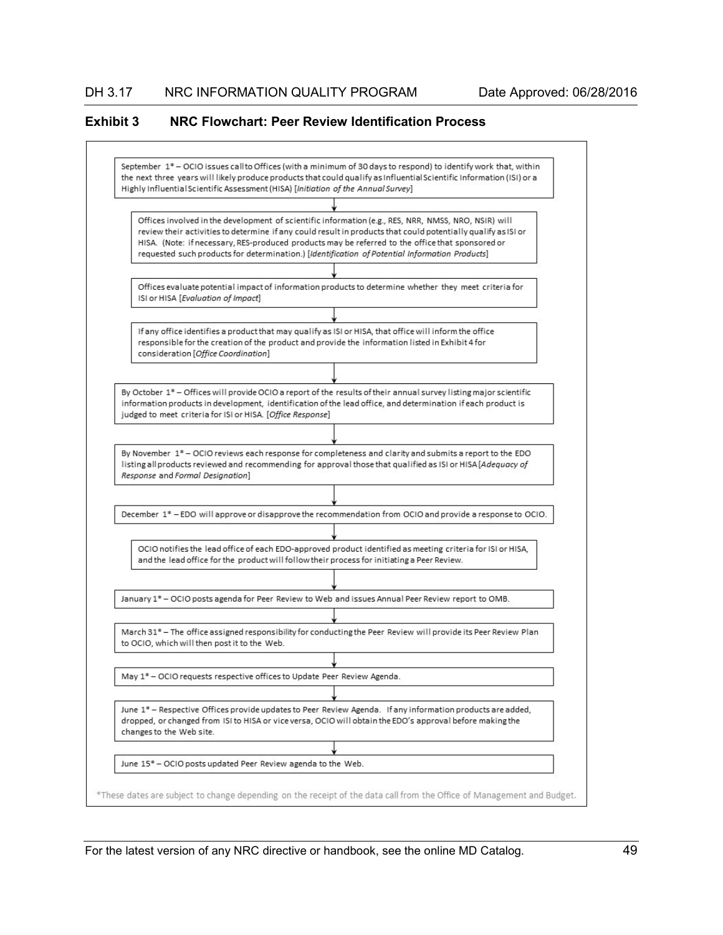#### <span id="page-56-0"></span>**Exhibit 3 NRC Flowchart: Peer Review Identification Process**

September 1\*- OCIO issues call to Offices (with a minimum of 30 days to respond) to identify work that, within the next three years will likely produce products that could qualify as Influential Scientific Information (ISI) or a Highly Influential Scientific Assessment (HISA) [Initiation of the Annual Survey] Offices involved in the development of scientific information (e.g., RES, NRR, NMSS, NRO, NSIR) will review their activities to determine if any could result in products that could potentially qualify as ISI or HISA. (Note: if necessary, RES-produced products may be referred to the office that sponsored or requested such products for determination.) [Identification of Potential Information Products] Offices evaluate potential impact of information products to determine whether they meet criteria for ISI or HISA [Evaluation of Impact] If any office identifies a product that may qualify as ISI or HISA, that office will inform the office responsible for the creation of the product and provide the information listed in Exhibit 4 for consideration [Office Coordination] By October 1\*- Offices will provide OCIO a report of the results of their annual survey listing major scientific information products in development, identification of the lead office, and determination if each product is judged to meet criteria for ISI or HISA. [Office Response] By November 1\* - OCIO reviews each response for completeness and clarity and submits a report to the EDO listing all products reviewed and recommending for approval those that qualified as ISI or HISA [Adequacy of Response and Formal Designation] December 1\*-EDO will approve or disapprove the recommendation from OCIO and provide a response to OCIO. OCIO notifies the lead office of each EDO-approved product identified as meeting criteria for ISI or HISA, and the lead office for the product will follow their process for initiating a Peer Review. January 1\* - OCIO posts agenda for Peer Review to Web and issues Annual Peer Review report to OMB. March 31\* - The office assigned responsibility for conducting the Peer Review will provide its Peer Review Plan to OCIO, which will then post it to the Web. May 1\*- OCIO requests respective offices to Update Peer Review Agenda. June 1\* - Respective Offices provide updates to Peer Review Agenda. If any information products are added, dropped, or changed from ISI to HISA or vice versa, OCIO will obtain the EDO's approval before making the changes to the Web site. June 15\* - OCIO posts updated Peer Review agenda to the Web. \*These dates are subject to change depending on the receipt of the data call from the Office of Management and Budget.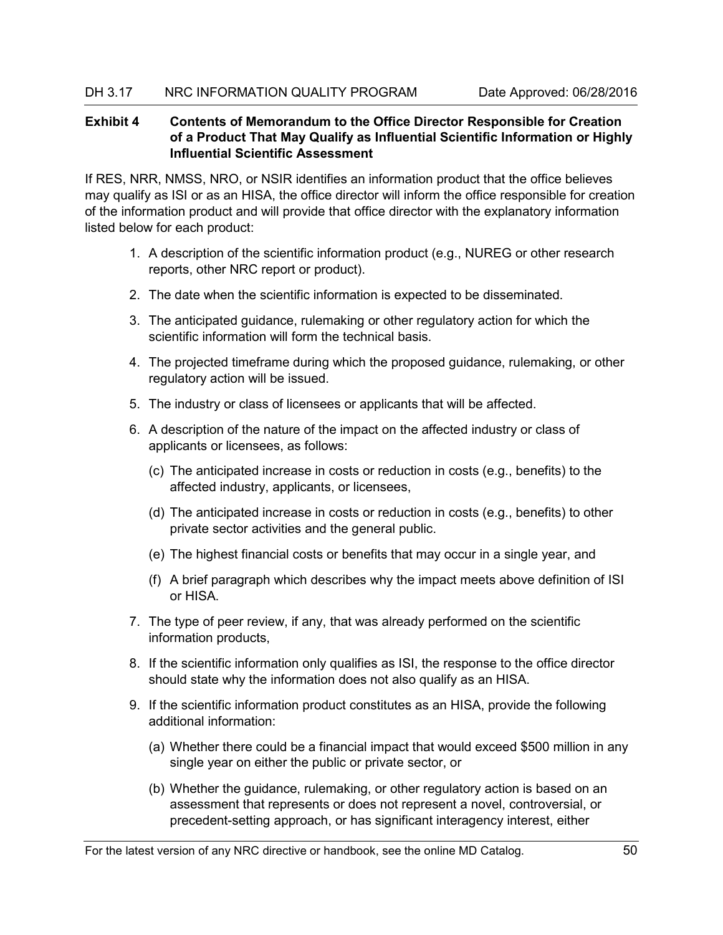# <span id="page-57-0"></span>**Exhibit 4 Contents of Memorandum to the Office Director Responsible for Creation of a Product That May Qualify as Influential Scientific Information or Highly Influential Scientific Assessment**

If RES, NRR, NMSS, NRO, or NSIR identifies an information product that the office believes may qualify as ISI or as an HISA, the office director will inform the office responsible for creation of the information product and will provide that office director with the explanatory information listed below for each product:

- 1. A description of the scientific information product (e.g., NUREG or other research reports, other NRC report or product).
- 2. The date when the scientific information is expected to be disseminated.
- 3. The anticipated guidance, rulemaking or other regulatory action for which the scientific information will form the technical basis.
- 4. The projected timeframe during which the proposed guidance, rulemaking, or other regulatory action will be issued.
- 5. The industry or class of licensees or applicants that will be affected.
- 6. A description of the nature of the impact on the affected industry or class of applicants or licensees, as follows:
	- (c) The anticipated increase in costs or reduction in costs (e.g., benefits) to the affected industry, applicants, or licensees,
	- (d) The anticipated increase in costs or reduction in costs (e.g., benefits) to other private sector activities and the general public.
	- (e) The highest financial costs or benefits that may occur in a single year, and
	- (f) A brief paragraph which describes why the impact meets above definition of ISI or HISA.
- 7. The type of peer review, if any, that was already performed on the scientific information products,
- 8. If the scientific information only qualifies as ISI, the response to the office director should state why the information does not also qualify as an HISA.
- 9. If the scientific information product constitutes as an HISA, provide the following additional information:
	- (a) Whether there could be a financial impact that would exceed \$500 million in any single year on either the public or private sector, or
	- (b) Whether the guidance, rulemaking, or other regulatory action is based on an assessment that represents or does not represent a novel, controversial, or precedent-setting approach, or has significant interagency interest, either